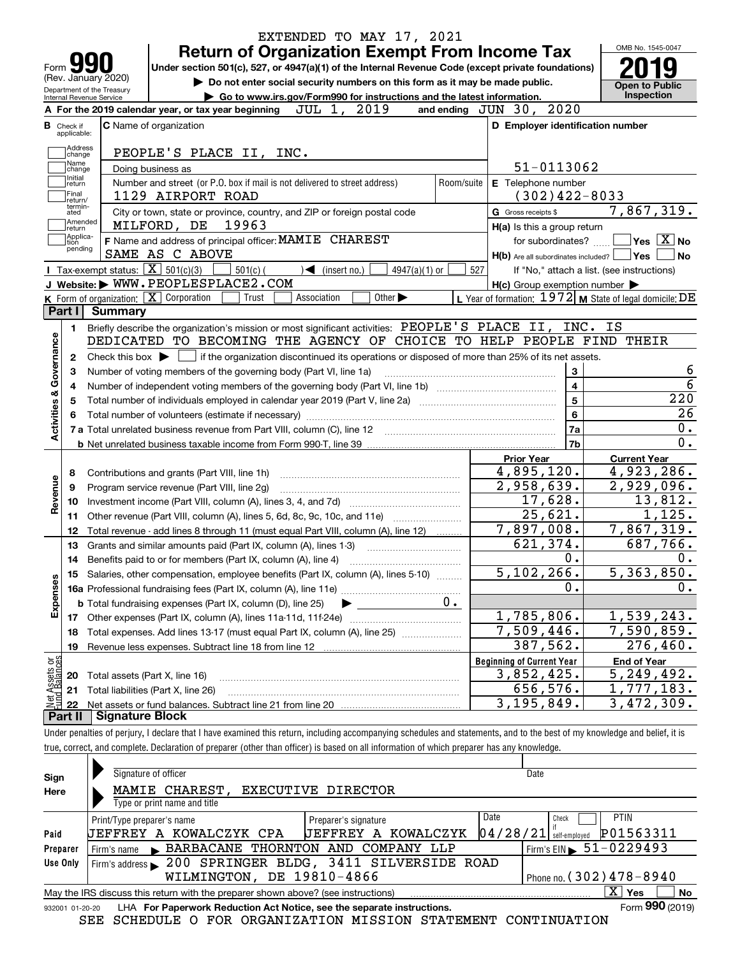|                                                                                  |                                  |                                                   |                                                                                                    | <b>Return of Organization Exempt From Income Tax</b>                                            |             |                              |                             |                 |            |     |                     |                                                     |    | OMB No. 1545-0047                                         |
|----------------------------------------------------------------------------------|----------------------------------|---------------------------------------------------|----------------------------------------------------------------------------------------------------|-------------------------------------------------------------------------------------------------|-------------|------------------------------|-----------------------------|-----------------|------------|-----|---------------------|-----------------------------------------------------|----|-----------------------------------------------------------|
|                                                                                  | Form JY                          |                                                   | Under section 501(c), 527, or 4947(a)(1) of the Internal Revenue Code (except private foundations) |                                                                                                 |             |                              |                             |                 |            |     |                     |                                                     |    |                                                           |
|                                                                                  |                                  | (Rev. January 2020)<br>Department of the Treasury |                                                                                                    | Do not enter social security numbers on this form as it may be made public.                     |             |                              |                             |                 |            |     |                     |                                                     |    | <b>Open to Public</b>                                     |
|                                                                                  | Internal Revenue Service         |                                                   |                                                                                                    | Go to www.irs.gov/Form990 for instructions and the latest information.                          |             |                              |                             |                 |            |     |                     | and ending JUN 30, 2020                             |    | <b>Inspection</b>                                         |
|                                                                                  |                                  |                                                   | A For the 2019 calendar year, or tax year beginning                                                |                                                                                                 | JUL 1,      |                              | 2019                        |                 |            |     |                     |                                                     |    |                                                           |
|                                                                                  | <b>B</b> Check if<br>applicable: |                                                   | <b>C</b> Name of organization                                                                      |                                                                                                 |             |                              |                             |                 |            |     |                     | D Employer identification number                    |    |                                                           |
|                                                                                  | Address                          |                                                   | PEOPLE'S PLACE II, INC.                                                                            |                                                                                                 |             |                              |                             |                 |            |     |                     |                                                     |    |                                                           |
|                                                                                  | change<br>Name                   |                                                   |                                                                                                    |                                                                                                 |             |                              |                             |                 |            |     |                     | 51-0113062                                          |    |                                                           |
|                                                                                  | change<br>Initial                |                                                   | Doing business as<br>Number and street (or P.O. box if mail is not delivered to street address)    |                                                                                                 |             |                              |                             |                 | Room/suite |     |                     |                                                     |    |                                                           |
|                                                                                  | return<br> Final                 |                                                   | 1129 AIRPORT ROAD                                                                                  |                                                                                                 |             |                              |                             |                 |            |     |                     | E Telephone number<br>$(302)$ 422-8033              |    |                                                           |
|                                                                                  | return/<br>termin-<br>ated       |                                                   | City or town, state or province, country, and ZIP or foreign postal code                           |                                                                                                 |             |                              |                             |                 |            |     | G Gross receipts \$ |                                                     |    | 7,867,319.                                                |
|                                                                                  | Amended                          |                                                   | MILFORD, DE                                                                                        | 19963                                                                                           |             |                              |                             |                 |            |     |                     | H(a) Is this a group return                         |    |                                                           |
|                                                                                  | return]<br> Applica-<br>tion     |                                                   | F Name and address of principal officer: MAMIE CHAREST                                             |                                                                                                 |             |                              |                             |                 |            |     |                     | for subordinates?                                   |    | $\sqrt{}$ Yes $\sqrt{X}$ No                               |
|                                                                                  | pending                          |                                                   | SAME AS C ABOVE                                                                                    |                                                                                                 |             |                              |                             |                 |            |     |                     |                                                     |    | $H(b)$ Are all subordinates included? $\Box$ Yes          |
|                                                                                  |                                  |                                                   | Tax-exempt status: $\boxed{\mathbf{X}}$ 501(c)(3)                                                  | $501(c)$ (                                                                                      |             | $\triangleleft$ (insert no.) |                             | $4947(a)(1)$ or |            | 527 |                     |                                                     |    | If "No," attach a list. (see instructions)                |
|                                                                                  |                                  |                                                   | J Website: WWW.PEOPLESPLACE2.COM                                                                   |                                                                                                 |             |                              |                             |                 |            |     |                     | $H(c)$ Group exemption number $\blacktriangleright$ |    |                                                           |
|                                                                                  |                                  |                                                   | K Form of organization: $\boxed{\mathbf{X}}$ Corporation                                           | Trust                                                                                           | Association |                              | Other $\blacktriangleright$ |                 |            |     |                     |                                                     |    | L Year of formation: $1972$ M State of legal domicile: DE |
|                                                                                  | Part I                           | Summary                                           |                                                                                                    |                                                                                                 |             |                              |                             |                 |            |     |                     |                                                     |    |                                                           |
|                                                                                  | 1.                               |                                                   | Briefly describe the organization's mission or most significant activities: PEOPLE 'S PLACE II,    |                                                                                                 |             |                              |                             |                 |            |     |                     | INC.                                                | IS |                                                           |
|                                                                                  |                                  |                                                   | DEDICATED TO BECOMING THE AGENCY OF CHOICE TO HELP PEOPLE FIND THEIR                               |                                                                                                 |             |                              |                             |                 |            |     |                     |                                                     |    |                                                           |
|                                                                                  |                                  |                                                   |                                                                                                    |                                                                                                 |             |                              |                             |                 |            |     |                     |                                                     |    |                                                           |
|                                                                                  |                                  |                                                   |                                                                                                    |                                                                                                 |             |                              |                             |                 |            |     |                     |                                                     |    |                                                           |
|                                                                                  | 2                                |                                                   | Check this box $\blacktriangleright$ $\Box$                                                        | if the organization discontinued its operations or disposed of more than 25% of its net assets. |             |                              |                             |                 |            |     |                     |                                                     |    |                                                           |
|                                                                                  | З                                |                                                   | Number of voting members of the governing body (Part VI, line 1a)                                  |                                                                                                 |             |                              |                             |                 |            |     |                     | 3                                                   |    |                                                           |
|                                                                                  | 4                                |                                                   |                                                                                                    |                                                                                                 |             |                              |                             |                 |            |     |                     | $\overline{\mathbf{4}}$                             |    |                                                           |
|                                                                                  | 5                                |                                                   |                                                                                                    |                                                                                                 |             |                              |                             |                 |            |     |                     | $5\phantom{a}$                                      |    | 220                                                       |
|                                                                                  |                                  |                                                   |                                                                                                    |                                                                                                 |             |                              |                             |                 |            |     |                     | 6                                                   |    |                                                           |
|                                                                                  |                                  |                                                   |                                                                                                    |                                                                                                 |             |                              |                             |                 |            |     |                     | 7a                                                  |    |                                                           |
|                                                                                  |                                  |                                                   |                                                                                                    |                                                                                                 |             |                              |                             |                 |            |     |                     | 7b                                                  |    |                                                           |
|                                                                                  |                                  |                                                   |                                                                                                    |                                                                                                 |             |                              |                             |                 |            |     | <b>Prior Year</b>   |                                                     |    | <b>Current Year</b>                                       |
|                                                                                  | 8                                |                                                   | Contributions and grants (Part VIII, line 1h)                                                      |                                                                                                 |             |                              |                             |                 |            |     |                     | 4,895,120.                                          |    | 4,923,286.                                                |
|                                                                                  | 9                                |                                                   | Program service revenue (Part VIII, line 2g)                                                       |                                                                                                 |             |                              |                             |                 |            |     |                     | 2,958,639.                                          |    | 2,929,096.                                                |
|                                                                                  | 10                               |                                                   |                                                                                                    |                                                                                                 |             |                              |                             |                 |            |     |                     | 17,628.                                             |    | 13,812.                                                   |
|                                                                                  | 11                               |                                                   | Other revenue (Part VIII, column (A), lines 5, 6d, 8c, 9c, 10c, and 11e)                           |                                                                                                 |             |                              |                             |                 |            |     |                     | 25,621.                                             |    | 1,125.                                                    |
|                                                                                  | 12                               |                                                   | Total revenue - add lines 8 through 11 (must equal Part VIII, column (A), line 12)                 |                                                                                                 |             |                              |                             |                 |            |     |                     | 7,897,008.                                          |    | 7,867,319.                                                |
|                                                                                  | 13                               |                                                   | Grants and similar amounts paid (Part IX, column (A), lines 1-3)                                   |                                                                                                 |             |                              |                             |                 |            |     |                     | 621,374.                                            |    | 687,766.                                                  |
|                                                                                  | 14                               |                                                   |                                                                                                    |                                                                                                 |             |                              |                             |                 |            |     |                     | 0.                                                  |    |                                                           |
|                                                                                  |                                  |                                                   | 15 Salaries, other compensation, employee benefits (Part IX, column (A), lines 5-10)               |                                                                                                 |             |                              |                             |                 |            |     |                     | 5, 102, 266.                                        |    | 5,363,850.                                                |
|                                                                                  |                                  |                                                   |                                                                                                    |                                                                                                 |             |                              |                             |                 |            |     |                     | 0.                                                  |    |                                                           |
|                                                                                  |                                  |                                                   | <b>b</b> Total fundraising expenses (Part IX, column (D), line 25)                                 |                                                                                                 |             |                              |                             |                 | $0 \cdot$  |     |                     |                                                     |    |                                                           |
|                                                                                  | 17                               |                                                   |                                                                                                    |                                                                                                 |             |                              |                             |                 |            |     |                     | 1,785,806.                                          |    | 1,539,243.                                                |
|                                                                                  | 18                               |                                                   | Total expenses. Add lines 13-17 (must equal Part IX, column (A), line 25)                          |                                                                                                 |             |                              |                             |                 |            |     |                     | 7,509,446.                                          |    | 7,590,859.                                                |
|                                                                                  | 19                               |                                                   | Revenue less expenses. Subtract line 18 from line 12                                               |                                                                                                 |             |                              |                             |                 |            |     |                     | 387,562.                                            |    | 276,460.                                                  |
|                                                                                  |                                  |                                                   |                                                                                                    |                                                                                                 |             |                              |                             |                 |            |     |                     | <b>Beginning of Current Year</b>                    |    | <b>End of Year</b>                                        |
|                                                                                  | 20                               |                                                   | Total assets (Part X, line 16)                                                                     |                                                                                                 |             |                              |                             |                 |            |     |                     | 3,852,425.                                          |    | 5, 249, 492.                                              |
| Activities & Governance<br>Revenue<br>Expenses<br>t Assets or<br>d Balances<br>鲳 | 21<br>22                         |                                                   | Total liabilities (Part X, line 26)                                                                |                                                                                                 |             |                              |                             |                 |            |     |                     | 656,576.<br>3, 195, 849.                            |    | 1,777,183.<br>3,472,309.                                  |

| Sign            | Signature of officer                                                              |                                  | Date                                    |
|-----------------|-----------------------------------------------------------------------------------|----------------------------------|-----------------------------------------|
| Here            | MAMIE CHAREST,                                                                    | EXECUTIVE DIRECTOR               |                                         |
|                 | Type or print name and title                                                      |                                  |                                         |
|                 | Print/Type preparer's name                                                        | Preparer's signature             | Date<br><b>PTIN</b><br>Check            |
| Paid            | A KOWALCZYK CPA<br>UEFFREY                                                        | KOWALCZYK<br><b>UEFFREY</b><br>A | P01563311<br> 04/28/21<br>self-emploved |
| Preparer        | Firm's name BARBACANE THORNTON AND COMPANY LLP                                    |                                  | $!\text{Firm's EIN} > 51 - 0229493$     |
| Use Only        | Firm's address 200 SPRINGER BLDG, 3411 SILVERSIDE ROAD                            |                                  |                                         |
|                 | WILMINGTON, DE 19810-4866                                                         |                                  | Phone no. $(302)$ 478 - 8940            |
|                 | May the IRS discuss this return with the preparer shown above? (see instructions) |                                  | $\mathbf{X}$<br>No<br>Yes               |
| 932001 01-20-20 | LHA For Paperwork Reduction Act Notice, see the separate instructions.            |                                  | Form 990 (2019)                         |

SEE SCHEDULE O FOR ORGANIZATION MISSION STATEMENT CONTINUATION

true, correct, and complete. Declaration of preparer (other than officer) is based on all information of which preparer has any knowledge.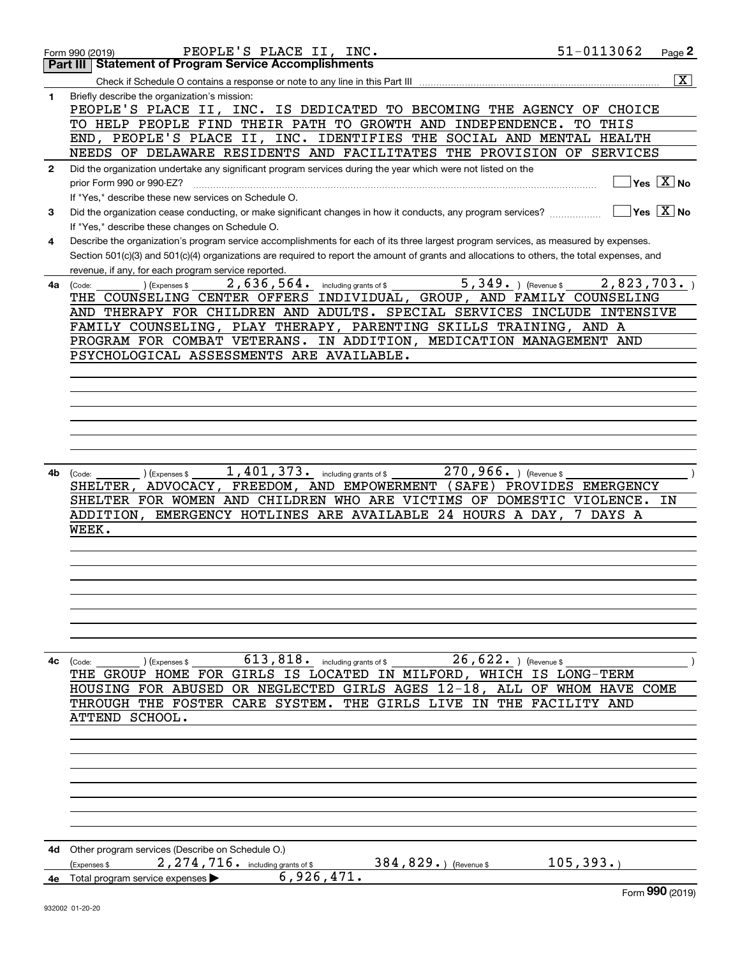|              | 51-0113062<br>PEOPLE'S PLACE II, INC.<br>Form 990 (2019)                                                                                     |            | Page 2                                    |
|--------------|----------------------------------------------------------------------------------------------------------------------------------------------|------------|-------------------------------------------|
|              | <b>Statement of Program Service Accomplishments</b><br>Part III                                                                              |            |                                           |
|              | Check if Schedule O contains a response or note to any line in this Part III                                                                 |            | $\overline{\mathtt{x}}$                   |
| 1            | Briefly describe the organization's mission:                                                                                                 |            |                                           |
|              | PEOPLE'S PLACE II, INC. IS DEDICATED TO BECOMING THE AGENCY OF CHOICE                                                                        |            |                                           |
|              | TO HELP PEOPLE FIND THEIR PATH TO GROWTH AND INDEPENDENCE.                                                                                   | TO THIS    |                                           |
|              | END, PEOPLE'S PLACE II, INC. IDENTIFIES THE SOCIAL AND MENTAL HEALTH                                                                         |            |                                           |
|              | NEEDS OF DELAWARE RESIDENTS AND FACILITATES THE PROVISION OF SERVICES                                                                        |            |                                           |
| $\mathbf{2}$ | Did the organization undertake any significant program services during the year which were not listed on the                                 |            |                                           |
|              | prior Form 990 or 990-EZ?                                                                                                                    |            | $Yes \quad X$ No                          |
|              | If "Yes," describe these new services on Schedule O.                                                                                         |            |                                           |
| 3            | Did the organization cease conducting, or make significant changes in how it conducts, any program services?                                 |            | $\overline{\ }$ Yes $\overline{\ \ X}$ No |
|              | If "Yes," describe these changes on Schedule O.                                                                                              |            |                                           |
| 4            | Describe the organization's program service accomplishments for each of its three largest program services, as measured by expenses.         |            |                                           |
|              | Section 501(c)(3) and 501(c)(4) organizations are required to report the amount of grants and allocations to others, the total expenses, and |            |                                           |
|              | revenue, if any, for each program service reported.                                                                                          |            |                                           |
| 4а           | $\overline{5,349}$ ) (Revenue \$<br>2,636,564.<br>) (Expenses \$<br>including grants of \$<br>(Code:                                         | 2,823,703. |                                           |
|              | THE COUNSELING CENTER OFFERS INDIVIDUAL, GROUP, AND FAMILY COUNSELING                                                                        |            |                                           |
|              | AND THERAPY FOR CHILDREN AND ADULTS. SPECIAL SERVICES INCLUDE INTENSIVE                                                                      |            |                                           |
|              | FAMILY COUNSELING, PLAY THERAPY, PARENTING SKILLS TRAINING, AND A                                                                            |            |                                           |
|              | PROGRAM FOR COMBAT VETERANS. IN ADDITION, MEDICATION MANAGEMENT AND                                                                          |            |                                           |
|              | PSYCHOLOGICAL ASSESSMENTS ARE AVAILABLE.                                                                                                     |            |                                           |
|              |                                                                                                                                              |            |                                           |
|              |                                                                                                                                              |            |                                           |
|              |                                                                                                                                              |            |                                           |
|              |                                                                                                                                              |            |                                           |
|              |                                                                                                                                              |            |                                           |
|              |                                                                                                                                              |            |                                           |
|              |                                                                                                                                              |            |                                           |
| 4b           | $1,401,373$ . including grants of \$<br>$270,966.$ ) (Revenue \$<br>(Expenses \$<br>(Code:                                                   |            |                                           |
|              | SHELTER, ADVOCACY, FREEDOM, AND EMPOWERMENT (SAFE) PROVIDES EMERGENCY                                                                        |            |                                           |
|              | SHELTER FOR WOMEN AND CHILDREN WHO ARE VICTIMS OF DOMESTIC VIOLENCE. IN                                                                      |            |                                           |
|              | ADDITION, EMERGENCY HOTLINES ARE AVAILABLE 24 HOURS A DAY, 7 DAYS A                                                                          |            |                                           |
|              | WEEK.                                                                                                                                        |            |                                           |
|              |                                                                                                                                              |            |                                           |
|              |                                                                                                                                              |            |                                           |
|              |                                                                                                                                              |            |                                           |
|              |                                                                                                                                              |            |                                           |
|              |                                                                                                                                              |            |                                           |
|              |                                                                                                                                              |            |                                           |
|              |                                                                                                                                              |            |                                           |
|              |                                                                                                                                              |            |                                           |
| 4с           | $26, 622.$ (Revenue \$<br>$613, 818$ . including grants of \$<br>(Code:<br>(Expenses \$                                                      |            |                                           |
|              | THE GROUP HOME FOR GIRLS IS LOCATED IN MILFORD, WHICH IS LONG-TERM                                                                           |            |                                           |
|              | HOUSING FOR ABUSED OR NEGLECTED GIRLS AGES 12-18, ALL OF WHOM HAVE COME                                                                      |            |                                           |
|              | THROUGH THE FOSTER CARE SYSTEM. THE GIRLS LIVE IN THE FACILITY AND                                                                           |            |                                           |
|              | ATTEND SCHOOL.                                                                                                                               |            |                                           |
|              |                                                                                                                                              |            |                                           |
|              |                                                                                                                                              |            |                                           |
|              |                                                                                                                                              |            |                                           |
|              |                                                                                                                                              |            |                                           |
|              |                                                                                                                                              |            |                                           |
|              |                                                                                                                                              |            |                                           |
|              |                                                                                                                                              |            |                                           |
|              |                                                                                                                                              |            |                                           |
| 4d           | Other program services (Describe on Schedule O.)                                                                                             |            |                                           |
|              | 105, 393.<br>384, 829. $($ Revenue \$<br>$2,274,716$ $\cdot$ including grants of \$<br>(Expenses \$                                          |            |                                           |
|              | 6,926,471.<br>4e Total program service expenses                                                                                              |            |                                           |
|              |                                                                                                                                              |            | Form 990 (2019)                           |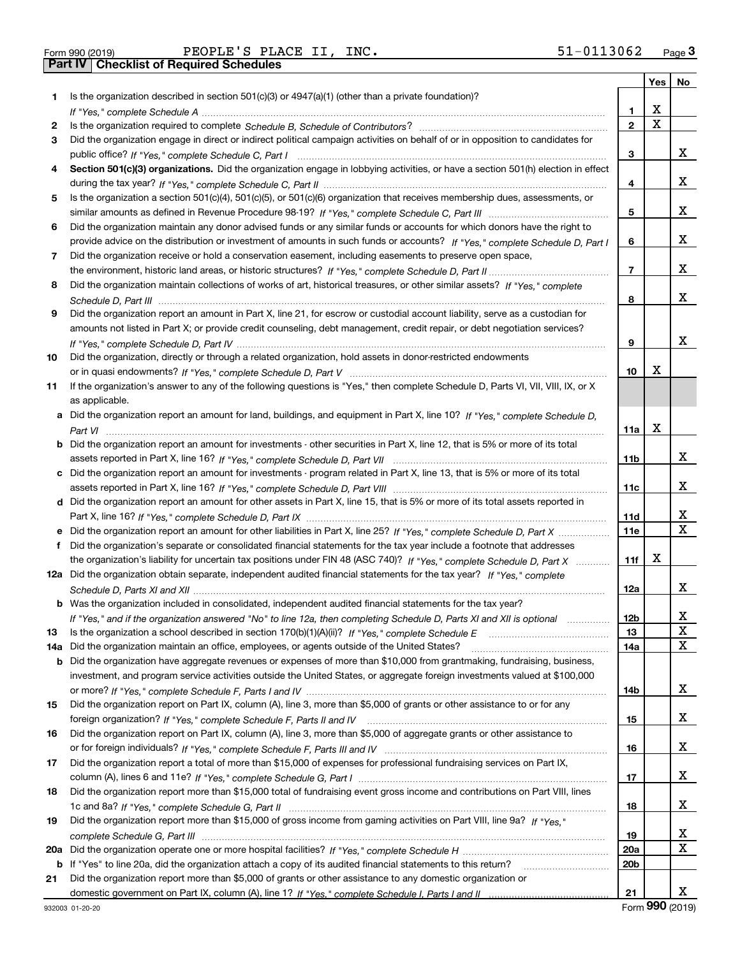| Form 990 (2019) |  |  |
|-----------------|--|--|

|     |                                                                                                                                  |                 | Yes | No |
|-----|----------------------------------------------------------------------------------------------------------------------------------|-----------------|-----|----|
| 1.  | Is the organization described in section 501(c)(3) or 4947(a)(1) (other than a private foundation)?                              |                 |     |    |
|     |                                                                                                                                  | 1               | x   |    |
| 2   |                                                                                                                                  | $\overline{2}$  | X   |    |
| 3   | Did the organization engage in direct or indirect political campaign activities on behalf of or in opposition to candidates for  |                 |     |    |
|     |                                                                                                                                  | 3               |     | x  |
| 4   | Section 501(c)(3) organizations. Did the organization engage in lobbying activities, or have a section 501(h) election in effect |                 |     |    |
|     |                                                                                                                                  | 4               |     | x  |
| 5   | Is the organization a section 501(c)(4), 501(c)(5), or 501(c)(6) organization that receives membership dues, assessments, or     |                 |     |    |
|     |                                                                                                                                  | 5               |     | x  |
| 6   | Did the organization maintain any donor advised funds or any similar funds or accounts for which donors have the right to        |                 |     |    |
|     | provide advice on the distribution or investment of amounts in such funds or accounts? If "Yes," complete Schedule D, Part I     | 6               |     | x  |
| 7   | Did the organization receive or hold a conservation easement, including easements to preserve open space,                        |                 |     |    |
|     |                                                                                                                                  | $\overline{7}$  |     | x  |
| 8   | Did the organization maintain collections of works of art, historical treasures, or other similar assets? If "Yes," complete     |                 |     |    |
|     |                                                                                                                                  | 8               |     | x  |
| 9   | Did the organization report an amount in Part X, line 21, for escrow or custodial account liability, serve as a custodian for    |                 |     |    |
|     | amounts not listed in Part X; or provide credit counseling, debt management, credit repair, or debt negotiation services?        |                 |     |    |
|     |                                                                                                                                  | 9               |     | x  |
| 10  | Did the organization, directly or through a related organization, hold assets in donor-restricted endowments                     |                 | х   |    |
|     |                                                                                                                                  | 10              |     |    |
| 11  | If the organization's answer to any of the following questions is "Yes," then complete Schedule D, Parts VI, VII, VIII, IX, or X |                 |     |    |
|     | as applicable.                                                                                                                   |                 |     |    |
| a   | Did the organization report an amount for land, buildings, and equipment in Part X, line 10? If "Yes," complete Schedule D,      | 11a             | X   |    |
|     | Did the organization report an amount for investments - other securities in Part X, line 12, that is 5% or more of its total     |                 |     |    |
|     |                                                                                                                                  | 11 <sub>b</sub> |     | x  |
| c   | Did the organization report an amount for investments - program related in Part X, line 13, that is 5% or more of its total      |                 |     |    |
|     |                                                                                                                                  | 11c             |     | x  |
|     | d Did the organization report an amount for other assets in Part X, line 15, that is 5% or more of its total assets reported in  |                 |     |    |
|     |                                                                                                                                  | 11d             |     | х  |
|     | Did the organization report an amount for other liabilities in Part X, line 25? If "Yes," complete Schedule D, Part X            | <b>11e</b>      |     | X  |
| f   | Did the organization's separate or consolidated financial statements for the tax year include a footnote that addresses          |                 |     |    |
|     | the organization's liability for uncertain tax positions under FIN 48 (ASC 740)? If "Yes," complete Schedule D, Part X           | 11f             | х   |    |
| 12a | Did the organization obtain separate, independent audited financial statements for the tax year? If "Yes," complete              |                 |     |    |
|     |                                                                                                                                  | 12a             |     | x  |
|     | <b>b</b> Was the organization included in consolidated, independent audited financial statements for the tax year?               |                 |     |    |
|     | If "Yes," and if the organization answered "No" to line 12a, then completing Schedule D, Parts XI and XII is optional            | 12 <sub>b</sub> |     | х  |
| 13  | Is the organization a school described in section $170(b)(1)(A)(ii)?$ If "Yes," complete Schedule E                              | 13              |     | X  |
| 14a | Did the organization maintain an office, employees, or agents outside of the United States?                                      | 14a             |     | X  |
| b   | Did the organization have aggregate revenues or expenses of more than \$10,000 from grantmaking, fundraising, business,          |                 |     |    |
|     | investment, and program service activities outside the United States, or aggregate foreign investments valued at \$100,000       |                 |     |    |
|     |                                                                                                                                  | 14b             |     | x  |
| 15  | Did the organization report on Part IX, column (A), line 3, more than \$5,000 of grants or other assistance to or for any        |                 |     |    |
|     |                                                                                                                                  | 15              |     | x  |
| 16  | Did the organization report on Part IX, column (A), line 3, more than \$5,000 of aggregate grants or other assistance to         |                 |     |    |
|     |                                                                                                                                  | 16              |     | x  |
| 17  | Did the organization report a total of more than \$15,000 of expenses for professional fundraising services on Part IX,          |                 |     |    |
|     |                                                                                                                                  | 17              |     | x  |
| 18  | Did the organization report more than \$15,000 total of fundraising event gross income and contributions on Part VIII, lines     |                 |     |    |
|     |                                                                                                                                  | 18              |     | x  |
| 19  | Did the organization report more than \$15,000 of gross income from gaming activities on Part VIII, line 9a? If "Yes."           |                 |     |    |
|     |                                                                                                                                  | 19              |     | x  |
| 20a |                                                                                                                                  | <b>20a</b>      |     | X  |
| b   | If "Yes" to line 20a, did the organization attach a copy of its audited financial statements to this return?                     | 20 <sub>b</sub> |     |    |
| 21  | Did the organization report more than \$5,000 of grants or other assistance to any domestic organization or                      |                 |     |    |
|     |                                                                                                                                  | 21              |     | X. |

Form (2019) **990**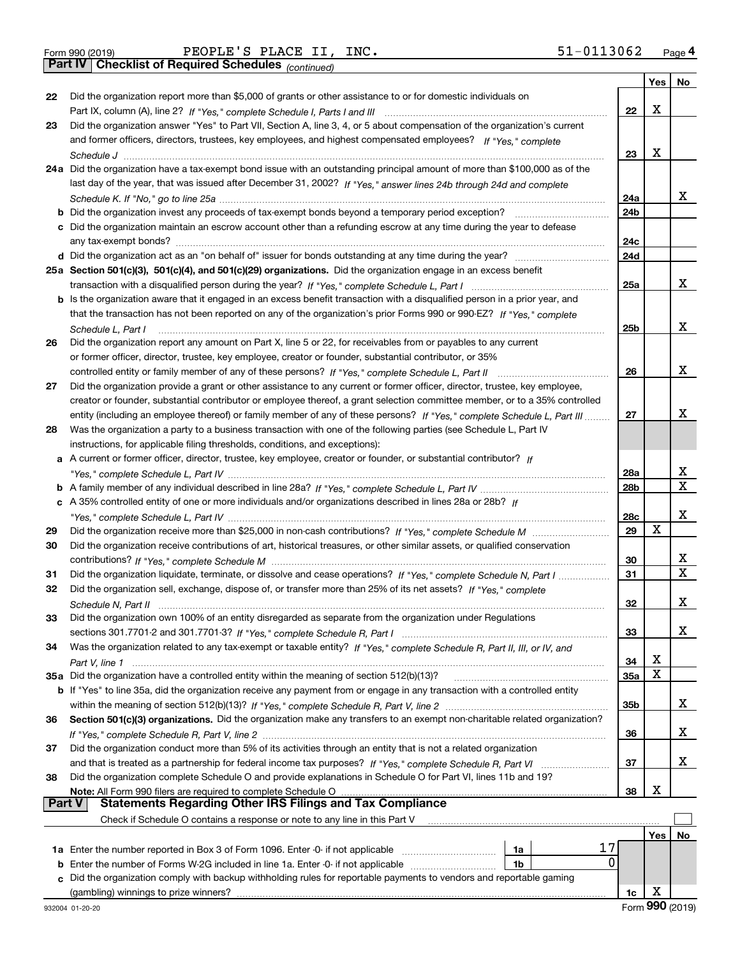|  | Form 990 (2019) |
|--|-----------------|
|  |                 |

*(continued)*

|               |                                                                                                                                                                                                             |                 | Yes | No                      |
|---------------|-------------------------------------------------------------------------------------------------------------------------------------------------------------------------------------------------------------|-----------------|-----|-------------------------|
| 22            | Did the organization report more than \$5,000 of grants or other assistance to or for domestic individuals on                                                                                               |                 |     |                         |
|               |                                                                                                                                                                                                             | 22              | X   |                         |
| 23            | Did the organization answer "Yes" to Part VII, Section A, line 3, 4, or 5 about compensation of the organization's current                                                                                  |                 |     |                         |
|               | and former officers, directors, trustees, key employees, and highest compensated employees? If "Yes," complete                                                                                              |                 |     |                         |
|               |                                                                                                                                                                                                             | 23              | х   |                         |
|               | 24a Did the organization have a tax-exempt bond issue with an outstanding principal amount of more than \$100,000 as of the                                                                                 |                 |     |                         |
|               | last day of the year, that was issued after December 31, 2002? If "Yes," answer lines 24b through 24d and complete                                                                                          |                 |     |                         |
|               |                                                                                                                                                                                                             | 24a             |     | х                       |
|               |                                                                                                                                                                                                             | 24b             |     |                         |
|               | c Did the organization maintain an escrow account other than a refunding escrow at any time during the year to defease                                                                                      |                 |     |                         |
|               |                                                                                                                                                                                                             | 24c             |     |                         |
|               |                                                                                                                                                                                                             | 24d             |     |                         |
|               | 25a Section 501(c)(3), 501(c)(4), and 501(c)(29) organizations. Did the organization engage in an excess benefit                                                                                            |                 |     |                         |
|               |                                                                                                                                                                                                             | 25a             |     | х                       |
|               | b Is the organization aware that it engaged in an excess benefit transaction with a disqualified person in a prior year, and                                                                                |                 |     |                         |
|               | that the transaction has not been reported on any of the organization's prior Forms 990 or 990-EZ? If "Yes," complete                                                                                       |                 |     |                         |
|               | Schedule L. Part I                                                                                                                                                                                          | 25 <sub>b</sub> |     | х                       |
| 26            | Did the organization report any amount on Part X, line 5 or 22, for receivables from or payables to any current                                                                                             |                 |     |                         |
|               | or former officer, director, trustee, key employee, creator or founder, substantial contributor, or 35%                                                                                                     |                 |     |                         |
|               | controlled entity or family member of any of these persons? If "Yes," complete Schedule L, Part II                                                                                                          | 26              |     | x                       |
| 27            | Did the organization provide a grant or other assistance to any current or former officer, director, trustee, key employee,                                                                                 |                 |     |                         |
|               | creator or founder, substantial contributor or employee thereof, a grant selection committee member, or to a 35% controlled                                                                                 |                 |     |                         |
|               | entity (including an employee thereof) or family member of any of these persons? If "Yes," complete Schedule L, Part III                                                                                    | 27              |     | x                       |
| 28            | Was the organization a party to a business transaction with one of the following parties (see Schedule L, Part IV                                                                                           |                 |     |                         |
|               | instructions, for applicable filing thresholds, conditions, and exceptions):                                                                                                                                |                 |     |                         |
|               | a A current or former officer, director, trustee, key employee, creator or founder, or substantial contributor? If                                                                                          |                 |     |                         |
|               |                                                                                                                                                                                                             | 28a             |     | x                       |
|               |                                                                                                                                                                                                             | 28 <sub>b</sub> |     | $\overline{\mathbf{x}}$ |
|               | c A 35% controlled entity of one or more individuals and/or organizations described in lines 28a or 28b? If                                                                                                 |                 |     |                         |
|               |                                                                                                                                                                                                             | 28c             |     | x                       |
| 29            |                                                                                                                                                                                                             | 29              | X   |                         |
| 30            | Did the organization receive contributions of art, historical treasures, or other similar assets, or qualified conservation                                                                                 |                 |     |                         |
|               |                                                                                                                                                                                                             | 30              |     | X                       |
| 31            | Did the organization liquidate, terminate, or dissolve and cease operations? If "Yes," complete Schedule N, Part I                                                                                          | 31              |     | $\overline{\mathbf{x}}$ |
| 32            | Did the organization sell, exchange, dispose of, or transfer more than 25% of its net assets? If "Yes," complete                                                                                            |                 |     |                         |
|               |                                                                                                                                                                                                             | 32              |     | х                       |
| 33            | Did the organization own 100% of an entity disregarded as separate from the organization under Regulations                                                                                                  |                 |     |                         |
|               |                                                                                                                                                                                                             | 33              |     | x                       |
| 34            | Was the organization related to any tax-exempt or taxable entity? If "Yes," complete Schedule R, Part II, III, or IV, and                                                                                   |                 |     |                         |
|               |                                                                                                                                                                                                             | 34              | х   |                         |
|               | 35a Did the organization have a controlled entity within the meaning of section 512(b)(13)?                                                                                                                 | <b>35a</b>      | X   |                         |
|               | b If "Yes" to line 35a, did the organization receive any payment from or engage in any transaction with a controlled entity                                                                                 |                 |     |                         |
|               |                                                                                                                                                                                                             | 35b             |     | x                       |
| 36            | Section 501(c)(3) organizations. Did the organization make any transfers to an exempt non-charitable related organization?                                                                                  |                 |     |                         |
|               |                                                                                                                                                                                                             | 36              |     | x                       |
| 37            | Did the organization conduct more than 5% of its activities through an entity that is not a related organization                                                                                            |                 |     |                         |
|               |                                                                                                                                                                                                             | 37              |     | x                       |
| 38            | Did the organization complete Schedule O and provide explanations in Schedule O for Part VI, lines 11b and 19?                                                                                              |                 |     |                         |
| <b>Part V</b> | Note: All Form 990 filers are required to complete Schedule O<br><b>Statements Regarding Other IRS Filings and Tax Compliance</b>                                                                           | 38              | х   |                         |
|               |                                                                                                                                                                                                             |                 |     |                         |
|               | Check if Schedule O contains a response or note to any line in this Part V                                                                                                                                  |                 |     |                         |
|               | 17                                                                                                                                                                                                          |                 | Yes | No                      |
|               | 1a<br>0                                                                                                                                                                                                     |                 |     |                         |
| b             | Enter the number of Forms W-2G included in line 1a. Enter -0- if not applicable<br>1b<br>Did the organization comply with backup withholding rules for reportable payments to vendors and reportable gaming |                 |     |                         |
| c             | (gambling) winnings to prize winners?                                                                                                                                                                       | 1c              | х   |                         |
|               |                                                                                                                                                                                                             |                 |     |                         |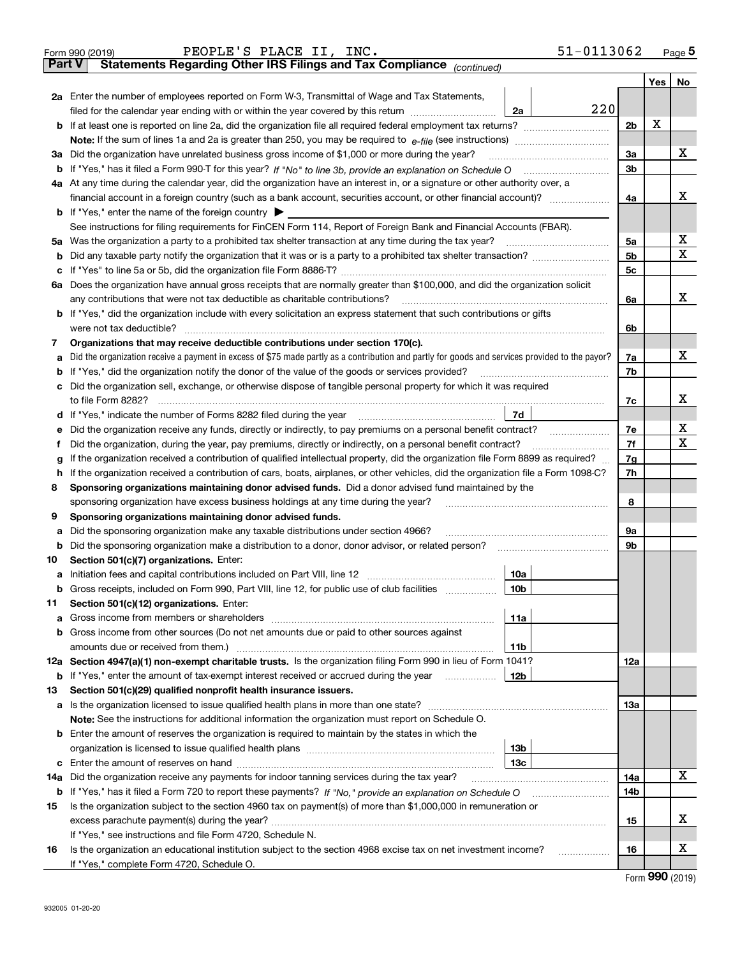|        | 51-0113062<br>PEOPLE'S PLACE II, INC.<br>Form 990 (2019)                                                                                        |                |     | Page $5$ |
|--------|-------------------------------------------------------------------------------------------------------------------------------------------------|----------------|-----|----------|
| Part V | Statements Regarding Other IRS Filings and Tax Compliance (continued)                                                                           |                |     |          |
|        |                                                                                                                                                 |                | Yes | No       |
|        | 2a Enter the number of employees reported on Form W-3, Transmittal of Wage and Tax Statements,                                                  |                |     |          |
|        | 220<br>filed for the calendar year ending with or within the year covered by this return<br>2a                                                  |                |     |          |
|        |                                                                                                                                                 | 2 <sub>b</sub> | X   |          |
|        | Note: If the sum of lines 1a and 2a is greater than 250, you may be required to $e$ -file (see instructions) <i>marrouum</i> manu-              |                |     |          |
|        | 3a Did the organization have unrelated business gross income of \$1,000 or more during the year?                                                | 3a             |     | x        |
|        | b If "Yes," has it filed a Form 990-T for this year? If "No" to line 3b, provide an explanation on Schedule O                                   | 3 <sub>b</sub> |     |          |
|        | 4a At any time during the calendar year, did the organization have an interest in, or a signature or other authority over, a                    |                |     |          |
|        | financial account in a foreign country (such as a bank account, securities account, or other financial account)?                                | 4a             |     | x        |
|        | <b>b</b> If "Yes," enter the name of the foreign country $\triangleright$                                                                       |                |     |          |
|        | See instructions for filing requirements for FinCEN Form 114, Report of Foreign Bank and Financial Accounts (FBAR).                             |                |     |          |
|        | 5a Was the organization a party to a prohibited tax shelter transaction at any time during the tax year?                                        | 5a             |     | х        |
|        |                                                                                                                                                 | 5 <sub>b</sub> |     | х        |
| с      |                                                                                                                                                 | 5 <sub>c</sub> |     |          |
|        | 6a Does the organization have annual gross receipts that are normally greater than \$100,000, and did the organization solicit                  |                |     |          |
|        | any contributions that were not tax deductible as charitable contributions?                                                                     | 6a             |     | x        |
|        | <b>b</b> If "Yes," did the organization include with every solicitation an express statement that such contributions or gifts                   |                |     |          |
|        | were not tax deductible?                                                                                                                        | 6b             |     |          |
| 7      | Organizations that may receive deductible contributions under section 170(c).                                                                   |                |     |          |
| а      | Did the organization receive a payment in excess of \$75 made partly as a contribution and partly for goods and services provided to the payor? | 7a             |     | x        |
| b      | If "Yes," did the organization notify the donor of the value of the goods or services provided?                                                 | 7b             |     |          |
|        | c Did the organization sell, exchange, or otherwise dispose of tangible personal property for which it was required                             |                |     |          |
|        | to file Form 8282?                                                                                                                              | 7c             |     | x        |
|        | 7d<br><b>d</b> If "Yes," indicate the number of Forms 8282 filed during the year                                                                |                |     |          |
| е      | Did the organization receive any funds, directly or indirectly, to pay premiums on a personal benefit contract?                                 | 7e             |     | х        |
| Ť      | Did the organization, during the year, pay premiums, directly or indirectly, on a personal benefit contract?                                    | 7f             |     | X        |
| g      | If the organization received a contribution of qualified intellectual property, did the organization file Form 8899 as required?                | 7g             |     |          |
| h      | If the organization received a contribution of cars, boats, airplanes, or other vehicles, did the organization file a Form 1098-C?              | 7h             |     |          |
| 8      | Sponsoring organizations maintaining donor advised funds. Did a donor advised fund maintained by the                                            |                |     |          |
|        | sponsoring organization have excess business holdings at any time during the year?                                                              | 8              |     |          |
| 9      | Sponsoring organizations maintaining donor advised funds.                                                                                       |                |     |          |
| а      | Did the sponsoring organization make any taxable distributions under section 4966?                                                              | 9а             |     |          |
| b      | Did the sponsoring organization make a distribution to a donor, donor advisor, or related person?                                               | 9b             |     |          |
| 10     | Section 501(c)(7) organizations. Enter:                                                                                                         |                |     |          |
|        | 10a                                                                                                                                             |                |     |          |
| b      | Gross receipts, included on Form 990, Part VIII, line 12, for public use of club facilities<br>10b                                              |                |     |          |
| 11     | Section 501(c)(12) organizations. Enter:                                                                                                        |                |     |          |
| а      | 11a                                                                                                                                             |                |     |          |
| b      | Gross income from other sources (Do not net amounts due or paid to other sources against                                                        |                |     |          |
|        | amounts due or received from them.)<br>11b                                                                                                      |                |     |          |
|        | 12a Section 4947(a)(1) non-exempt charitable trusts. Is the organization filing Form 990 in lieu of Form 1041?                                  | 12a            |     |          |
| b      | If "Yes," enter the amount of tax-exempt interest received or accrued during the year<br>12b                                                    |                |     |          |
| 13     | Section 501(c)(29) qualified nonprofit health insurance issuers.                                                                                |                |     |          |
| а      | Is the organization licensed to issue qualified health plans in more than one state?                                                            | 13а            |     |          |
|        | <b>Note:</b> See the instructions for additional information the organization must report on Schedule O.                                        |                |     |          |
|        | <b>b</b> Enter the amount of reserves the organization is required to maintain by the states in which the                                       |                |     |          |
|        | 13b                                                                                                                                             |                |     |          |
| c      | 13с                                                                                                                                             |                |     |          |
| 14a    | Did the organization receive any payments for indoor tanning services during the tax year?                                                      | 14a            |     | x        |
| b      |                                                                                                                                                 | 14b            |     |          |
| 15     | Is the organization subject to the section 4960 tax on payment(s) of more than \$1,000,000 in remuneration or                                   |                |     |          |
|        |                                                                                                                                                 | 15             |     | x        |
|        | If "Yes," see instructions and file Form 4720, Schedule N.                                                                                      |                |     |          |
| 16     | Is the organization an educational institution subject to the section 4968 excise tax on net investment income?<br>.                            | 16             |     | x        |
|        | If "Yes," complete Form 4720, Schedule O.                                                                                                       |                |     |          |

Form (2019) **990**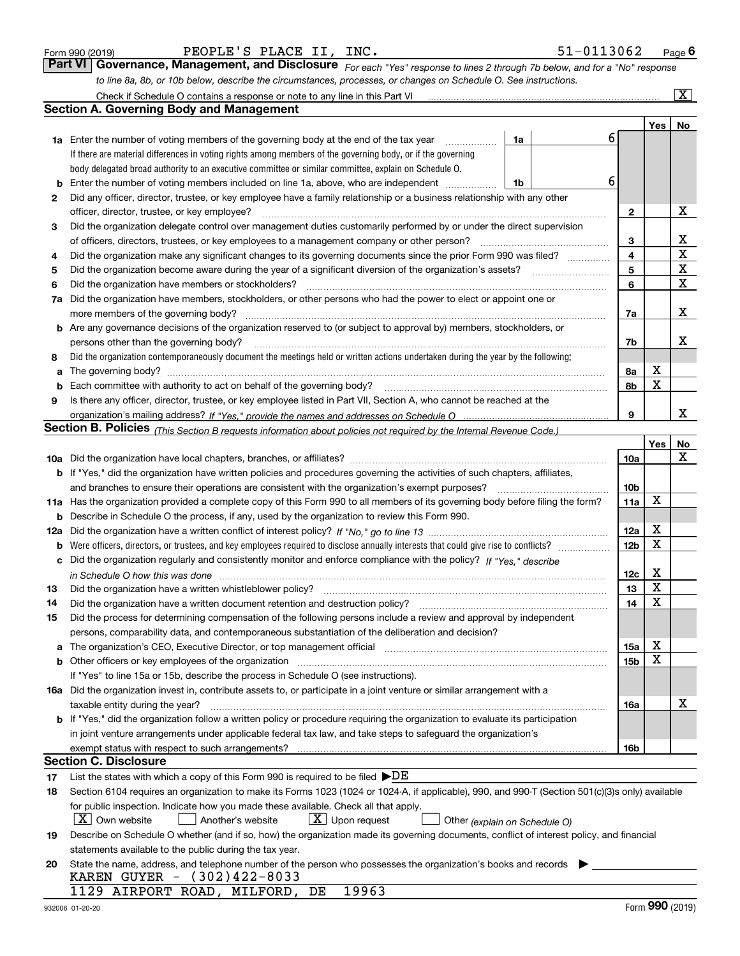| Form 990 (2019) |  |  |
|-----------------|--|--|
|                 |  |  |

| PEOPLE'S PLACE II, INC. |
|-------------------------|
|-------------------------|

| Form 990 (2019) | PEOPLE'S PLACE II, INC.                                                                                          | 51-0113062                                                                                                                  | $P$ <sub>age</sub> 6 |
|-----------------|------------------------------------------------------------------------------------------------------------------|-----------------------------------------------------------------------------------------------------------------------------|----------------------|
|                 |                                                                                                                  | Part VI Governance, Management, and Disclosure For each "Yes" response to lines 2 through 7b below, and for a "No" response |                      |
|                 | to line 8a, 8b, or 10b below, describe the circumstances, processes, or changes on Schedule O. See instructions. |                                                                                                                             |                      |

|     | Check if Schedule O contains a response or note to any line in this Part VI                                                                                           |                 |     | $\overline{\text{X}}$ |
|-----|-----------------------------------------------------------------------------------------------------------------------------------------------------------------------|-----------------|-----|-----------------------|
|     | <b>Section A. Governing Body and Management</b>                                                                                                                       |                 |     |                       |
|     |                                                                                                                                                                       |                 | Yes | No                    |
|     | 6<br>1a<br><b>1a</b> Enter the number of voting members of the governing body at the end of the tax year                                                              |                 |     |                       |
|     | If there are material differences in voting rights among members of the governing body, or if the governing                                                           |                 |     |                       |
|     | body delegated broad authority to an executive committee or similar committee, explain on Schedule O.                                                                 |                 |     |                       |
| b   | 6<br>Enter the number of voting members included on line 1a, above, who are independent<br>1b                                                                         |                 |     |                       |
| 2   | Did any officer, director, trustee, or key employee have a family relationship or a business relationship with any other                                              |                 |     |                       |
|     | officer, director, trustee, or key employee?                                                                                                                          | $\mathbf{2}$    |     | x                     |
| 3   | Did the organization delegate control over management duties customarily performed by or under the direct supervision                                                 |                 |     |                       |
|     | of officers, directors, trustees, or key employees to a management company or other person?                                                                           | 3               |     | х                     |
| 4   | Did the organization make any significant changes to its governing documents since the prior Form 990 was filed?                                                      | 4               |     | $\mathbf X$           |
| 5   | Did the organization become aware during the year of a significant diversion of the organization's assets?                                                            | 5               |     | X                     |
| 6   | Did the organization have members or stockholders?                                                                                                                    | 6               |     | X                     |
| 7a  | Did the organization have members, stockholders, or other persons who had the power to elect or appoint one or                                                        |                 |     |                       |
|     | more members of the governing body?                                                                                                                                   | 7a              |     | x                     |
|     | <b>b</b> Are any governance decisions of the organization reserved to (or subject to approval by) members, stockholders, or                                           |                 |     |                       |
|     | persons other than the governing body?                                                                                                                                | 7b              |     | x                     |
| 8   | Did the organization contemporaneously document the meetings held or written actions undertaken during the year by the following:                                     |                 |     |                       |
| a   |                                                                                                                                                                       | 8а              | х   |                       |
| b   |                                                                                                                                                                       | 8b              | X   |                       |
| 9   | Is there any officer, director, trustee, or key employee listed in Part VII, Section A, who cannot be reached at the                                                  |                 |     |                       |
|     |                                                                                                                                                                       | 9               |     | x                     |
|     | Section B. Policies <sub>(This Section B requests information about policies not required by the Internal Revenue Code.)</sub>                                        |                 |     |                       |
|     |                                                                                                                                                                       |                 | Yes | No                    |
|     |                                                                                                                                                                       | <b>10a</b>      |     | х                     |
|     | <b>b</b> If "Yes," did the organization have written policies and procedures governing the activities of such chapters, affiliates,                                   |                 |     |                       |
|     | and branches to ensure their operations are consistent with the organization's exempt purposes?                                                                       | 10 <sub>b</sub> |     |                       |
|     | 11a Has the organization provided a complete copy of this Form 990 to all members of its governing body before filing the form?                                       | 11a             | X   |                       |
| b   | Describe in Schedule O the process, if any, used by the organization to review this Form 990.                                                                         |                 |     |                       |
| 12a |                                                                                                                                                                       | 12a             | X   |                       |
| b   | Were officers, directors, or trustees, and key employees required to disclose annually interests that could give rise to conflicts?                                   | 12 <sub>b</sub> | X   |                       |
| с   | Did the organization regularly and consistently monitor and enforce compliance with the policy? If "Yes," describe                                                    |                 |     |                       |
|     |                                                                                                                                                                       | 12c             | X   |                       |
| 13  | Did the organization have a written whistleblower policy?                                                                                                             | 13              | X   |                       |
| 14  | Did the organization have a written document retention and destruction policy?                                                                                        | 14              | X   |                       |
| 15  | Did the process for determining compensation of the following persons include a review and approval by independent                                                    |                 |     |                       |
|     | persons, comparability data, and contemporaneous substantiation of the deliberation and decision?                                                                     |                 |     |                       |
| а   | The organization's CEO, Executive Director, or top management official manufactured content of the organization's CEO, Executive Director, or top management official | <b>15a</b>      | Χ   |                       |
| b   | Other officers or key employees of the organization                                                                                                                   | 15 <sub>b</sub> | X   |                       |
|     | If "Yes" to line 15a or 15b, describe the process in Schedule O (see instructions).                                                                                   |                 |     |                       |
|     | 16a Did the organization invest in, contribute assets to, or participate in a joint venture or similar arrangement with a                                             |                 |     |                       |
|     | taxable entity during the year?                                                                                                                                       | 16a             |     | x                     |
|     | b If "Yes," did the organization follow a written policy or procedure requiring the organization to evaluate its participation                                        |                 |     |                       |
|     | in joint venture arrangements under applicable federal tax law, and take steps to safeguard the organization's                                                        |                 |     |                       |
|     | exempt status with respect to such arrangements?                                                                                                                      | 16b             |     |                       |
|     | Section C. Disclosure                                                                                                                                                 |                 |     |                       |
| 17  | List the states with which a copy of this Form 990 is required to be filed $\blacktriangleright$ DE                                                                   |                 |     |                       |
| 18  | Section 6104 requires an organization to make its Forms 1023 (1024 or 1024-A, if applicable), 990, and 990-T (Section 501(c)(3)s only) available                      |                 |     |                       |
|     | for public inspection. Indicate how you made these available. Check all that apply.                                                                                   |                 |     |                       |
|     | X   Own website<br>$X$ Upon request<br>Another's website<br>Other (explain on Schedule O)                                                                             |                 |     |                       |
| 19  | Describe on Schedule O whether (and if so, how) the organization made its governing documents, conflict of interest policy, and financial                             |                 |     |                       |
|     | statements available to the public during the tax year.                                                                                                               |                 |     |                       |
| 20  | State the name, address, and telephone number of the person who possesses the organization's books and records                                                        |                 |     |                       |
|     | KAREN GUYER - (302)422-8033                                                                                                                                           |                 |     |                       |
|     | 19963<br>1129 AIRPORT ROAD, MILFORD, DE                                                                                                                               |                 |     |                       |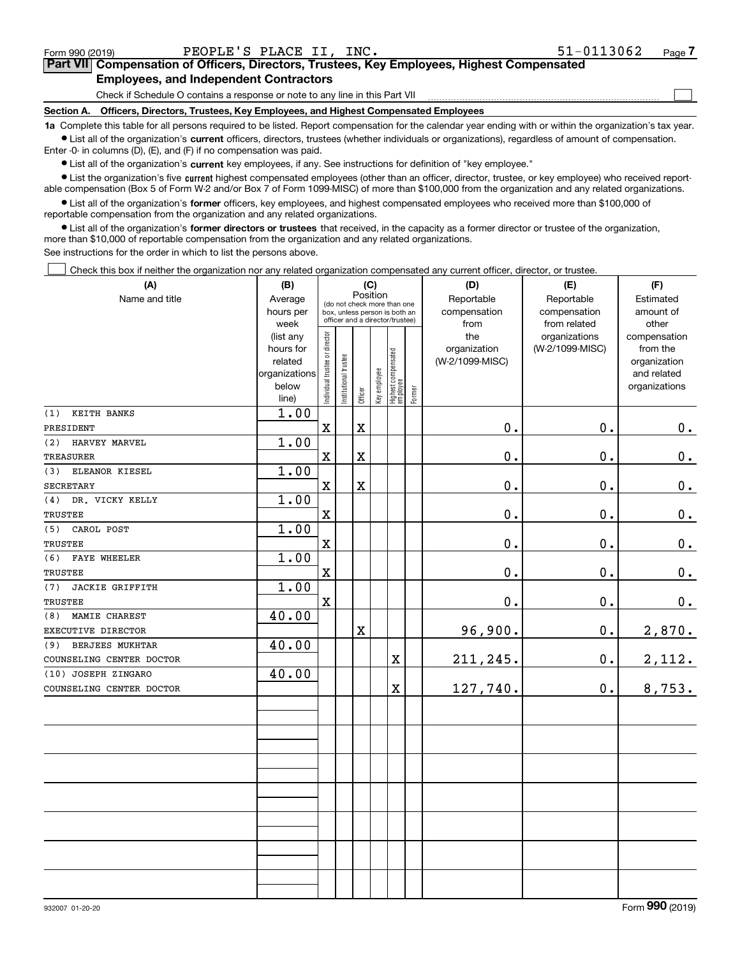**7Part VII Compensation of Officers, Directors, Trustees, Key Employees, Highest Compensated Employees, and Independent Contractors**

Check if Schedule O contains a response or note to any line in this Part VII

**Section A. Officers, Directors, Trustees, Key Employees, and Highest Compensated Employees**

**1a**  Complete this table for all persons required to be listed. Report compensation for the calendar year ending with or within the organization's tax year. **•** List all of the organization's current officers, directors, trustees (whether individuals or organizations), regardless of amount of compensation.

Enter -0- in columns (D), (E), and (F) if no compensation was paid.

 $\bullet$  List all of the organization's  $\,$ current key employees, if any. See instructions for definition of "key employee."

**•** List the organization's five current highest compensated employees (other than an officer, director, trustee, or key employee) who received reportable compensation (Box 5 of Form W-2 and/or Box 7 of Form 1099-MISC) of more than \$100,000 from the organization and any related organizations.

**•** List all of the organization's former officers, key employees, and highest compensated employees who received more than \$100,000 of reportable compensation from the organization and any related organizations.

**former directors or trustees**  ¥ List all of the organization's that received, in the capacity as a former director or trustee of the organization, more than \$10,000 of reportable compensation from the organization and any related organizations.

See instructions for the order in which to list the persons above.

Check this box if neither the organization nor any related organization compensated any current officer, director, or trustee.  $\mathcal{L}^{\text{max}}$ 

| (A)                      | (B)                  |                                |                       |             | (C)          |                                                              |        | (D)                        | (E)                        | (F)                    |
|--------------------------|----------------------|--------------------------------|-----------------------|-------------|--------------|--------------------------------------------------------------|--------|----------------------------|----------------------------|------------------------|
| Name and title           | Average<br>hours per |                                |                       | Position    |              | (do not check more than one<br>box, unless person is both an |        | Reportable<br>compensation | Reportable<br>compensation | Estimated<br>amount of |
|                          | week                 |                                |                       |             |              | officer and a director/trustee)                              |        | from                       | from related               | other                  |
|                          | (list any            |                                |                       |             |              |                                                              |        | the                        | organizations              | compensation           |
|                          | hours for            |                                |                       |             |              |                                                              |        | organization               | (W-2/1099-MISC)            | from the               |
|                          | related              |                                |                       |             |              |                                                              |        | (W-2/1099-MISC)            |                            | organization           |
|                          | organizations        |                                |                       |             |              |                                                              |        |                            |                            | and related            |
|                          | below<br>line)       | Individual trustee or director | Institutional trustee | Officer     | Key employee | Highest compensated<br>employee                              | Former |                            |                            | organizations          |
| KEITH BANKS<br>(1)       | 1.00                 |                                |                       |             |              |                                                              |        |                            |                            |                        |
| PRESIDENT                |                      | X                              |                       | $\mathbf X$ |              |                                                              |        | $0$ .                      | $0$ .                      | 0.                     |
| (2) HARVEY MARVEL        | 1.00                 |                                |                       |             |              |                                                              |        |                            |                            |                        |
| TREASURER                |                      | X                              |                       | $\mathbf X$ |              |                                                              |        | $0$ .                      | 0.                         | 0.                     |
| (3) ELEANOR KIESEL       | 1.00                 |                                |                       |             |              |                                                              |        |                            |                            |                        |
| <b>SECRETARY</b>         |                      | X                              |                       | $\mathbf X$ |              |                                                              |        | 0.                         | 0.                         | 0.                     |
| (4)<br>DR. VICKY KELLY   | 1.00                 |                                |                       |             |              |                                                              |        |                            |                            |                        |
| TRUSTEE                  |                      | $\mathbf X$                    |                       |             |              |                                                              |        | 0.                         | 0.                         | $\mathbf 0$ .          |
| (5)<br>CAROL POST        | 1.00                 |                                |                       |             |              |                                                              |        |                            |                            |                        |
| <b>TRUSTEE</b>           |                      | $\mathbf X$                    |                       |             |              |                                                              |        | $0$ .                      | 0.                         | $\mathbf 0$ .          |
| (6) FAYE WHEELER         | 1.00                 |                                |                       |             |              |                                                              |        |                            |                            |                        |
| <b>TRUSTEE</b>           |                      | $\mathbf X$                    |                       |             |              |                                                              |        | 0.                         | 0.                         | 0.                     |
| (7)<br>JACKIE GRIFFITH   | 1.00                 |                                |                       |             |              |                                                              |        |                            |                            |                        |
| <b>TRUSTEE</b>           |                      | $\mathbf x$                    |                       |             |              |                                                              |        | 0.                         | 0.                         | $\mathbf 0$ .          |
| MAMIE CHAREST<br>(8)     | 40.00                |                                |                       |             |              |                                                              |        |                            |                            |                        |
| EXECUTIVE DIRECTOR       |                      |                                |                       | $\mathbf X$ |              |                                                              |        | 96,900.                    | $\mathbf 0$ .              | 2,870.                 |
| (9) BERJEES MUKHTAR      | 40.00                |                                |                       |             |              |                                                              |        |                            |                            |                        |
| COUNSELING CENTER DOCTOR |                      |                                |                       |             |              | $\mathbf X$                                                  |        | 211,245.                   | $\mathbf 0$ .              | 2,112.                 |
| (10) JOSEPH ZINGARO      | 40.00                |                                |                       |             |              |                                                              |        |                            |                            |                        |
| COUNSELING CENTER DOCTOR |                      |                                |                       |             |              | $\mathbf X$                                                  |        | 127,740.                   | 0.                         | 8,753.                 |
|                          |                      |                                |                       |             |              |                                                              |        |                            |                            |                        |
|                          |                      |                                |                       |             |              |                                                              |        |                            |                            |                        |
|                          |                      |                                |                       |             |              |                                                              |        |                            |                            |                        |
|                          |                      |                                |                       |             |              |                                                              |        |                            |                            |                        |
|                          |                      |                                |                       |             |              |                                                              |        |                            |                            |                        |
|                          |                      |                                |                       |             |              |                                                              |        |                            |                            |                        |
|                          |                      |                                |                       |             |              |                                                              |        |                            |                            |                        |
|                          |                      |                                |                       |             |              |                                                              |        |                            |                            |                        |
|                          |                      |                                |                       |             |              |                                                              |        |                            |                            |                        |
|                          |                      |                                |                       |             |              |                                                              |        |                            |                            |                        |
|                          |                      |                                |                       |             |              |                                                              |        |                            |                            |                        |
|                          |                      |                                |                       |             |              |                                                              |        |                            |                            |                        |
|                          |                      |                                |                       |             |              |                                                              |        |                            |                            |                        |

 $\mathcal{L}^{\text{max}}$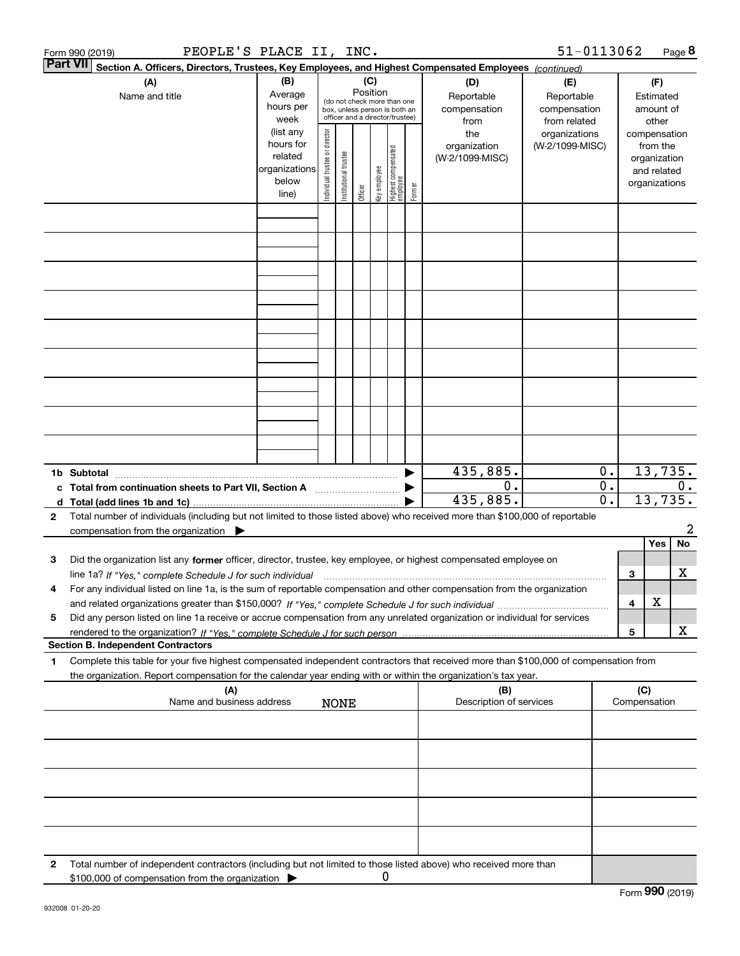|              | PEOPLE'S PLACE II, INC.<br>Form 990 (2019)                                                                                                                                                                                                                          |                                                                      |                                |                       |                 |              |                                                                                                 |        |                                           | 51-0113062                                        |                                      |              |                                                                          | Page 8        |
|--------------|---------------------------------------------------------------------------------------------------------------------------------------------------------------------------------------------------------------------------------------------------------------------|----------------------------------------------------------------------|--------------------------------|-----------------------|-----------------|--------------|-------------------------------------------------------------------------------------------------|--------|-------------------------------------------|---------------------------------------------------|--------------------------------------|--------------|--------------------------------------------------------------------------|---------------|
|              | <b>Part VII</b><br>Section A. Officers, Directors, Trustees, Key Employees, and Highest Compensated Employees (continued)                                                                                                                                           |                                                                      |                                |                       |                 |              |                                                                                                 |        |                                           |                                                   |                                      |              |                                                                          |               |
|              | (A)<br>Name and title                                                                                                                                                                                                                                               | (B)<br>Average<br>hours per<br>week                                  |                                |                       | (C)<br>Position |              | (do not check more than one<br>box, unless person is both an<br>officer and a director/trustee) |        | (D)<br>Reportable<br>compensation<br>from | (E)<br>Reportable<br>compensation<br>from related |                                      |              | (F)<br>Estimated<br>amount of<br>other                                   |               |
|              |                                                                                                                                                                                                                                                                     | (list any<br>hours for<br>related<br>organizations<br>below<br>line) | Individual trustee or director | Institutional trustee | Officer         | Key employee | Highest compensated<br>employee                                                                 | Former | the<br>organization<br>(W-2/1099-MISC)    | organizations<br>(W-2/1099-MISC)                  |                                      |              | compensation<br>from the<br>organization<br>and related<br>organizations |               |
|              |                                                                                                                                                                                                                                                                     |                                                                      |                                |                       |                 |              |                                                                                                 |        |                                           |                                                   |                                      |              |                                                                          |               |
|              |                                                                                                                                                                                                                                                                     |                                                                      |                                |                       |                 |              |                                                                                                 |        |                                           |                                                   |                                      |              |                                                                          |               |
|              |                                                                                                                                                                                                                                                                     |                                                                      |                                |                       |                 |              |                                                                                                 |        |                                           |                                                   |                                      |              |                                                                          |               |
|              |                                                                                                                                                                                                                                                                     |                                                                      |                                |                       |                 |              |                                                                                                 |        |                                           |                                                   |                                      |              |                                                                          |               |
|              |                                                                                                                                                                                                                                                                     |                                                                      |                                |                       |                 |              |                                                                                                 |        |                                           |                                                   |                                      |              |                                                                          |               |
|              |                                                                                                                                                                                                                                                                     |                                                                      |                                |                       |                 |              |                                                                                                 |        |                                           |                                                   |                                      |              |                                                                          |               |
|              |                                                                                                                                                                                                                                                                     |                                                                      |                                |                       |                 |              |                                                                                                 |        |                                           |                                                   |                                      |              |                                                                          |               |
|              |                                                                                                                                                                                                                                                                     |                                                                      |                                |                       |                 |              |                                                                                                 |        |                                           |                                                   |                                      |              |                                                                          |               |
|              | 1b Subtotal                                                                                                                                                                                                                                                         |                                                                      |                                |                       |                 |              |                                                                                                 |        | 435,885.                                  |                                                   | 0.                                   |              |                                                                          | 13,735.       |
| c            | Total from continuation sheets to Part VII, Section A                                                                                                                                                                                                               |                                                                      |                                |                       |                 |              |                                                                                                 |        | $0$ .<br>435,885.                         |                                                   | $\overline{0}$ .<br>$\overline{0}$ . |              |                                                                          | 0.<br>13,735. |
| $\mathbf{2}$ | Total number of individuals (including but not limited to those listed above) who received more than \$100,000 of reportable<br>compensation from the organization $\blacktriangleright$                                                                            |                                                                      |                                |                       |                 |              |                                                                                                 |        |                                           |                                                   |                                      |              |                                                                          | 2             |
|              |                                                                                                                                                                                                                                                                     |                                                                      |                                |                       |                 |              |                                                                                                 |        |                                           |                                                   |                                      |              | Yes                                                                      | No            |
| з            | Did the organization list any former officer, director, trustee, key employee, or highest compensated employee on                                                                                                                                                   |                                                                      |                                |                       |                 |              |                                                                                                 |        |                                           |                                                   |                                      |              |                                                                          |               |
| 4            | line 1a? If "Yes," complete Schedule J for such individual manufactured contained and the Yes," complete Schedule J for such individual<br>For any individual listed on line 1a, is the sum of reportable compensation and other compensation from the organization |                                                                      |                                |                       |                 |              |                                                                                                 |        |                                           |                                                   |                                      | З            |                                                                          | x             |
| 5            | Did any person listed on line 1a receive or accrue compensation from any unrelated organization or individual for services                                                                                                                                          |                                                                      |                                |                       |                 |              |                                                                                                 |        |                                           |                                                   |                                      | 4            | X                                                                        |               |
|              |                                                                                                                                                                                                                                                                     |                                                                      |                                |                       |                 |              |                                                                                                 |        |                                           |                                                   |                                      | 5            |                                                                          | x             |
| 1            | <b>Section B. Independent Contractors</b><br>Complete this table for your five highest compensated independent contractors that received more than \$100,000 of compensation from                                                                                   |                                                                      |                                |                       |                 |              |                                                                                                 |        |                                           |                                                   |                                      |              |                                                                          |               |
|              | the organization. Report compensation for the calendar year ending with or within the organization's tax year.<br>(A)                                                                                                                                               |                                                                      |                                |                       |                 |              |                                                                                                 |        | (B)                                       |                                                   |                                      | (C)          |                                                                          |               |
|              | Name and business address                                                                                                                                                                                                                                           |                                                                      |                                | <b>NONE</b>           |                 |              |                                                                                                 |        | Description of services                   |                                                   |                                      | Compensation |                                                                          |               |
|              |                                                                                                                                                                                                                                                                     |                                                                      |                                |                       |                 |              |                                                                                                 |        |                                           |                                                   |                                      |              |                                                                          |               |
|              |                                                                                                                                                                                                                                                                     |                                                                      |                                |                       |                 |              |                                                                                                 |        |                                           |                                                   |                                      |              |                                                                          |               |
|              |                                                                                                                                                                                                                                                                     |                                                                      |                                |                       |                 |              |                                                                                                 |        |                                           |                                                   |                                      |              |                                                                          |               |
|              |                                                                                                                                                                                                                                                                     |                                                                      |                                |                       |                 |              |                                                                                                 |        |                                           |                                                   |                                      |              |                                                                          |               |
| 2            | Total number of independent contractors (including but not limited to those listed above) who received more than<br>\$100,000 of compensation from the organization                                                                                                 |                                                                      |                                |                       |                 | 0            |                                                                                                 |        |                                           |                                                   |                                      |              |                                                                          |               |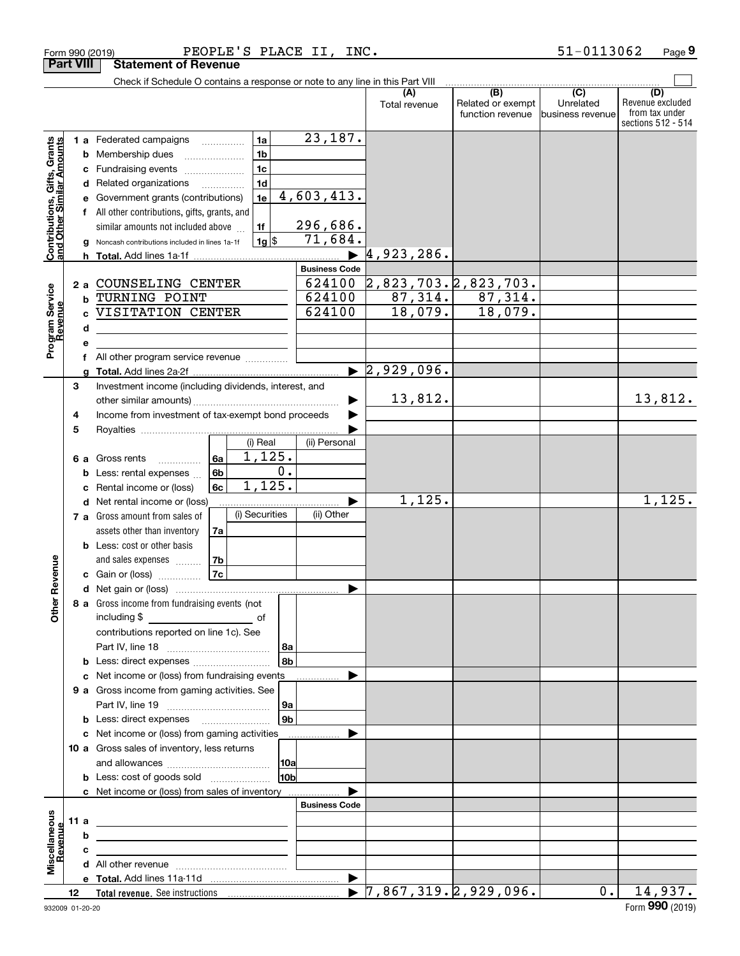|                                                           | Form 990 (2019)  |                                                                               | PEOPLE'S PLACE II, INC. |                 |                      |                                            |                   | 51-0113062                  | Page 9                               |
|-----------------------------------------------------------|------------------|-------------------------------------------------------------------------------|-------------------------|-----------------|----------------------|--------------------------------------------|-------------------|-----------------------------|--------------------------------------|
|                                                           | <b>Part VIII</b> | <b>Statement of Revenue</b>                                                   |                         |                 |                      |                                            |                   |                             |                                      |
|                                                           |                  | Check if Schedule O contains a response or note to any line in this Part VIII |                         |                 |                      |                                            | (B)               |                             |                                      |
|                                                           |                  |                                                                               |                         |                 |                      | (A)<br>Total revenue                       | Related or exempt | $\overline{C}$<br>Unrelated | (D)<br>Revenue excluded              |
|                                                           |                  |                                                                               |                         |                 |                      |                                            | function revenue  | Ibusiness revenue           | from tax under<br>sections 512 - 514 |
|                                                           |                  |                                                                               |                         |                 | 23,187.              |                                            |                   |                             |                                      |
| Contributions, Gifts, Grants<br>and Other Similar Amounts |                  | 1 a Federated campaigns                                                       | 1a<br>1 <sub>b</sub>    |                 |                      |                                            |                   |                             |                                      |
|                                                           |                  | <b>b</b> Membership dues<br>c Fundraising events                              | 1 <sub>c</sub>          |                 |                      |                                            |                   |                             |                                      |
|                                                           |                  | d Related organizations                                                       | 1 <sub>d</sub>          |                 |                      |                                            |                   |                             |                                      |
|                                                           |                  | e Government grants (contributions)                                           | 1e                      |                 | 4,603,413.           |                                            |                   |                             |                                      |
|                                                           |                  | f All other contributions, gifts, grants, and                                 |                         |                 |                      |                                            |                   |                             |                                      |
|                                                           |                  | similar amounts not included above                                            | 1f                      |                 | 296,686.             |                                            |                   |                             |                                      |
|                                                           |                  | g Noncash contributions included in lines 1a-1f                               | 1g                      |                 | 71,684.              |                                            |                   |                             |                                      |
|                                                           |                  |                                                                               |                         |                 |                      | 4,923,286.                                 |                   |                             |                                      |
|                                                           |                  |                                                                               |                         |                 | <b>Business Code</b> |                                            |                   |                             |                                      |
|                                                           |                  | 2 a COUNSELING CENTER                                                         |                         |                 | 624100               | 2,823,703.2,823,703.                       |                   |                             |                                      |
| Program Service<br>Revenue                                | b                | TURNING POINT                                                                 |                         |                 | 624100               | 87,314.                                    | 87,314.           |                             |                                      |
|                                                           |                  | VISITATION CENTER                                                             |                         |                 | 624100               | 18,079.                                    | 18,079.           |                             |                                      |
|                                                           | d                |                                                                               |                         |                 |                      |                                            |                   |                             |                                      |
|                                                           | е                |                                                                               |                         |                 |                      |                                            |                   |                             |                                      |
|                                                           |                  | All other program service revenue                                             |                         |                 |                      |                                            |                   |                             |                                      |
|                                                           | a                |                                                                               |                         |                 |                      | $\sqrt{2,929,096}$ .                       |                   |                             |                                      |
|                                                           | 3                | Investment income (including dividends, interest, and                         |                         |                 |                      |                                            |                   |                             |                                      |
|                                                           |                  |                                                                               |                         |                 |                      | 13,812.                                    |                   |                             | 13,812.                              |
|                                                           | 4                | Income from investment of tax-exempt bond proceeds                            |                         |                 |                      |                                            |                   |                             |                                      |
|                                                           | 5                |                                                                               |                         |                 |                      |                                            |                   |                             |                                      |
|                                                           |                  |                                                                               | (i) Real                |                 | (ii) Personal        |                                            |                   |                             |                                      |
|                                                           |                  | 6 a Gross rents                                                               | 1,125.<br>6a            | 0.              |                      |                                            |                   |                             |                                      |
|                                                           |                  | <b>b</b> Less: rental expenses $\ldots$                                       | 6b<br>1,125.<br>6c      |                 |                      |                                            |                   |                             |                                      |
|                                                           |                  | c Rental income or (loss)                                                     |                         |                 |                      | 1,125.                                     |                   |                             | 1,125.                               |
|                                                           |                  | d Net rental income or (loss)<br>7 a Gross amount from sales of               | (i) Securities          |                 | (ii) Other           |                                            |                   |                             |                                      |
|                                                           |                  | assets other than inventory                                                   | 7a                      |                 |                      |                                            |                   |                             |                                      |
|                                                           |                  | <b>b</b> Less: cost or other basis                                            |                         |                 |                      |                                            |                   |                             |                                      |
|                                                           |                  | and sales expenses                                                            | 7b                      |                 |                      |                                            |                   |                             |                                      |
| venue                                                     |                  | <b>c</b> Gain or (loss)                                                       | 7c                      |                 |                      |                                            |                   |                             |                                      |
|                                                           |                  |                                                                               |                         |                 |                      |                                            |                   |                             |                                      |
| Other Re                                                  |                  | 8 a Gross income from fundraising events (not                                 |                         |                 |                      |                                            |                   |                             |                                      |
|                                                           |                  |                                                                               |                         |                 |                      |                                            |                   |                             |                                      |
|                                                           |                  | contributions reported on line 1c). See                                       |                         |                 |                      |                                            |                   |                             |                                      |
|                                                           |                  |                                                                               |                         | 8a              |                      |                                            |                   |                             |                                      |
|                                                           |                  |                                                                               |                         | ∣8b∣            |                      |                                            |                   |                             |                                      |
|                                                           |                  | c Net income or (loss) from fundraising events                                |                         |                 |                      |                                            |                   |                             |                                      |
|                                                           |                  | 9 a Gross income from gaming activities. See                                  |                         |                 |                      |                                            |                   |                             |                                      |
|                                                           |                  |                                                                               |                         | 9a              |                      |                                            |                   |                             |                                      |
|                                                           |                  | <b>b</b> Less: direct expenses <i>manually contained</i>                      |                         | 9b              |                      |                                            |                   |                             |                                      |
|                                                           |                  | c Net income or (loss) from gaming activities                                 |                         |                 |                      |                                            |                   |                             |                                      |
|                                                           |                  | 10 a Gross sales of inventory, less returns                                   |                         |                 |                      |                                            |                   |                             |                                      |
|                                                           |                  |                                                                               |                         | 10a             |                      |                                            |                   |                             |                                      |
|                                                           |                  |                                                                               |                         | 10 <sub>b</sub> |                      |                                            |                   |                             |                                      |
|                                                           |                  | c Net income or (loss) from sales of inventory                                |                         |                 | <b>Business Code</b> |                                            |                   |                             |                                      |
|                                                           | 11 a             |                                                                               |                         |                 |                      |                                            |                   |                             |                                      |
|                                                           | b                | <u> 1980 - Jan Sterling von Berger (* 1950)</u>                               |                         |                 |                      |                                            |                   |                             |                                      |
| Miscellaneous<br>Revenue                                  | с                |                                                                               |                         |                 |                      |                                            |                   |                             |                                      |
|                                                           |                  |                                                                               |                         |                 |                      |                                            |                   |                             |                                      |
|                                                           |                  |                                                                               |                         |                 |                      |                                            |                   |                             |                                      |
|                                                           | 12               |                                                                               |                         |                 |                      | $\blacktriangleright$ 7,867,319.2,929,096. |                   | 0.1                         | 14,937.                              |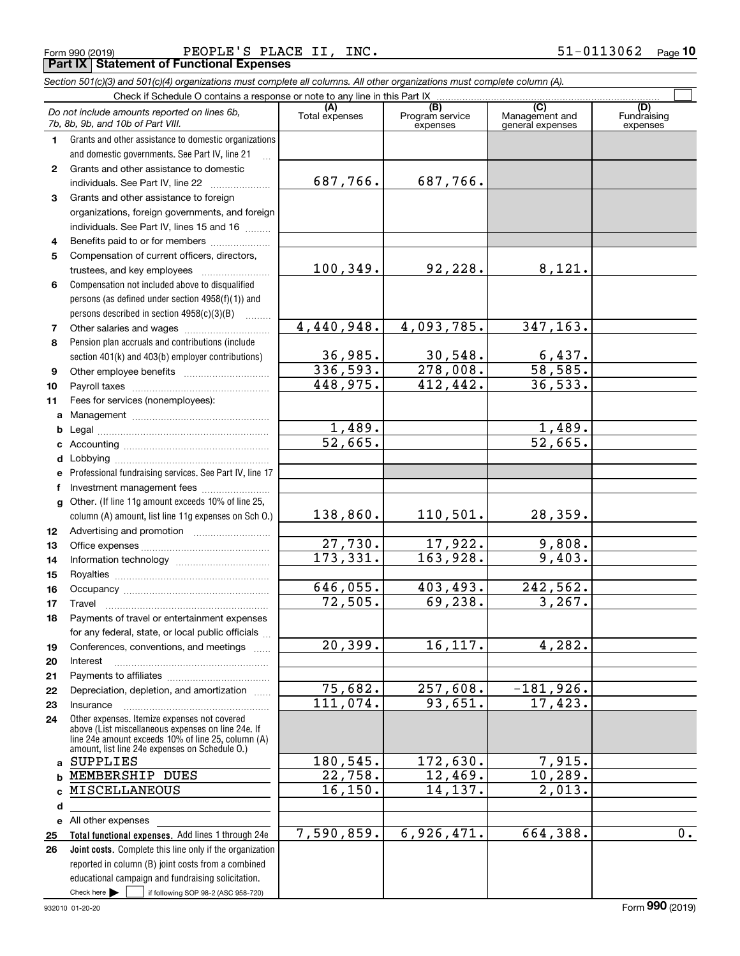**e** All other expenses

> **abcd**

**25 26**

Check here  $\begin{array}{|c|c|c|c|c|}\hline \text{ } & \text{ if following SOP 98-2 (ASC 958-720)} \hline \end{array}$ 

reported in column (B) joint costs from a combined educational campaign and fundraising solicitation.

**Total functional expenses.**  Add lines 1 through 24e **Joint costs.** Complete this line only if the organization

|    | PEOPLE'S PLACE II, INC.<br>Form 990 (2019)<br><b>Part IX   Statement of Functional Expenses</b>                            |                            |                                    |                                           | 51-0113062<br>Page             |
|----|----------------------------------------------------------------------------------------------------------------------------|----------------------------|------------------------------------|-------------------------------------------|--------------------------------|
|    | Section 501(c)(3) and 501(c)(4) organizations must complete all columns. All other organizations must complete column (A). |                            |                                    |                                           |                                |
|    | Check if Schedule O contains a response or note to any line in this Part IX                                                |                            |                                    |                                           |                                |
|    | Do not include amounts reported on lines 6b,<br>7b, 8b, 9b, and 10b of Part VIII.                                          | (A)<br>Total expenses      | (B)<br>Program service<br>expenses | (C)<br>Management and<br>general expenses | (D)<br>Fundraising<br>expenses |
| 1  | Grants and other assistance to domestic organizations                                                                      |                            |                                    |                                           |                                |
|    | and domestic governments. See Part IV, line 21                                                                             |                            |                                    |                                           |                                |
| 2  | Grants and other assistance to domestic                                                                                    |                            |                                    |                                           |                                |
|    | individuals. See Part IV, line 22                                                                                          | 687,766.                   | 687,766.                           |                                           |                                |
| 3  | Grants and other assistance to foreign                                                                                     |                            |                                    |                                           |                                |
|    | organizations, foreign governments, and foreign                                                                            |                            |                                    |                                           |                                |
|    | individuals. See Part IV, lines 15 and 16                                                                                  |                            |                                    |                                           |                                |
| 4  | Benefits paid to or for members                                                                                            |                            |                                    |                                           |                                |
| 5  | Compensation of current officers, directors,                                                                               |                            |                                    |                                           |                                |
|    | trustees, and key employees                                                                                                | 100, 349.                  | 92,228.                            | 8,121.                                    |                                |
| 6  | Compensation not included above to disqualified                                                                            |                            |                                    |                                           |                                |
|    | persons (as defined under section 4958(f)(1)) and                                                                          |                            |                                    |                                           |                                |
|    | persons described in section 4958(c)(3)(B)                                                                                 |                            |                                    |                                           |                                |
| 7  |                                                                                                                            | 4,440,948.                 | 4,093,785.                         | 347,163.                                  |                                |
| 8  | Pension plan accruals and contributions (include                                                                           |                            |                                    |                                           |                                |
|    | section 401(k) and 403(b) employer contributions)                                                                          | $\frac{36,985.}{336,593.}$ | 30,548.                            | $\frac{6,437}{58,585}$                    |                                |
| 9  |                                                                                                                            |                            | 278,008.                           | 36, 533.                                  |                                |
| 10 |                                                                                                                            | 448,975.                   | 412, 442.                          |                                           |                                |
| 11 | Fees for services (nonemployees):                                                                                          |                            |                                    |                                           |                                |
| a  |                                                                                                                            | 1,489.                     |                                    | 1,489.                                    |                                |
| b  |                                                                                                                            | 52,665.                    |                                    | 52,665.                                   |                                |
|    |                                                                                                                            |                            |                                    |                                           |                                |
|    | e Professional fundraising services. See Part IV, line 17                                                                  |                            |                                    |                                           |                                |
| f  | Investment management fees                                                                                                 |                            |                                    |                                           |                                |
| a  | Other. (If line 11g amount exceeds 10% of line 25,                                                                         |                            |                                    |                                           |                                |
|    | column (A) amount, list line 11g expenses on Sch O.)                                                                       | 138,860.                   | 110,501.                           | 28,359.                                   |                                |
| 12 |                                                                                                                            |                            |                                    |                                           |                                |
| 13 |                                                                                                                            | 27,730.                    | 17,922.                            | 9,808.                                    |                                |
| 14 |                                                                                                                            | 173,331.                   | 163,928.                           | 9,403.                                    |                                |
| 15 |                                                                                                                            |                            |                                    |                                           |                                |
| 16 |                                                                                                                            | 646,055.                   | 403,493.                           | 242,562.                                  |                                |
| 17 |                                                                                                                            | 72,505.                    | 69,238.                            | 3, 267.                                   |                                |
| 18 | Payments of travel or entertainment expenses                                                                               |                            |                                    |                                           |                                |
|    | for any federal, state, or local public officials                                                                          |                            |                                    |                                           |                                |
| 19 | Conferences, conventions, and meetings                                                                                     | 20, 399.                   | 16, 117.                           | 4,282.                                    |                                |
| 20 | Interest                                                                                                                   |                            |                                    |                                           |                                |
| 21 |                                                                                                                            | 75,682.                    | 257,608.                           | $-181,926$ .                              |                                |
| 22 | Depreciation, depletion, and amortization                                                                                  | 111,074.                   | 93,651.                            | 17,423.                                   |                                |
| 23 | Insurance<br>Other expenses. Itemize expenses not covered                                                                  |                            |                                    |                                           |                                |
| 24 | above (List miscellaneous expenses on line 24e. If                                                                         |                            |                                    |                                           |                                |
|    | line 24e amount exceeds 10% of line 25, column (A)<br>amount, list line 24e expenses on Schedule O.)                       |                            |                                    |                                           |                                |
| a  | SUPPLIES                                                                                                                   | 180,545.                   | 172,630.                           | 7,915.                                    |                                |
| b  | MEMBERSHIP DUES                                                                                                            | 22,758.                    | 12,469.                            | 10,289.                                   |                                |
|    | c MISCELLANEOUS                                                                                                            | 16, 150.                   | 14,137.                            | 2,013.                                    |                                |

7,590,859.

Form (2019) **990**

6,926,471. 664,388. 0.

 $\mathcal{L}^{\text{max}}$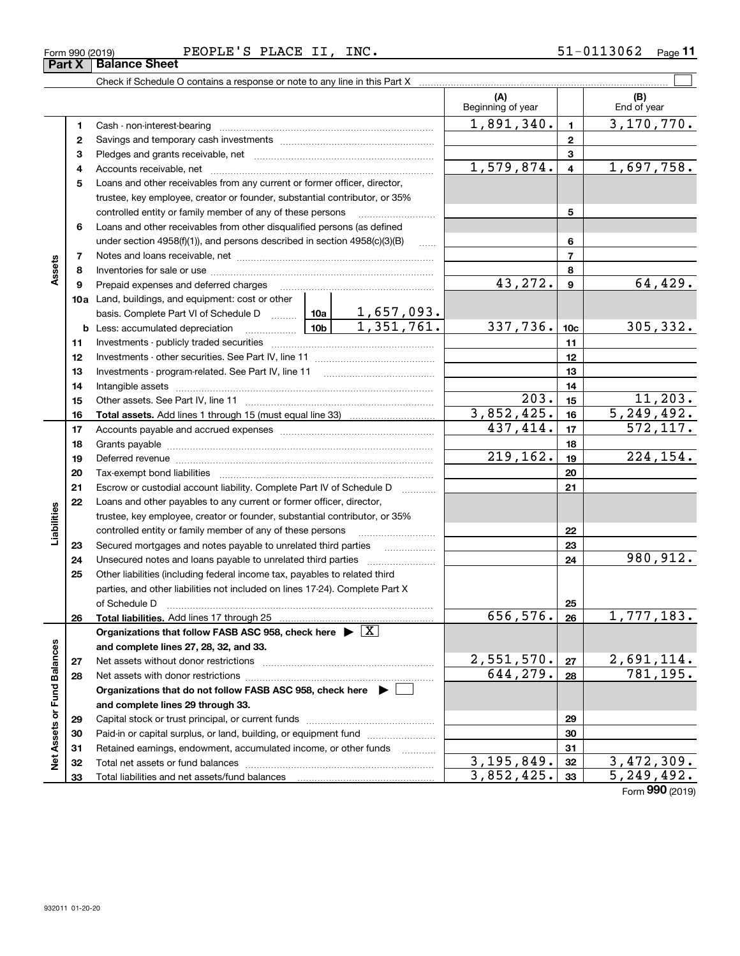| Form 990 (2019) |                               | PEOPLE'S PLACE |  | INC. | -0113062- | Page |
|-----------------|-------------------------------|----------------|--|------|-----------|------|
|                 | <b>Part X   Balance Sheet</b> |                |  |      |           |      |

|       |                                                                                                                                                                                                                                |                         |    | (A)<br>Beginning of year |                         | (B)<br>End of year |
|-------|--------------------------------------------------------------------------------------------------------------------------------------------------------------------------------------------------------------------------------|-------------------------|----|--------------------------|-------------------------|--------------------|
| 1     | Cash - non-interest-bearing                                                                                                                                                                                                    | 1,891,340.              | 1  | 3, 170, 770.             |                         |                    |
| 2     |                                                                                                                                                                                                                                |                         |    | $\overline{2}$           |                         |                    |
| 3     |                                                                                                                                                                                                                                |                         |    |                          | 3                       |                    |
| 4     |                                                                                                                                                                                                                                |                         |    | 1,579,874.               | $\overline{\mathbf{4}}$ | 1,697,758.         |
| 5     | Loans and other receivables from any current or former officer, director,                                                                                                                                                      |                         |    |                          |                         |                    |
|       | trustee, key employee, creator or founder, substantial contributor, or 35%                                                                                                                                                     |                         |    |                          |                         |                    |
|       | controlled entity or family member of any of these persons                                                                                                                                                                     |                         |    |                          | 5                       |                    |
| 6     | Loans and other receivables from other disqualified persons (as defined                                                                                                                                                        |                         |    |                          |                         |                    |
|       | under section 4958(f)(1)), and persons described in section 4958(c)(3)(B)                                                                                                                                                      | $\sim$                  |    | 6                        |                         |                    |
| 7     |                                                                                                                                                                                                                                |                         | 7  |                          |                         |                    |
| 8     |                                                                                                                                                                                                                                |                         | 8  |                          |                         |                    |
| 9     | Prepaid expenses and deferred charges                                                                                                                                                                                          |                         |    | 43,272.                  | 9                       | 64,429.            |
| l0a l | Land, buildings, and equipment: cost or other                                                                                                                                                                                  |                         |    |                          |                         |                    |
|       | basis. Complete Part VI of Schedule D $\begin{array}{ c c c c c }\n\hline\n1,657,093. \\ \hline\n\text{Less: accumulated depreciation} & \text{10b} & \text{1,351,761.}\n\end{array}$                                          |                         |    |                          |                         |                    |
|       | <b>b</b> Less: accumulated depreciation                                                                                                                                                                                        |                         |    | 337,736.                 | 10 <sub>c</sub>         | 305, 332.          |
| 11    |                                                                                                                                                                                                                                |                         |    |                          | 11                      |                    |
| 12    |                                                                                                                                                                                                                                |                         |    |                          | 12                      |                    |
| 13    |                                                                                                                                                                                                                                |                         |    |                          | 13                      |                    |
| 14    |                                                                                                                                                                                                                                |                         |    |                          | 14                      |                    |
| 15    |                                                                                                                                                                                                                                | 203.                    | 15 | 11, 203.                 |                         |                    |
| 16    |                                                                                                                                                                                                                                | $\overline{3,852,425.}$ | 16 | 5, 249, 492.             |                         |                    |
| 17    |                                                                                                                                                                                                                                |                         |    | 437,414.                 | 17                      | 572, 117.          |
| 18    |                                                                                                                                                                                                                                |                         |    |                          | 18                      |                    |
| 19    | Deferred revenue material contracts and a contract of the contract of the contract of the contract of the contract of the contract of the contract of the contract of the contract of the contract of the contract of the cont |                         |    | 219, 162.                | 19                      | 224, 154.          |
| 20    |                                                                                                                                                                                                                                |                         |    |                          | 20                      |                    |

|                   | 19 | Deferred revenue                                                                                  | 719,162.     | 19 | 224,154.                        |
|-------------------|----|---------------------------------------------------------------------------------------------------|--------------|----|---------------------------------|
|                   | 20 |                                                                                                   |              | 20 |                                 |
|                   | 21 | Escrow or custodial account liability. Complete Part IV of Schedule D                             |              | 21 |                                 |
|                   | 22 | Loans and other payables to any current or former officer, director,                              |              |    |                                 |
|                   |    | trustee, key employee, creator or founder, substantial contributor, or 35%                        |              |    |                                 |
| Liabilities       |    | controlled entity or family member of any of these persons                                        |              | 22 |                                 |
|                   | 23 | Secured mortgages and notes payable to unrelated third parties                                    |              | 23 |                                 |
|                   | 24 |                                                                                                   |              | 24 | 980,912.                        |
|                   | 25 | Other liabilities (including federal income tax, payables to related third                        |              |    |                                 |
|                   |    | parties, and other liabilities not included on lines 17-24). Complete Part X                      |              |    |                                 |
|                   |    | of Schedule D                                                                                     |              | 25 |                                 |
|                   | 26 |                                                                                                   | 656,576.     | 26 | 1,777,183.                      |
|                   |    |                                                                                                   |              |    |                                 |
|                   |    | Organizations that follow FASB ASC 958, check here $\triangleright \lfloor \underline{X} \rfloor$ |              |    |                                 |
|                   |    | and complete lines 27, 28, 32, and 33.                                                            |              |    |                                 |
|                   | 27 |                                                                                                   | 2,551,570.   | 27 | 2,691,114.                      |
|                   | 28 |                                                                                                   | 644,279.     | 28 | 781,195.                        |
|                   |    | Organizations that do not follow FASB ASC 958, check here $\blacktriangleright$                   |              |    |                                 |
| Fund Balances     |    | and complete lines 29 through 33.                                                                 |              |    |                                 |
| ð                 | 29 |                                                                                                   |              | 29 |                                 |
|                   | 30 |                                                                                                   |              | 30 |                                 |
|                   | 31 | Retained earnings, endowment, accumulated income, or other funds<br>1.1.1.1.1.1.1.1.1.1           |              | 31 |                                 |
| <b>Net Assets</b> | 32 |                                                                                                   | 3, 195, 849. | 32 | 3,472,309.                      |
|                   | 33 |                                                                                                   | 3,852,425.   | 33 | 5, 249, 492.<br>Form 990 (2019) |

**Assets**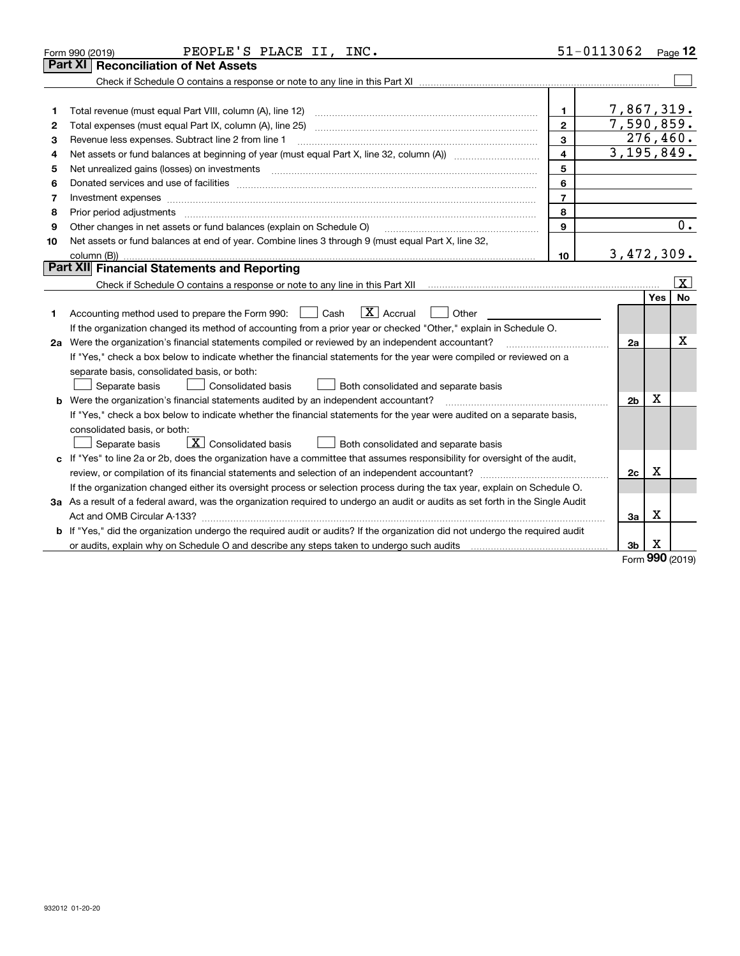|    | PEOPLE'S PLACE II, INC.<br>Form 990 (2019)                                                                                      |                         | 51-0113062     |             | $_{\text{Page}}$ 12     |
|----|---------------------------------------------------------------------------------------------------------------------------------|-------------------------|----------------|-------------|-------------------------|
|    | <b>Reconciliation of Net Assets</b><br>Part XI                                                                                  |                         |                |             |                         |
|    |                                                                                                                                 |                         |                |             |                         |
|    |                                                                                                                                 |                         |                |             |                         |
| 1  | Total revenue (must equal Part VIII, column (A), line 12)                                                                       | 1.                      | 7,867,319.     |             |                         |
| 2  |                                                                                                                                 | $\mathbf{2}$            | 7,590,859.     |             |                         |
| з  | Revenue less expenses. Subtract line 2 from line 1                                                                              | 3                       | 276,460.       |             |                         |
| 4  |                                                                                                                                 | $\overline{\mathbf{4}}$ | 3, 195, 849.   |             |                         |
| 5  |                                                                                                                                 | 5                       |                |             |                         |
| 6  |                                                                                                                                 | 6                       |                |             |                         |
| 7  | Investment expenses www.communication.com/www.communication.com/www.communication.com/www.com                                   | $\overline{7}$          |                |             |                         |
| 8  | Prior period adjustments                                                                                                        | 8                       |                |             |                         |
| 9  | Other changes in net assets or fund balances (explain on Schedule O)                                                            | 9                       |                |             | 0.                      |
| 10 | Net assets or fund balances at end of year. Combine lines 3 through 9 (must equal Part X, line 32,                              |                         |                |             |                         |
|    |                                                                                                                                 | 10                      | 3,472,309.     |             |                         |
|    | Part XII Financial Statements and Reporting                                                                                     |                         |                |             |                         |
|    |                                                                                                                                 |                         |                |             | $\overline{\mathbf{X}}$ |
|    |                                                                                                                                 |                         |                | Yes         | No                      |
| 1  | $\boxed{\mathbf{X}}$ Accrual<br>Accounting method used to prepare the Form 990: <u>June</u> Cash<br>Other                       |                         |                |             |                         |
|    | If the organization changed its method of accounting from a prior year or checked "Other," explain in Schedule O.               |                         |                |             |                         |
|    | 2a Were the organization's financial statements compiled or reviewed by an independent accountant?                              |                         | 2a             |             | X                       |
|    | If "Yes," check a box below to indicate whether the financial statements for the year were compiled or reviewed on a            |                         |                |             |                         |
|    | separate basis, consolidated basis, or both:                                                                                    |                         |                |             |                         |
|    | Separate basis<br>Consolidated basis<br>Both consolidated and separate basis                                                    |                         |                |             |                         |
|    | <b>b</b> Were the organization's financial statements audited by an independent accountant?                                     |                         | 2 <sub>b</sub> | х           |                         |
|    | If "Yes," check a box below to indicate whether the financial statements for the year were audited on a separate basis,         |                         |                |             |                         |
|    | consolidated basis, or both:<br>$\boxed{\mathbf{X}}$ Consolidated basis                                                         |                         |                |             |                         |
|    | Separate basis<br>Both consolidated and separate basis                                                                          |                         |                |             |                         |
|    | c If "Yes" to line 2a or 2b, does the organization have a committee that assumes responsibility for oversight of the audit,     |                         |                | х           |                         |
|    |                                                                                                                                 |                         | 2c             |             |                         |
|    | If the organization changed either its oversight process or selection process during the tax year, explain on Schedule O.       |                         |                |             |                         |
|    | 3a As a result of a federal award, was the organization required to undergo an audit or audits as set forth in the Single Audit |                         |                | х           |                         |
|    |                                                                                                                                 |                         | За             |             |                         |
|    | b If "Yes," did the organization undergo the required audit or audits? If the organization did not undergo the required audit   |                         |                |             |                         |
|    |                                                                                                                                 |                         | 3b             | х<br>$\sim$ |                         |

Form (2019) **990**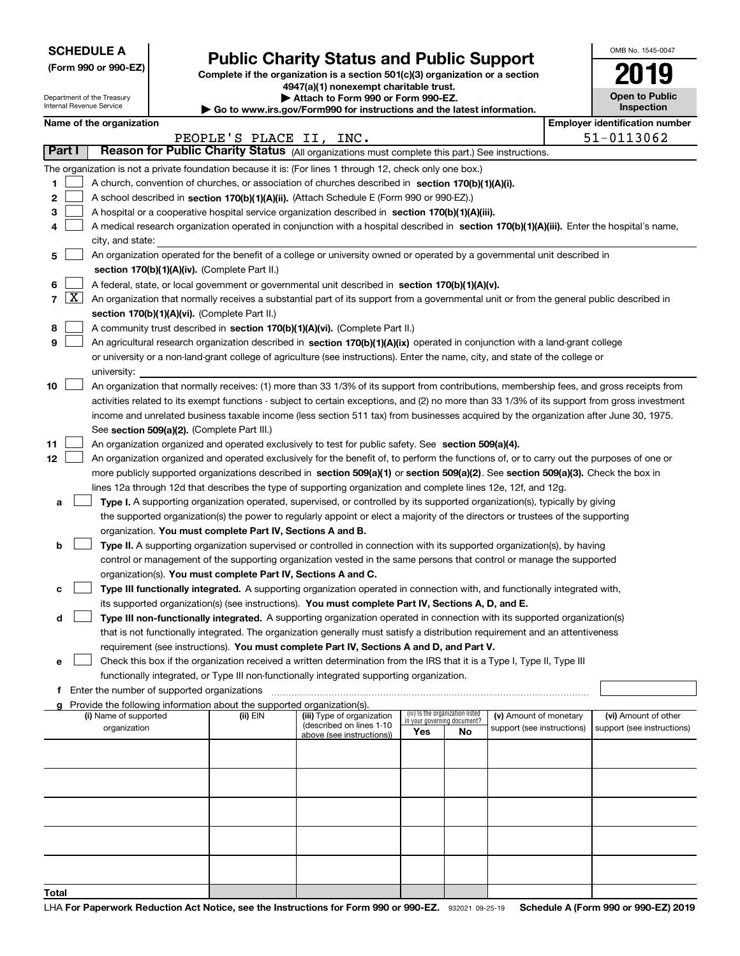|  | <b>SCHEDULE A</b> |
|--|-------------------|
|--|-------------------|

Department of the Treasury Internal Revenue Service

|  |  |  | (Form 990 or 990-EZ) |
|--|--|--|----------------------|
|--|--|--|----------------------|

## **Public Charity Status and Public Support**

**Complete if the organization is a section 501(c)(3) organization or a section 4947(a)(1) nonexempt charitable trust. | Attach to Form 990 or Form 990-EZ.** 

| $\triangleright$ Allach to Form occurs the children EL.                  |
|--------------------------------------------------------------------------|
| ▶ Go to www.irs.gov/Form990 for instructions and the latest information. |

| OMB No 1545-0047                    |
|-------------------------------------|
| 2019                                |
| <b>Open to Public</b><br>Inspection |

|       |            | Name of the organization                                                                                                                                                                                                                                                               |                         |                            |                                                                |    |                            |  | <b>Employer identification number</b> |
|-------|------------|----------------------------------------------------------------------------------------------------------------------------------------------------------------------------------------------------------------------------------------------------------------------------------------|-------------------------|----------------------------|----------------------------------------------------------------|----|----------------------------|--|---------------------------------------|
|       |            |                                                                                                                                                                                                                                                                                        | PEOPLE'S PLACE II, INC. |                            |                                                                |    |                            |  | 51-0113062                            |
|       | Part I     | Reason for Public Charity Status (All organizations must complete this part.) See instructions.                                                                                                                                                                                        |                         |                            |                                                                |    |                            |  |                                       |
|       |            | The organization is not a private foundation because it is: (For lines 1 through 12, check only one box.)                                                                                                                                                                              |                         |                            |                                                                |    |                            |  |                                       |
| 1     |            | A church, convention of churches, or association of churches described in section 170(b)(1)(A)(i).                                                                                                                                                                                     |                         |                            |                                                                |    |                            |  |                                       |
| 2     |            | A school described in section 170(b)(1)(A)(ii). (Attach Schedule E (Form 990 or 990-EZ).)                                                                                                                                                                                              |                         |                            |                                                                |    |                            |  |                                       |
| з     |            | A hospital or a cooperative hospital service organization described in section 170(b)(1)(A)(iii).                                                                                                                                                                                      |                         |                            |                                                                |    |                            |  |                                       |
| 4     |            | A medical research organization operated in conjunction with a hospital described in section 170(b)(1)(A)(iii). Enter the hospital's name,                                                                                                                                             |                         |                            |                                                                |    |                            |  |                                       |
|       |            | city, and state:                                                                                                                                                                                                                                                                       |                         |                            |                                                                |    |                            |  |                                       |
| 5     |            | An organization operated for the benefit of a college or university owned or operated by a governmental unit described in                                                                                                                                                              |                         |                            |                                                                |    |                            |  |                                       |
|       |            | section 170(b)(1)(A)(iv). (Complete Part II.)                                                                                                                                                                                                                                          |                         |                            |                                                                |    |                            |  |                                       |
| 6     |            | A federal, state, or local government or governmental unit described in section 170(b)(1)(A)(v).                                                                                                                                                                                       |                         |                            |                                                                |    |                            |  |                                       |
|       | $7 \times$ | An organization that normally receives a substantial part of its support from a governmental unit or from the general public described in                                                                                                                                              |                         |                            |                                                                |    |                            |  |                                       |
|       |            | section 170(b)(1)(A)(vi). (Complete Part II.)                                                                                                                                                                                                                                          |                         |                            |                                                                |    |                            |  |                                       |
| 8     |            | A community trust described in section 170(b)(1)(A)(vi). (Complete Part II.)                                                                                                                                                                                                           |                         |                            |                                                                |    |                            |  |                                       |
| 9     |            | An agricultural research organization described in section 170(b)(1)(A)(ix) operated in conjunction with a land-grant college                                                                                                                                                          |                         |                            |                                                                |    |                            |  |                                       |
|       |            | or university or a non-land-grant college of agriculture (see instructions). Enter the name, city, and state of the college or                                                                                                                                                         |                         |                            |                                                                |    |                            |  |                                       |
|       |            | university:                                                                                                                                                                                                                                                                            |                         |                            |                                                                |    |                            |  |                                       |
| 10    |            | An organization that normally receives: (1) more than 33 1/3% of its support from contributions, membership fees, and gross receipts from                                                                                                                                              |                         |                            |                                                                |    |                            |  |                                       |
|       |            | activities related to its exempt functions - subject to certain exceptions, and (2) no more than 33 1/3% of its support from gross investment<br>income and unrelated business taxable income (less section 511 tax) from businesses acquired by the organization after June 30, 1975. |                         |                            |                                                                |    |                            |  |                                       |
|       |            | See section 509(a)(2). (Complete Part III.)                                                                                                                                                                                                                                            |                         |                            |                                                                |    |                            |  |                                       |
| 11    |            | An organization organized and operated exclusively to test for public safety. See section 509(a)(4).                                                                                                                                                                                   |                         |                            |                                                                |    |                            |  |                                       |
| 12    |            | An organization organized and operated exclusively for the benefit of, to perform the functions of, or to carry out the purposes of one or                                                                                                                                             |                         |                            |                                                                |    |                            |  |                                       |
|       |            | more publicly supported organizations described in section 509(a)(1) or section 509(a)(2). See section 509(a)(3). Check the box in                                                                                                                                                     |                         |                            |                                                                |    |                            |  |                                       |
|       |            | lines 12a through 12d that describes the type of supporting organization and complete lines 12e, 12f, and 12g.                                                                                                                                                                         |                         |                            |                                                                |    |                            |  |                                       |
| a     |            | Type I. A supporting organization operated, supervised, or controlled by its supported organization(s), typically by giving                                                                                                                                                            |                         |                            |                                                                |    |                            |  |                                       |
|       |            | the supported organization(s) the power to regularly appoint or elect a majority of the directors or trustees of the supporting                                                                                                                                                        |                         |                            |                                                                |    |                            |  |                                       |
|       |            | organization. You must complete Part IV, Sections A and B.                                                                                                                                                                                                                             |                         |                            |                                                                |    |                            |  |                                       |
| b     |            | Type II. A supporting organization supervised or controlled in connection with its supported organization(s), by having                                                                                                                                                                |                         |                            |                                                                |    |                            |  |                                       |
|       |            | control or management of the supporting organization vested in the same persons that control or manage the supported                                                                                                                                                                   |                         |                            |                                                                |    |                            |  |                                       |
|       |            | organization(s). You must complete Part IV, Sections A and C.                                                                                                                                                                                                                          |                         |                            |                                                                |    |                            |  |                                       |
|       |            | Type III functionally integrated. A supporting organization operated in connection with, and functionally integrated with,                                                                                                                                                             |                         |                            |                                                                |    |                            |  |                                       |
|       |            | its supported organization(s) (see instructions). You must complete Part IV, Sections A, D, and E.                                                                                                                                                                                     |                         |                            |                                                                |    |                            |  |                                       |
| d     |            | Type III non-functionally integrated. A supporting organization operated in connection with its supported organization(s)                                                                                                                                                              |                         |                            |                                                                |    |                            |  |                                       |
|       |            | that is not functionally integrated. The organization generally must satisfy a distribution requirement and an attentiveness                                                                                                                                                           |                         |                            |                                                                |    |                            |  |                                       |
|       |            | requirement (see instructions). You must complete Part IV, Sections A and D, and Part V.                                                                                                                                                                                               |                         |                            |                                                                |    |                            |  |                                       |
| е     |            | Check this box if the organization received a written determination from the IRS that it is a Type I, Type II, Type III                                                                                                                                                                |                         |                            |                                                                |    |                            |  |                                       |
|       |            | functionally integrated, or Type III non-functionally integrated supporting organization.                                                                                                                                                                                              |                         |                            |                                                                |    |                            |  |                                       |
| f     |            | Enter the number of supported organizations                                                                                                                                                                                                                                            |                         |                            |                                                                |    |                            |  |                                       |
|       |            | Provide the following information about the supported organization(s).<br>(i) Name of supported                                                                                                                                                                                        | (ii) EIN                | (iii) Type of organization | (iv) Is the organization listed<br>in your governing document? |    | (v) Amount of monetary     |  | (vi) Amount of other                  |
|       |            | organization                                                                                                                                                                                                                                                                           |                         | (described on lines 1-10   |                                                                |    | support (see instructions) |  | support (see instructions)            |
|       |            |                                                                                                                                                                                                                                                                                        |                         | above (see instructions))  | Yes                                                            | No |                            |  |                                       |
|       |            |                                                                                                                                                                                                                                                                                        |                         |                            |                                                                |    |                            |  |                                       |
|       |            |                                                                                                                                                                                                                                                                                        |                         |                            |                                                                |    |                            |  |                                       |
|       |            |                                                                                                                                                                                                                                                                                        |                         |                            |                                                                |    |                            |  |                                       |
|       |            |                                                                                                                                                                                                                                                                                        |                         |                            |                                                                |    |                            |  |                                       |
|       |            |                                                                                                                                                                                                                                                                                        |                         |                            |                                                                |    |                            |  |                                       |
|       |            |                                                                                                                                                                                                                                                                                        |                         |                            |                                                                |    |                            |  |                                       |
|       |            |                                                                                                                                                                                                                                                                                        |                         |                            |                                                                |    |                            |  |                                       |
|       |            |                                                                                                                                                                                                                                                                                        |                         |                            |                                                                |    |                            |  |                                       |
|       |            |                                                                                                                                                                                                                                                                                        |                         |                            |                                                                |    |                            |  |                                       |
| Total |            |                                                                                                                                                                                                                                                                                        |                         |                            |                                                                |    |                            |  |                                       |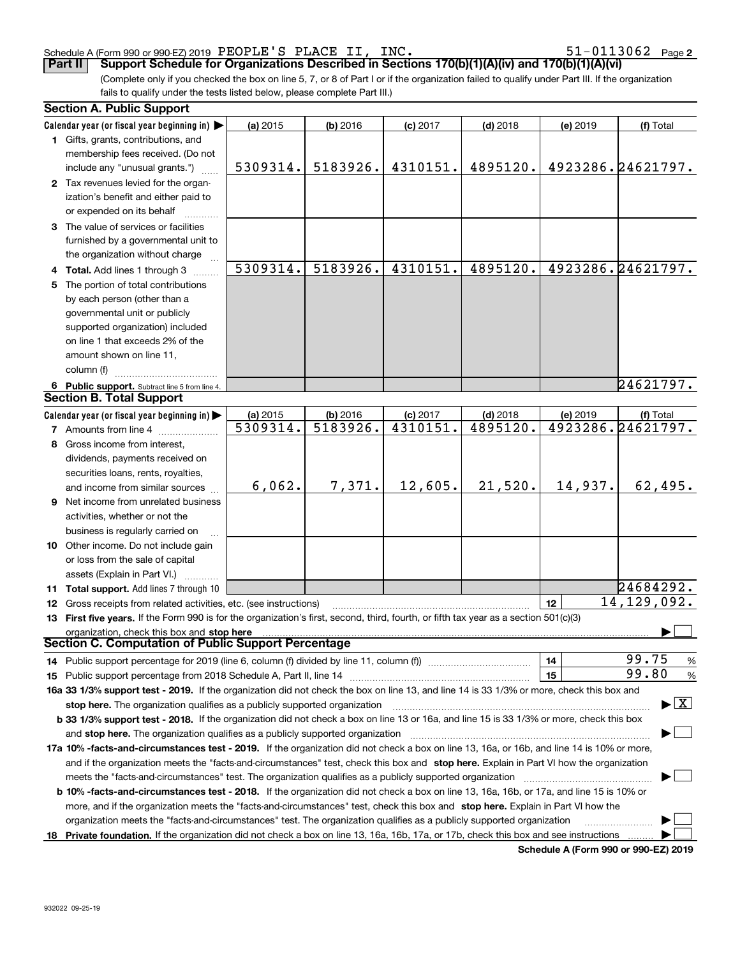| 932022 09-25-19 |
|-----------------|

#### Schedule A (Form 990 or 990-EZ) 2019 Page PEOPLE'S PLACE II, INC. 51-0113062

(Complete only if you checked the box on line 5, 7, or 8 of Part I or if the organization failed to qualify under Part III. If the organization fails to qualify under the tests listed below, please complete Part III.) **Part II Support Schedule for Organizations Described in Sections 170(b)(1)(A)(iv) and 170(b)(1)(A)(vi)** 

|     | <b>Section A. Public Support</b>                                                                                                               |          |            |            |            |            |                                          |
|-----|------------------------------------------------------------------------------------------------------------------------------------------------|----------|------------|------------|------------|------------|------------------------------------------|
|     | Calendar year (or fiscal year beginning in)                                                                                                    | (a) 2015 | (b) 2016   | $(c)$ 2017 | $(d)$ 2018 | $(e)$ 2019 | (f) Total                                |
|     | 1 Gifts, grants, contributions, and                                                                                                            |          |            |            |            |            |                                          |
|     | membership fees received. (Do not                                                                                                              |          |            |            |            |            |                                          |
|     | include any "unusual grants.")                                                                                                                 | 5309314. | 5183926.   | 4310151.   | 4895120.   |            | 4923286.24621797.                        |
|     | 2 Tax revenues levied for the organ-                                                                                                           |          |            |            |            |            |                                          |
|     | ization's benefit and either paid to                                                                                                           |          |            |            |            |            |                                          |
|     | or expended on its behalf                                                                                                                      |          |            |            |            |            |                                          |
|     | 3 The value of services or facilities                                                                                                          |          |            |            |            |            |                                          |
|     | furnished by a governmental unit to                                                                                                            |          |            |            |            |            |                                          |
|     | the organization without charge                                                                                                                |          |            |            |            |            |                                          |
|     | <b>Total.</b> Add lines 1 through 3                                                                                                            | 5309314. | 5183926.   | 4310151.   | 4895120.   |            | 4923286.24621797.                        |
| 5   | The portion of total contributions                                                                                                             |          |            |            |            |            |                                          |
|     | by each person (other than a                                                                                                                   |          |            |            |            |            |                                          |
|     | governmental unit or publicly                                                                                                                  |          |            |            |            |            |                                          |
|     | supported organization) included                                                                                                               |          |            |            |            |            |                                          |
|     | on line 1 that exceeds 2% of the                                                                                                               |          |            |            |            |            |                                          |
|     | amount shown on line 11,                                                                                                                       |          |            |            |            |            |                                          |
|     | column (f)                                                                                                                                     |          |            |            |            |            |                                          |
|     | 6 Public support. Subtract line 5 from line 4.                                                                                                 |          |            |            |            |            | 24621797.                                |
|     | <b>Section B. Total Support</b>                                                                                                                |          |            |            |            |            |                                          |
|     | Calendar year (or fiscal year beginning in)                                                                                                    | (a) 2015 | $(b)$ 2016 | $(c)$ 2017 | $(d)$ 2018 | (e) 2019   | (f) Total                                |
|     | 7 Amounts from line 4                                                                                                                          | 5309314. | 5183926.   | 4310151.   | 4895120.   |            | 4923286.24621797.                        |
|     | 8 Gross income from interest,                                                                                                                  |          |            |            |            |            |                                          |
|     | dividends, payments received on                                                                                                                |          |            |            |            |            |                                          |
|     | securities loans, rents, royalties,                                                                                                            |          |            |            |            |            |                                          |
|     | and income from similar sources                                                                                                                | 6,062.   | 7,371.     | 12,605.    | 21,520.    | 14,937.    | 62,495.                                  |
| 9   | Net income from unrelated business                                                                                                             |          |            |            |            |            |                                          |
|     | activities, whether or not the                                                                                                                 |          |            |            |            |            |                                          |
|     | business is regularly carried on                                                                                                               |          |            |            |            |            |                                          |
|     | 10 Other income. Do not include gain                                                                                                           |          |            |            |            |            |                                          |
|     | or loss from the sale of capital                                                                                                               |          |            |            |            |            |                                          |
|     | assets (Explain in Part VI.)                                                                                                                   |          |            |            |            |            |                                          |
|     | 11 Total support. Add lines 7 through 10                                                                                                       |          |            |            |            |            | 24684292.<br>14, 129, 092.               |
| 12  | Gross receipts from related activities, etc. (see instructions)                                                                                |          |            |            |            | 12         |                                          |
| 13. | First five years. If the Form 990 is for the organization's first, second, third, fourth, or fifth tax year as a section 501(c)(3)             |          |            |            |            |            |                                          |
|     | Section C. Computation of Public Support Percentage                                                                                            |          |            |            |            |            |                                          |
|     |                                                                                                                                                |          |            |            |            |            | 99.75                                    |
|     | 14 Public support percentage for 2019 (line 6, column (f) divided by line 11, column (f) <i>marrourcommum</i>                                  |          |            |            |            | 14<br>15   | %<br>99.80<br>%                          |
| 15  | 16a 33 1/3% support test - 2019. If the organization did not check the box on line 13, and line 14 is 33 1/3% or more, check this box and      |          |            |            |            |            |                                          |
|     | stop here. The organization qualifies as a publicly supported organization                                                                     |          |            |            |            |            | $\blacktriangleright$ $\boxed{\text{X}}$ |
|     | b 33 1/3% support test - 2018. If the organization did not check a box on line 13 or 16a, and line 15 is 33 1/3% or more, check this box       |          |            |            |            |            |                                          |
|     |                                                                                                                                                |          |            |            |            |            |                                          |
|     | 17a 10% -facts-and-circumstances test - 2019. If the organization did not check a box on line 13, 16a, or 16b, and line 14 is 10% or more,     |          |            |            |            |            |                                          |
|     | and if the organization meets the "facts-and-circumstances" test, check this box and stop here. Explain in Part VI how the organization        |          |            |            |            |            |                                          |
|     |                                                                                                                                                |          |            |            |            |            |                                          |
|     | <b>b 10% -facts-and-circumstances test - 2018.</b> If the organization did not check a box on line 13, 16a, 16b, or 17a, and line 15 is 10% or |          |            |            |            |            |                                          |
|     | more, and if the organization meets the "facts-and-circumstances" test, check this box and stop here. Explain in Part VI how the               |          |            |            |            |            |                                          |
|     | organization meets the "facts-and-circumstances" test. The organization qualifies as a publicly supported organization                         |          |            |            |            |            |                                          |
|     | 18 Private foundation. If the organization did not check a box on line 13, 16a, 16b, 17a, or 17b, check this box and see instructions          |          |            |            |            |            |                                          |

**Schedule A (Form 990 or 990-EZ) 2019**

**2**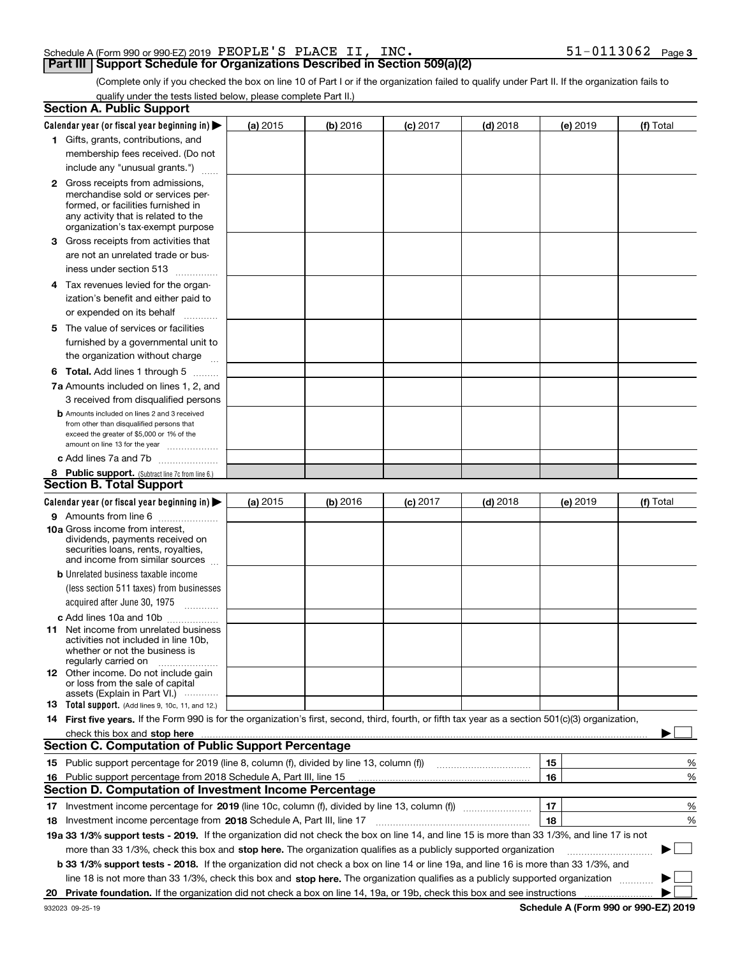|       |  | Schedule A (Form 990 or 990-EZ) 2019 $\rm~PEOPLE$ $\rm ^{\prime}$ S $\rm~PLACE$ |  |  | INC. |         | -0113062 | Page 3 |
|-------|--|---------------------------------------------------------------------------------|--|--|------|---------|----------|--------|
| ----- |  |                                                                                 |  |  |      | ---- 12 |          |        |

(Complete only if you checked the box on line 10 of Part I or if the organization failed to qualify under Part II. If the organization fails to qualify under the tests listed below, please complete Part II.)

|    | <b>Section A. Public Support</b>                                                                                                                    |            |          |            |            |          |             |
|----|-----------------------------------------------------------------------------------------------------------------------------------------------------|------------|----------|------------|------------|----------|-------------|
|    | Calendar year (or fiscal year beginning in) $\blacktriangleright$                                                                                   | (a) 2015   | (b) 2016 | $(c)$ 2017 | $(d)$ 2018 | (e) 2019 | (f) Total   |
|    | 1 Gifts, grants, contributions, and                                                                                                                 |            |          |            |            |          |             |
|    | membership fees received. (Do not                                                                                                                   |            |          |            |            |          |             |
|    | include any "unusual grants.")                                                                                                                      |            |          |            |            |          |             |
|    | <b>2</b> Gross receipts from admissions,                                                                                                            |            |          |            |            |          |             |
|    | merchandise sold or services per-                                                                                                                   |            |          |            |            |          |             |
|    | formed, or facilities furnished in                                                                                                                  |            |          |            |            |          |             |
|    | any activity that is related to the<br>organization's tax-exempt purpose                                                                            |            |          |            |            |          |             |
|    | 3 Gross receipts from activities that                                                                                                               |            |          |            |            |          |             |
|    | are not an unrelated trade or bus-                                                                                                                  |            |          |            |            |          |             |
|    | iness under section 513                                                                                                                             |            |          |            |            |          |             |
|    | 4 Tax revenues levied for the organ-                                                                                                                |            |          |            |            |          |             |
|    | ization's benefit and either paid to                                                                                                                |            |          |            |            |          |             |
|    | or expended on its behalf                                                                                                                           |            |          |            |            |          |             |
|    | .                                                                                                                                                   |            |          |            |            |          |             |
|    | 5 The value of services or facilities                                                                                                               |            |          |            |            |          |             |
|    | furnished by a governmental unit to                                                                                                                 |            |          |            |            |          |             |
|    | the organization without charge                                                                                                                     |            |          |            |            |          |             |
|    | <b>6 Total.</b> Add lines 1 through 5                                                                                                               |            |          |            |            |          |             |
|    | 7a Amounts included on lines 1, 2, and                                                                                                              |            |          |            |            |          |             |
|    | 3 received from disqualified persons                                                                                                                |            |          |            |            |          |             |
|    | <b>b</b> Amounts included on lines 2 and 3 received<br>from other than disqualified persons that                                                    |            |          |            |            |          |             |
|    | exceed the greater of \$5,000 or 1% of the                                                                                                          |            |          |            |            |          |             |
|    | amount on line 13 for the year                                                                                                                      |            |          |            |            |          |             |
|    | c Add lines 7a and 7b                                                                                                                               |            |          |            |            |          |             |
|    | 8 Public support. (Subtract line 7c from line 6.)                                                                                                   |            |          |            |            |          |             |
|    | <b>Section B. Total Support</b>                                                                                                                     |            |          |            |            |          |             |
|    | Calendar year (or fiscal year beginning in) $\blacktriangleright$                                                                                   | (a) $2015$ | (b) 2016 | $(c)$ 2017 | $(d)$ 2018 | (e) 2019 | (f) Total   |
|    | 9 Amounts from line 6                                                                                                                               |            |          |            |            |          |             |
|    | <b>10a</b> Gross income from interest,<br>dividends, payments received on                                                                           |            |          |            |            |          |             |
|    | securities loans, rents, royalties,                                                                                                                 |            |          |            |            |          |             |
|    | and income from similar sources                                                                                                                     |            |          |            |            |          |             |
|    | <b>b</b> Unrelated business taxable income                                                                                                          |            |          |            |            |          |             |
|    | (less section 511 taxes) from businesses                                                                                                            |            |          |            |            |          |             |
|    | acquired after June 30, 1975                                                                                                                        |            |          |            |            |          |             |
|    | c Add lines 10a and 10b                                                                                                                             |            |          |            |            |          |             |
|    | 11 Net income from unrelated business                                                                                                               |            |          |            |            |          |             |
|    | activities not included in line 10b,<br>whether or not the business is                                                                              |            |          |            |            |          |             |
|    | regularly carried on                                                                                                                                |            |          |            |            |          |             |
|    | <b>12</b> Other income. Do not include gain                                                                                                         |            |          |            |            |          |             |
|    | or loss from the sale of capital<br>assets (Explain in Part VI.)                                                                                    |            |          |            |            |          |             |
|    | 13 Total support. (Add lines 9, 10c, 11, and 12.)                                                                                                   |            |          |            |            |          |             |
|    | 14 First five years. If the Form 990 is for the organization's first, second, third, fourth, or fifth tax year as a section 501(c)(3) organization, |            |          |            |            |          |             |
|    | check this box and stop here <i>macuum macuum macuum macuum macuum macuum macuum macuum macuum</i>                                                  |            |          |            |            |          |             |
|    | <b>Section C. Computation of Public Support Percentage</b>                                                                                          |            |          |            |            |          |             |
|    | 15 Public support percentage for 2019 (line 8, column (f), divided by line 13, column (f))                                                          |            |          |            |            | 15       | %           |
| 16 | Public support percentage from 2018 Schedule A, Part III, line 15                                                                                   |            |          |            |            | 16       | %           |
|    | <b>Section D. Computation of Investment Income Percentage</b>                                                                                       |            |          |            |            |          |             |
|    | 17 Investment income percentage for 2019 (line 10c, column (f), divided by line 13, column (f))                                                     |            |          |            |            | 17       | %           |
|    | 18 Investment income percentage from 2018 Schedule A, Part III, line 17                                                                             |            |          |            |            | 18       | %           |
|    | 19a 33 1/3% support tests - 2019. If the organization did not check the box on line 14, and line 15 is more than 33 1/3%, and line 17 is not        |            |          |            |            |          |             |
|    | more than 33 1/3%, check this box and stop here. The organization qualifies as a publicly supported organization                                    |            |          |            |            |          | $\sim$<br>▶ |
|    | b 33 1/3% support tests - 2018. If the organization did not check a box on line 14 or line 19a, and line 16 is more than 33 1/3%, and               |            |          |            |            |          |             |
|    | line 18 is not more than 33 1/3%, check this box and stop here. The organization qualifies as a publicly supported organization                     |            |          |            |            |          |             |
|    |                                                                                                                                                     |            |          |            |            |          |             |
| 20 |                                                                                                                                                     |            |          |            |            |          |             |

**Schedule A (Form 990 or 990-EZ) 2019**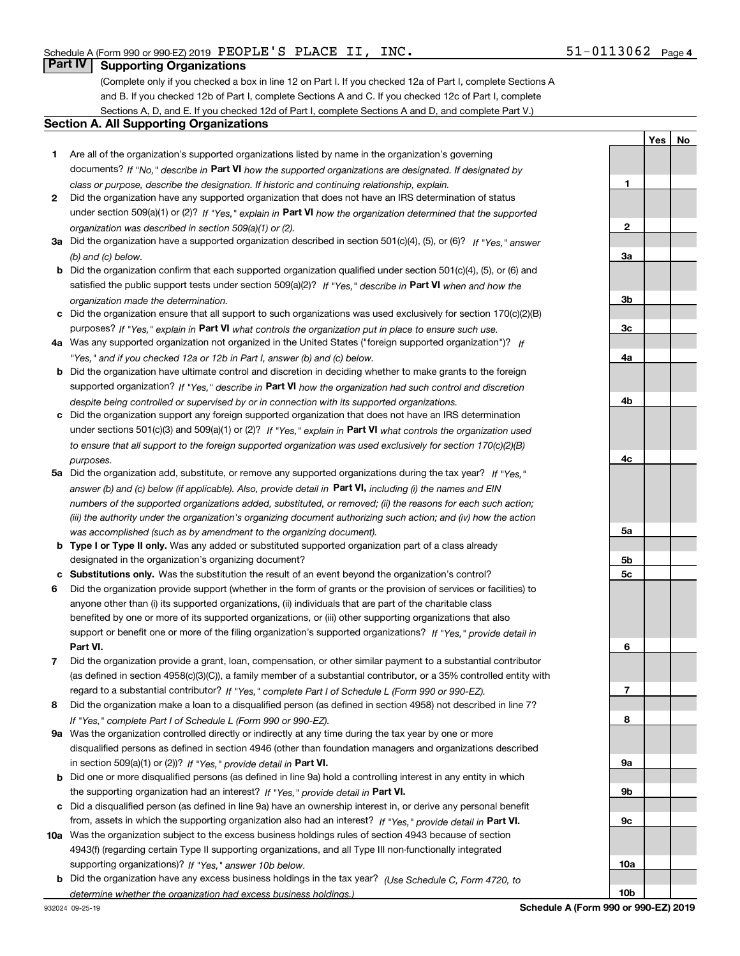**1**

**2**

**3a**

**3b**

**3c**

**4a**

**4b**

**YesNo**

### **Part IV Supporting Organizations**

(Complete only if you checked a box in line 12 on Part I. If you checked 12a of Part I, complete Sections A and B. If you checked 12b of Part I, complete Sections A and C. If you checked 12c of Part I, complete Sections A, D, and E. If you checked 12d of Part I, complete Sections A and D, and complete Part V.)

#### **Section A. All Supporting Organizations**

- **1** Are all of the organization's supported organizations listed by name in the organization's governing documents? If "No," describe in **Part VI** how the supported organizations are designated. If designated by *class or purpose, describe the designation. If historic and continuing relationship, explain.*
- **2** Did the organization have any supported organization that does not have an IRS determination of status under section 509(a)(1) or (2)? If "Yes," explain in Part VI how the organization determined that the supported *organization was described in section 509(a)(1) or (2).*
- **3a** Did the organization have a supported organization described in section 501(c)(4), (5), or (6)? If "Yes," answer *(b) and (c) below.*
- **b** Did the organization confirm that each supported organization qualified under section 501(c)(4), (5), or (6) and satisfied the public support tests under section 509(a)(2)? If "Yes," describe in **Part VI** when and how the *organization made the determination.*
- **c**Did the organization ensure that all support to such organizations was used exclusively for section 170(c)(2)(B) purposes? If "Yes," explain in **Part VI** what controls the organization put in place to ensure such use.
- **4a***If* Was any supported organization not organized in the United States ("foreign supported organization")? *"Yes," and if you checked 12a or 12b in Part I, answer (b) and (c) below.*
- **b** Did the organization have ultimate control and discretion in deciding whether to make grants to the foreign supported organization? If "Yes," describe in **Part VI** how the organization had such control and discretion *despite being controlled or supervised by or in connection with its supported organizations.*
- **c** Did the organization support any foreign supported organization that does not have an IRS determination under sections 501(c)(3) and 509(a)(1) or (2)? If "Yes," explain in **Part VI** what controls the organization used *to ensure that all support to the foreign supported organization was used exclusively for section 170(c)(2)(B) purposes.*
- **5a***If "Yes,"* Did the organization add, substitute, or remove any supported organizations during the tax year? answer (b) and (c) below (if applicable). Also, provide detail in **Part VI,** including (i) the names and EIN *numbers of the supported organizations added, substituted, or removed; (ii) the reasons for each such action; (iii) the authority under the organization's organizing document authorizing such action; and (iv) how the action was accomplished (such as by amendment to the organizing document).*
- **b** Type I or Type II only. Was any added or substituted supported organization part of a class already designated in the organization's organizing document?
- **cSubstitutions only.**  Was the substitution the result of an event beyond the organization's control?
- **6** Did the organization provide support (whether in the form of grants or the provision of services or facilities) to **Part VI.** *If "Yes," provide detail in* support or benefit one or more of the filing organization's supported organizations? anyone other than (i) its supported organizations, (ii) individuals that are part of the charitable class benefited by one or more of its supported organizations, or (iii) other supporting organizations that also
- **7**Did the organization provide a grant, loan, compensation, or other similar payment to a substantial contributor *If "Yes," complete Part I of Schedule L (Form 990 or 990-EZ).* regard to a substantial contributor? (as defined in section 4958(c)(3)(C)), a family member of a substantial contributor, or a 35% controlled entity with
- **8** Did the organization make a loan to a disqualified person (as defined in section 4958) not described in line 7? *If "Yes," complete Part I of Schedule L (Form 990 or 990-EZ).*
- **9a** Was the organization controlled directly or indirectly at any time during the tax year by one or more in section 509(a)(1) or (2))? If "Yes," *provide detail in* <code>Part VI.</code> disqualified persons as defined in section 4946 (other than foundation managers and organizations described
- **b** Did one or more disqualified persons (as defined in line 9a) hold a controlling interest in any entity in which the supporting organization had an interest? If "Yes," provide detail in P**art VI**.
- **c**Did a disqualified person (as defined in line 9a) have an ownership interest in, or derive any personal benefit from, assets in which the supporting organization also had an interest? If "Yes," provide detail in P**art VI.**
- **10a** Was the organization subject to the excess business holdings rules of section 4943 because of section supporting organizations)? If "Yes," answer 10b below. 4943(f) (regarding certain Type II supporting organizations, and all Type III non-functionally integrated
- **b** Did the organization have any excess business holdings in the tax year? (Use Schedule C, Form 4720, to *determine whether the organization had excess business holdings.)*

**4c5a5b5c6789a 9b9c10a10b**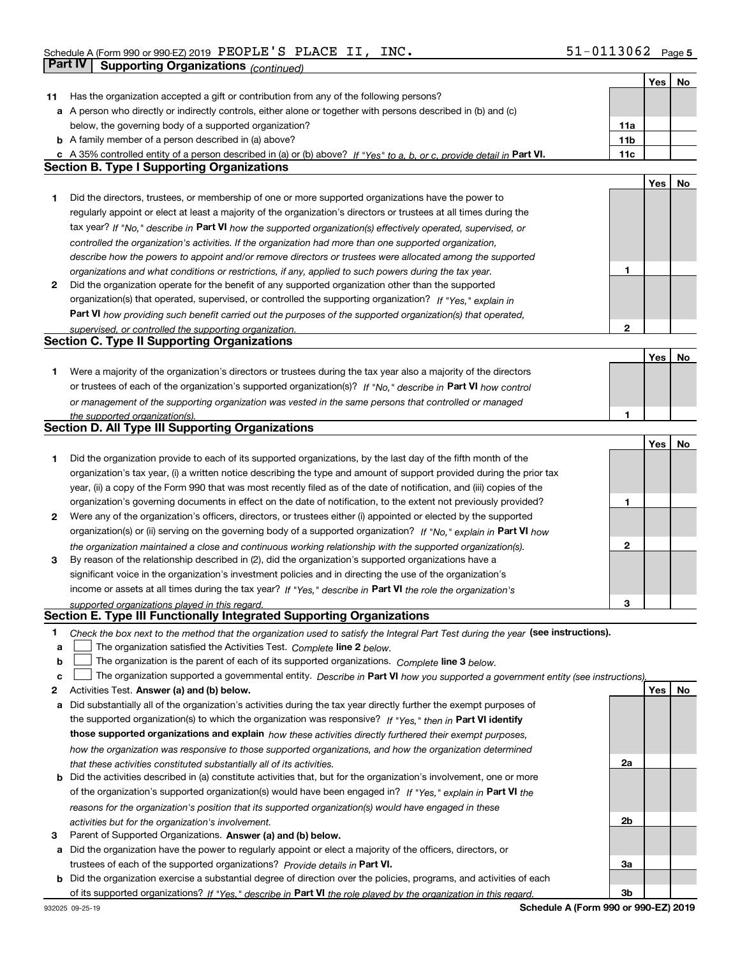|        |                                                                                                                                                                                                             |                 | <b>Yes</b> | No |
|--------|-------------------------------------------------------------------------------------------------------------------------------------------------------------------------------------------------------------|-----------------|------------|----|
| 11     | Has the organization accepted a gift or contribution from any of the following persons?                                                                                                                     |                 |            |    |
|        | a A person who directly or indirectly controls, either alone or together with persons described in (b) and (c)                                                                                              |                 |            |    |
|        | below, the governing body of a supported organization?                                                                                                                                                      | 11a             |            |    |
|        | <b>b</b> A family member of a person described in (a) above?                                                                                                                                                | 11 <sub>b</sub> |            |    |
| c      | A 35% controlled entity of a person described in (a) or (b) above? If "Yes" to a, b, or c, provide detail in Part VI.                                                                                       | 11c             |            |    |
|        | <b>Section B. Type I Supporting Organizations</b>                                                                                                                                                           |                 |            |    |
|        |                                                                                                                                                                                                             |                 | Yes        | No |
| 1      | Did the directors, trustees, or membership of one or more supported organizations have the power to                                                                                                         |                 |            |    |
|        | regularly appoint or elect at least a majority of the organization's directors or trustees at all times during the                                                                                          |                 |            |    |
|        |                                                                                                                                                                                                             |                 |            |    |
|        | tax year? If "No," describe in Part VI how the supported organization(s) effectively operated, supervised, or                                                                                               |                 |            |    |
|        | controlled the organization's activities. If the organization had more than one supported organization,                                                                                                     |                 |            |    |
|        | describe how the powers to appoint and/or remove directors or trustees were allocated among the supported                                                                                                   |                 |            |    |
|        | organizations and what conditions or restrictions, if any, applied to such powers during the tax year.                                                                                                      | 1               |            |    |
| 2      | Did the organization operate for the benefit of any supported organization other than the supported                                                                                                         |                 |            |    |
|        | organization(s) that operated, supervised, or controlled the supporting organization? If "Yes," explain in                                                                                                  |                 |            |    |
|        | Part VI how providing such benefit carried out the purposes of the supported organization(s) that operated,                                                                                                 |                 |            |    |
|        | supervised, or controlled the supporting organization.                                                                                                                                                      | $\mathbf{2}$    |            |    |
|        | <b>Section C. Type II Supporting Organizations</b>                                                                                                                                                          |                 |            |    |
|        |                                                                                                                                                                                                             |                 | Yes        | No |
| 1.     | Were a majority of the organization's directors or trustees during the tax year also a majority of the directors                                                                                            |                 |            |    |
|        | or trustees of each of the organization's supported organization(s)? If "No," describe in Part VI how control                                                                                               |                 |            |    |
|        | or management of the supporting organization was vested in the same persons that controlled or managed                                                                                                      |                 |            |    |
|        | the supported organization(s).                                                                                                                                                                              | 1               |            |    |
|        | <b>Section D. All Type III Supporting Organizations</b>                                                                                                                                                     |                 |            |    |
|        |                                                                                                                                                                                                             |                 | Yes        | No |
| 1      | Did the organization provide to each of its supported organizations, by the last day of the fifth month of the                                                                                              |                 |            |    |
|        | organization's tax year, (i) a written notice describing the type and amount of support provided during the prior tax                                                                                       |                 |            |    |
|        | year, (ii) a copy of the Form 990 that was most recently filed as of the date of notification, and (iii) copies of the                                                                                      |                 |            |    |
|        | organization's governing documents in effect on the date of notification, to the extent not previously provided?                                                                                            | 1               |            |    |
| 2      | Were any of the organization's officers, directors, or trustees either (i) appointed or elected by the supported                                                                                            |                 |            |    |
|        | organization(s) or (ii) serving on the governing body of a supported organization? If "No," explain in Part VI how                                                                                          |                 |            |    |
|        | the organization maintained a close and continuous working relationship with the supported organization(s).                                                                                                 | 2               |            |    |
| 3      | By reason of the relationship described in (2), did the organization's supported organizations have a                                                                                                       |                 |            |    |
|        | significant voice in the organization's investment policies and in directing the use of the organization's                                                                                                  |                 |            |    |
|        | income or assets at all times during the tax year? If "Yes," describe in Part VI the role the organization's                                                                                                |                 |            |    |
|        |                                                                                                                                                                                                             | 3               |            |    |
|        | supported organizations played in this regard.<br>Section E. Type III Functionally Integrated Supporting Organizations                                                                                      |                 |            |    |
|        |                                                                                                                                                                                                             |                 |            |    |
| 1<br>а | Check the box next to the method that the organization used to satisfy the Integral Part Test during the year (see instructions).<br>The organization satisfied the Activities Test. Complete line 2 below. |                 |            |    |
|        | The organization is the parent of each of its supported organizations. Complete line 3 below.                                                                                                               |                 |            |    |
| b<br>c |                                                                                                                                                                                                             |                 |            |    |
|        | The organization supported a governmental entity. Describe in Part VI how you supported a government entity (see instructions).                                                                             |                 | Yes        |    |
| 2      | Activities Test. Answer (a) and (b) below.                                                                                                                                                                  |                 |            | No |
| а      | Did substantially all of the organization's activities during the tax year directly further the exempt purposes of                                                                                          |                 |            |    |
|        | the supported organization(s) to which the organization was responsive? If "Yes." then in Part VI identify                                                                                                  |                 |            |    |
|        | those supported organizations and explain how these activities directly furthered their exempt purposes,                                                                                                    |                 |            |    |
|        | how the organization was responsive to those supported organizations, and how the organization determined                                                                                                   |                 |            |    |
|        | that these activities constituted substantially all of its activities.                                                                                                                                      | 2a              |            |    |
| b      | Did the activities described in (a) constitute activities that, but for the organization's involvement, one or more                                                                                         |                 |            |    |
|        | of the organization's supported organization(s) would have been engaged in? If "Yes," explain in Part VI the                                                                                                |                 |            |    |
|        | reasons for the organization's position that its supported organization(s) would have engaged in these                                                                                                      |                 |            |    |
|        | activities but for the organization's involvement.                                                                                                                                                          | 2b              |            |    |
| 3      | Parent of Supported Organizations. Answer (a) and (b) below.                                                                                                                                                |                 |            |    |
| а      | Did the organization have the power to regularly appoint or elect a majority of the officers, directors, or                                                                                                 |                 |            |    |
|        | trustees of each of the supported organizations? Provide details in Part VI.                                                                                                                                | За              |            |    |
| b      | Did the organization exercise a substantial degree of direction over the policies, programs, and activities of each                                                                                         |                 |            |    |
|        | of its supported organizations? If "Yes," describe in Part VI the role played by the organization in this regard.                                                                                           | 3b              |            |    |

**Schedule A (Form 990 or 990-EZ) 2019**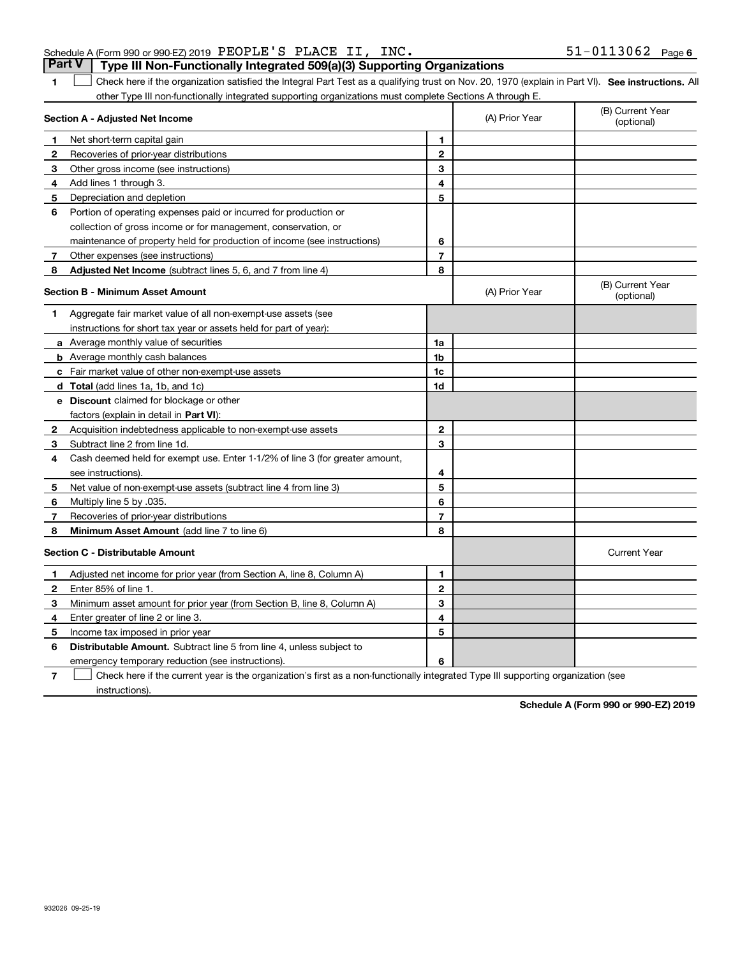| Schedule A (Form 990 or 990-EZ) 2019 $\overline{P}$ EOPLE'S $\overline{P}$ PLACE II, INC. |  | $51 - 0113062$ Page 6 |  |
|-------------------------------------------------------------------------------------------|--|-----------------------|--|
| Part V   Type III Non-Functionally Integrated 509(a)(3) Supporting Organizations          |  |                       |  |

**1**

**SEP 10. See instructions.** All antegral Part Test as a qualifying trust on Nov. 20, 1970 (explain in Part VI). See instructions. All other Type III non-functionally integrated supporting organizations must complete Sections A through E.  $\mathcal{L}^{\text{max}}$ 

|              | Section A - Adjusted Net Income                                              |                | (A) Prior Year | (B) Current Year<br>(optional) |
|--------------|------------------------------------------------------------------------------|----------------|----------------|--------------------------------|
| 1            | Net short-term capital gain                                                  | 1              |                |                                |
| 2            | Recoveries of prior-year distributions                                       | $\mathbf{2}$   |                |                                |
| 3            | Other gross income (see instructions)                                        | 3              |                |                                |
| 4            | Add lines 1 through 3.                                                       | 4              |                |                                |
| 5            | Depreciation and depletion                                                   | 5              |                |                                |
| 6            | Portion of operating expenses paid or incurred for production or             |                |                |                                |
|              | collection of gross income or for management, conservation, or               |                |                |                                |
|              | maintenance of property held for production of income (see instructions)     | 6              |                |                                |
| 7            | Other expenses (see instructions)                                            | $\overline{7}$ |                |                                |
| 8            | Adjusted Net Income (subtract lines 5, 6, and 7 from line 4)                 | 8              |                |                                |
|              | <b>Section B - Minimum Asset Amount</b>                                      |                | (A) Prior Year | (B) Current Year<br>(optional) |
| 1            | Aggregate fair market value of all non-exempt-use assets (see                |                |                |                                |
|              | instructions for short tax year or assets held for part of year):            |                |                |                                |
|              | a Average monthly value of securities                                        | 1a             |                |                                |
|              | <b>b</b> Average monthly cash balances                                       | 1b             |                |                                |
|              | c Fair market value of other non-exempt-use assets                           | 1c             |                |                                |
|              | d Total (add lines 1a, 1b, and 1c)                                           | 1d             |                |                                |
|              | e Discount claimed for blockage or other                                     |                |                |                                |
|              | factors (explain in detail in <b>Part VI</b> ):                              |                |                |                                |
| 2            | Acquisition indebtedness applicable to non-exempt-use assets                 | $\mathbf{2}$   |                |                                |
| 3            | Subtract line 2 from line 1d.                                                | 3              |                |                                |
| 4            | Cash deemed held for exempt use. Enter 1-1/2% of line 3 (for greater amount, |                |                |                                |
|              | see instructions).                                                           | 4              |                |                                |
| 5            | Net value of non-exempt-use assets (subtract line 4 from line 3)             | 5              |                |                                |
| 6            | Multiply line 5 by .035.                                                     | 6              |                |                                |
| 7            | Recoveries of prior-year distributions                                       | $\overline{7}$ |                |                                |
| 8            | Minimum Asset Amount (add line 7 to line 6)                                  | 8              |                |                                |
|              | <b>Section C - Distributable Amount</b>                                      |                |                | <b>Current Year</b>            |
| $\mathbf 1$  | Adjusted net income for prior year (from Section A, line 8, Column A)        | 1              |                |                                |
| $\mathbf{2}$ | Enter 85% of line 1.                                                         | $\mathbf{2}$   |                |                                |
| 3            | Minimum asset amount for prior year (from Section B, line 8, Column A)       | 3              |                |                                |
| 4            | Enter greater of line 2 or line 3.                                           | 4              |                |                                |
| 5            | Income tax imposed in prior year                                             | 5              |                |                                |
| 6            | <b>Distributable Amount.</b> Subtract line 5 from line 4, unless subject to  |                |                |                                |
|              | emergency temporary reduction (see instructions)                             | 6              |                |                                |

**7**Check here if the current year is the organization's first as a non-functionally integrated Type III supporting organization (see instructions).

**Schedule A (Form 990 or 990-EZ) 2019**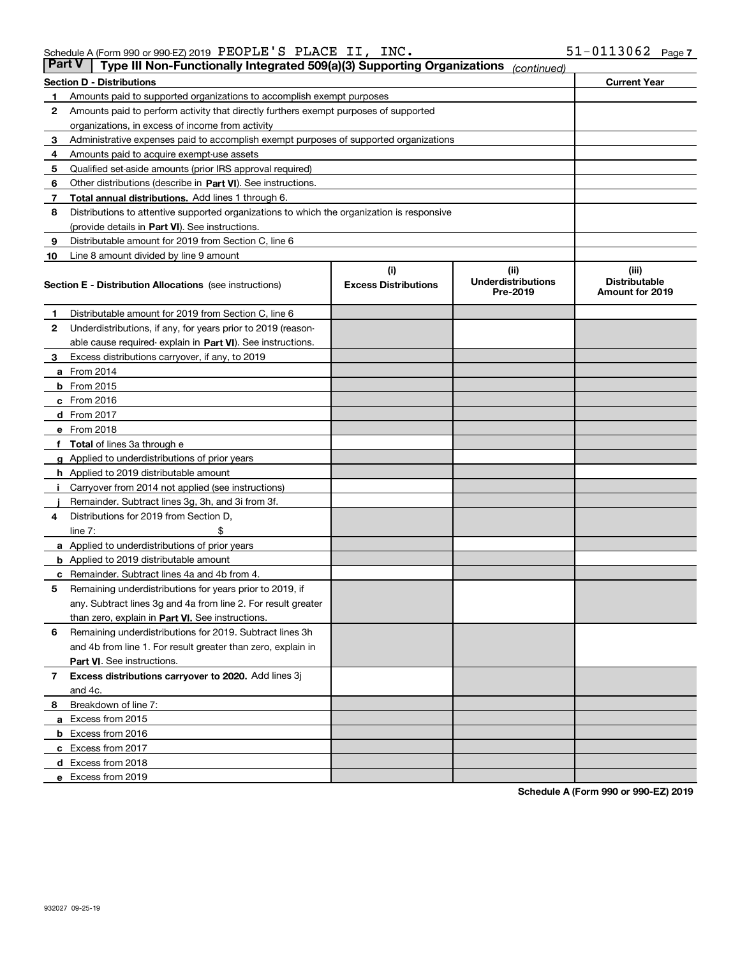| <b>Part V</b> | Type III Non-Functionally Integrated 509(a)(3) Supporting Organizations                    |                             | (continued)                           |                                         |
|---------------|--------------------------------------------------------------------------------------------|-----------------------------|---------------------------------------|-----------------------------------------|
|               | <b>Section D - Distributions</b>                                                           |                             |                                       | <b>Current Year</b>                     |
| 1             | Amounts paid to supported organizations to accomplish exempt purposes                      |                             |                                       |                                         |
| 2             | Amounts paid to perform activity that directly furthers exempt purposes of supported       |                             |                                       |                                         |
|               | organizations, in excess of income from activity                                           |                             |                                       |                                         |
| 3             | Administrative expenses paid to accomplish exempt purposes of supported organizations      |                             |                                       |                                         |
| 4             | Amounts paid to acquire exempt-use assets                                                  |                             |                                       |                                         |
| 5             | Qualified set-aside amounts (prior IRS approval required)                                  |                             |                                       |                                         |
| 6             | Other distributions (describe in Part VI). See instructions.                               |                             |                                       |                                         |
| 7             | <b>Total annual distributions.</b> Add lines 1 through 6.                                  |                             |                                       |                                         |
| 8             | Distributions to attentive supported organizations to which the organization is responsive |                             |                                       |                                         |
|               | (provide details in Part VI). See instructions.                                            |                             |                                       |                                         |
| 9             | Distributable amount for 2019 from Section C, line 6                                       |                             |                                       |                                         |
| 10            | Line 8 amount divided by line 9 amount                                                     |                             |                                       |                                         |
|               |                                                                                            | (i)                         | (iii)                                 | (iii)                                   |
|               | <b>Section E - Distribution Allocations</b> (see instructions)                             | <b>Excess Distributions</b> | <b>Underdistributions</b><br>Pre-2019 | <b>Distributable</b><br>Amount for 2019 |
| 1             | Distributable amount for 2019 from Section C, line 6                                       |                             |                                       |                                         |
| 2             | Underdistributions, if any, for years prior to 2019 (reason-                               |                             |                                       |                                         |
|               | able cause required- explain in Part VI). See instructions.                                |                             |                                       |                                         |
| З             | Excess distributions carryover, if any, to 2019                                            |                             |                                       |                                         |
|               | <b>a</b> From 2014                                                                         |                             |                                       |                                         |
|               | <b>b</b> From 2015                                                                         |                             |                                       |                                         |
|               | $c$ From 2016                                                                              |                             |                                       |                                         |
|               | d From 2017                                                                                |                             |                                       |                                         |
|               | e From 2018                                                                                |                             |                                       |                                         |
|               | Total of lines 3a through e                                                                |                             |                                       |                                         |
| g             | Applied to underdistributions of prior years                                               |                             |                                       |                                         |
|               | <b>h</b> Applied to 2019 distributable amount                                              |                             |                                       |                                         |
|               | Carryover from 2014 not applied (see instructions)                                         |                             |                                       |                                         |
|               | Remainder. Subtract lines 3g, 3h, and 3i from 3f.                                          |                             |                                       |                                         |
| 4             | Distributions for 2019 from Section D,                                                     |                             |                                       |                                         |
|               | line $7:$                                                                                  |                             |                                       |                                         |
|               | <b>a</b> Applied to underdistributions of prior years                                      |                             |                                       |                                         |
|               | <b>b</b> Applied to 2019 distributable amount                                              |                             |                                       |                                         |
|               | c Remainder. Subtract lines 4a and 4b from 4.                                              |                             |                                       |                                         |
| 5             | Remaining underdistributions for years prior to 2019, if                                   |                             |                                       |                                         |
|               | any. Subtract lines 3g and 4a from line 2. For result greater                              |                             |                                       |                                         |
|               | than zero, explain in Part VI. See instructions.                                           |                             |                                       |                                         |
| 6             | Remaining underdistributions for 2019. Subtract lines 3h                                   |                             |                                       |                                         |
|               | and 4b from line 1. For result greater than zero, explain in                               |                             |                                       |                                         |
|               | Part VI. See instructions.                                                                 |                             |                                       |                                         |
| 7             | Excess distributions carryover to 2020. Add lines 3j                                       |                             |                                       |                                         |
|               | and 4c.                                                                                    |                             |                                       |                                         |
| 8             | Breakdown of line 7:                                                                       |                             |                                       |                                         |
|               | a Excess from 2015                                                                         |                             |                                       |                                         |
|               | <b>b</b> Excess from 2016                                                                  |                             |                                       |                                         |
|               | c Excess from 2017                                                                         |                             |                                       |                                         |
|               | d Excess from 2018                                                                         |                             |                                       |                                         |
|               | e Excess from 2019                                                                         |                             |                                       |                                         |
|               |                                                                                            |                             |                                       |                                         |

**Schedule A (Form 990 or 990-EZ) 2019**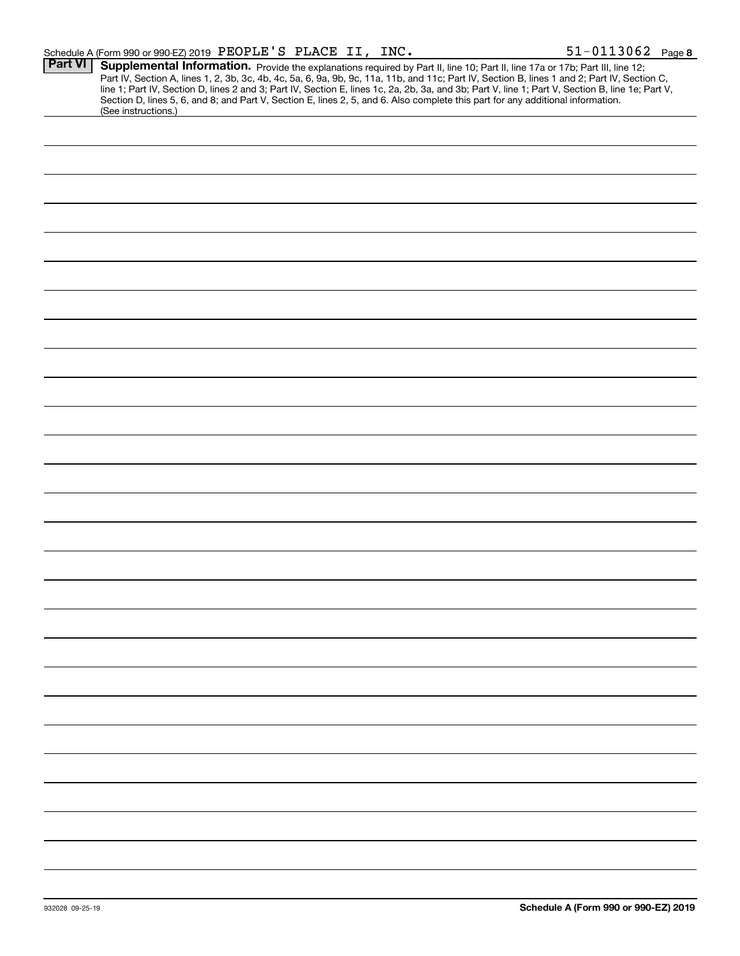|                 | Schedule A (Form 990 or 990-EZ) 2019 PEOPLE'S PLACE II, INC.                                                                                                                                                                                                                                                                                                                                                                                                                                                                                                                                | $51 - 0113062$ Page 8                |
|-----------------|---------------------------------------------------------------------------------------------------------------------------------------------------------------------------------------------------------------------------------------------------------------------------------------------------------------------------------------------------------------------------------------------------------------------------------------------------------------------------------------------------------------------------------------------------------------------------------------------|--------------------------------------|
| <b>Part VI</b>  | Supplemental Information. Provide the explanations required by Part II, line 10; Part II, line 17a or 17b; Part III, line 12;<br>Part IV, Section A, lines 1, 2, 3b, 3c, 4b, 4c, 5a, 6, 9a, 9b, 9c, 11a, 11b, and 11c; Part IV, Section B, lines 1 and 2; Part IV, Section C,<br>line 1; Part IV, Section D, lines 2 and 3; Part IV, Section E, lines 1c, 2a, 2b, 3a, and 3b; Part V, line 1; Part V, Section B, line 1e; Part V,<br>Section D, lines 5, 6, and 8; and Part V, Section E, lines 2, 5, and 6. Also complete this part for any additional information.<br>(See instructions.) |                                      |
|                 |                                                                                                                                                                                                                                                                                                                                                                                                                                                                                                                                                                                             |                                      |
|                 |                                                                                                                                                                                                                                                                                                                                                                                                                                                                                                                                                                                             |                                      |
|                 |                                                                                                                                                                                                                                                                                                                                                                                                                                                                                                                                                                                             |                                      |
|                 |                                                                                                                                                                                                                                                                                                                                                                                                                                                                                                                                                                                             |                                      |
|                 |                                                                                                                                                                                                                                                                                                                                                                                                                                                                                                                                                                                             |                                      |
|                 |                                                                                                                                                                                                                                                                                                                                                                                                                                                                                                                                                                                             |                                      |
|                 |                                                                                                                                                                                                                                                                                                                                                                                                                                                                                                                                                                                             |                                      |
|                 |                                                                                                                                                                                                                                                                                                                                                                                                                                                                                                                                                                                             |                                      |
|                 |                                                                                                                                                                                                                                                                                                                                                                                                                                                                                                                                                                                             |                                      |
|                 |                                                                                                                                                                                                                                                                                                                                                                                                                                                                                                                                                                                             |                                      |
|                 |                                                                                                                                                                                                                                                                                                                                                                                                                                                                                                                                                                                             |                                      |
|                 |                                                                                                                                                                                                                                                                                                                                                                                                                                                                                                                                                                                             |                                      |
|                 |                                                                                                                                                                                                                                                                                                                                                                                                                                                                                                                                                                                             |                                      |
|                 |                                                                                                                                                                                                                                                                                                                                                                                                                                                                                                                                                                                             |                                      |
|                 |                                                                                                                                                                                                                                                                                                                                                                                                                                                                                                                                                                                             |                                      |
|                 |                                                                                                                                                                                                                                                                                                                                                                                                                                                                                                                                                                                             |                                      |
|                 |                                                                                                                                                                                                                                                                                                                                                                                                                                                                                                                                                                                             |                                      |
|                 |                                                                                                                                                                                                                                                                                                                                                                                                                                                                                                                                                                                             |                                      |
|                 |                                                                                                                                                                                                                                                                                                                                                                                                                                                                                                                                                                                             |                                      |
|                 |                                                                                                                                                                                                                                                                                                                                                                                                                                                                                                                                                                                             |                                      |
|                 |                                                                                                                                                                                                                                                                                                                                                                                                                                                                                                                                                                                             |                                      |
|                 |                                                                                                                                                                                                                                                                                                                                                                                                                                                                                                                                                                                             |                                      |
|                 |                                                                                                                                                                                                                                                                                                                                                                                                                                                                                                                                                                                             |                                      |
|                 |                                                                                                                                                                                                                                                                                                                                                                                                                                                                                                                                                                                             |                                      |
|                 |                                                                                                                                                                                                                                                                                                                                                                                                                                                                                                                                                                                             |                                      |
|                 |                                                                                                                                                                                                                                                                                                                                                                                                                                                                                                                                                                                             |                                      |
|                 |                                                                                                                                                                                                                                                                                                                                                                                                                                                                                                                                                                                             |                                      |
| 932028 09-25-19 |                                                                                                                                                                                                                                                                                                                                                                                                                                                                                                                                                                                             | Schedule A (Form 990 or 990-EZ) 2019 |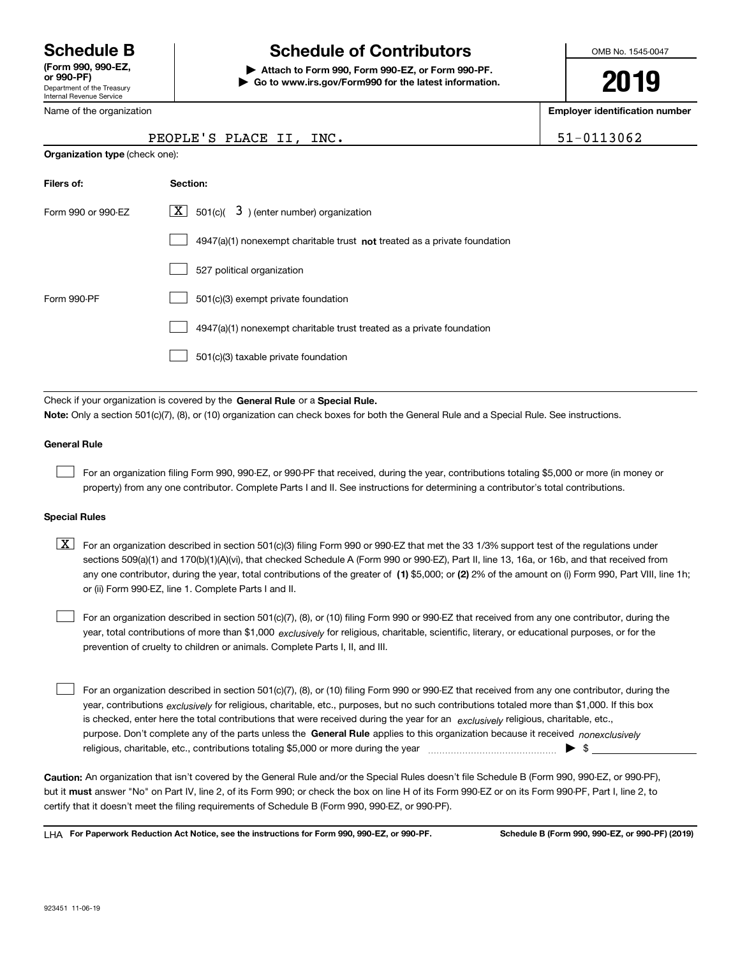Department of the Treasury Internal Revenue Service **(Form 990, 990-EZ, or 990-PF)**

## **Schedule B Schedule of Contributors**

**| Attach to Form 990, Form 990-EZ, or Form 990-PF. | Go to www.irs.gov/Form990 for the latest information.** OMB No. 1545-0047

**2019**

**Employer identification number**

| PEOPLE'S PLACE II, INC. | 51-0113062 |
|-------------------------|------------|
|-------------------------|------------|

| Internal Revenue Service |
|--------------------------|
| Name of the organization |

**Organization type** (check one):

| Filers of:         | Section:                                                                           |
|--------------------|------------------------------------------------------------------------------------|
| Form 990 or 990-EZ | $\boxed{\text{X}}$ 501(c)( 3) (enter number) organization                          |
|                    | $4947(a)(1)$ nonexempt charitable trust <b>not</b> treated as a private foundation |
|                    | 527 political organization                                                         |
| Form 990-PF        | 501(c)(3) exempt private foundation                                                |
|                    | 4947(a)(1) nonexempt charitable trust treated as a private foundation              |
|                    | 501(c)(3) taxable private foundation                                               |
|                    |                                                                                    |

Check if your organization is covered by the **General Rule** or a **Special Rule. Note:**  Only a section 501(c)(7), (8), or (10) organization can check boxes for both the General Rule and a Special Rule. See instructions.

#### **General Rule**

 $\mathcal{L}^{\text{max}}$ 

For an organization filing Form 990, 990-EZ, or 990-PF that received, during the year, contributions totaling \$5,000 or more (in money or property) from any one contributor. Complete Parts I and II. See instructions for determining a contributor's total contributions.

#### **Special Rules**

any one contributor, during the year, total contributions of the greater of  $\,$  (1) \$5,000; or **(2)** 2% of the amount on (i) Form 990, Part VIII, line 1h;  $\boxed{\textbf{X}}$  For an organization described in section 501(c)(3) filing Form 990 or 990-EZ that met the 33 1/3% support test of the regulations under sections 509(a)(1) and 170(b)(1)(A)(vi), that checked Schedule A (Form 990 or 990-EZ), Part II, line 13, 16a, or 16b, and that received from or (ii) Form 990-EZ, line 1. Complete Parts I and II.

year, total contributions of more than \$1,000 *exclusively* for religious, charitable, scientific, literary, or educational purposes, or for the For an organization described in section 501(c)(7), (8), or (10) filing Form 990 or 990-EZ that received from any one contributor, during the prevention of cruelty to children or animals. Complete Parts I, II, and III.  $\mathcal{L}^{\text{max}}$ 

purpose. Don't complete any of the parts unless the **General Rule** applies to this organization because it received *nonexclusively* year, contributions <sub>exclusively</sub> for religious, charitable, etc., purposes, but no such contributions totaled more than \$1,000. If this box is checked, enter here the total contributions that were received during the year for an  $\;$ exclusively religious, charitable, etc., For an organization described in section 501(c)(7), (8), or (10) filing Form 990 or 990-EZ that received from any one contributor, during the religious, charitable, etc., contributions totaling \$5,000 or more during the year  $\Box$ — $\Box$  =  $\Box$  $\mathcal{L}^{\text{max}}$ 

**Caution:**  An organization that isn't covered by the General Rule and/or the Special Rules doesn't file Schedule B (Form 990, 990-EZ, or 990-PF),  **must** but it answer "No" on Part IV, line 2, of its Form 990; or check the box on line H of its Form 990-EZ or on its Form 990-PF, Part I, line 2, to certify that it doesn't meet the filing requirements of Schedule B (Form 990, 990-EZ, or 990-PF).

**For Paperwork Reduction Act Notice, see the instructions for Form 990, 990-EZ, or 990-PF. Schedule B (Form 990, 990-EZ, or 990-PF) (2019)** LHA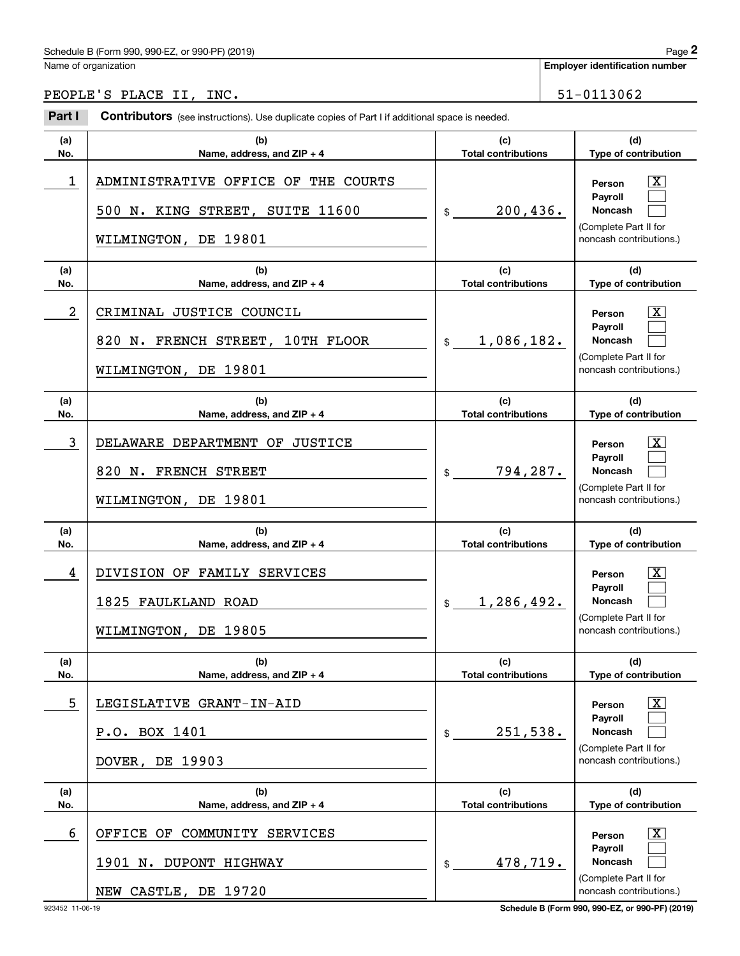Name of organization

**Employer identification number**

PEOPLE'S PLACE II, INC. [51-0113062]

#### **(a)No.(b)Name, address, and ZIP + 4 (c)Total contributions (d)Type of contribution PersonPayrollNoncash (a)No.(b)Name, address, and ZIP + 4 (c)Total contributions (d)Type of contribution PersonPayrollNoncash (a)No.(b)Name, address, and ZIP + 4 (c)Total contributions (d) Type of contribution PersonPayrollNoncash (a)No.(b)Name, address, and ZIP + 4 (c) Total contributions (d)Type of contribution PersonPayrollNoncash (a)No.(b)Name, address, and ZIP + 4 (c)Total contributions (d)Type of contribution PersonPayrollNoncash (a)No.(b)Name, address, and ZIP + 4 (c)Total contributions (d)Type of contribution PersonPayrollNoncash Contributors** (see instructions). Use duplicate copies of Part I if additional space is needed. \$(Complete Part II for noncash contributions.) \$(Complete Part II for noncash contributions.) \$(Complete Part II for noncash contributions.) \$(Complete Part II for noncash contributions.) \$(Complete Part II for noncash contributions.)  $$$ (Complete Part II for noncash contributions.) Employer identification Page 2<br>
Iame of organization<br> **2PACE II, INC.**<br> **2Part I Contributors** (see instructions). Use duplicate copies of Part I if additional space is needed.  $\lceil \text{X} \rceil$  $\mathcal{L}^{\text{max}}$  $\mathcal{L}^{\text{max}}$  $\boxed{\text{X}}$  $\mathcal{L}^{\text{max}}$  $\mathcal{L}^{\text{max}}$  $\lceil \text{X} \rceil$  $\mathcal{L}^{\text{max}}$  $\mathcal{L}^{\text{max}}$  $|X|$  $\mathcal{L}^{\text{max}}$  $\mathcal{L}^{\text{max}}$  $|X|$  $\mathcal{L}^{\text{max}}$  $\mathcal{L}^{\text{max}}$  $|X|$  $\mathcal{L}^{\text{max}}$  $\mathcal{L}^{\text{max}}$ 1 X ADMINISTRATIVE OFFICE OF THE COURTS 200,436. 500 N. KING STREET, SUITE 11600 WILMINGTON, DE 19801 2 X CRIMINAL JUSTICE COUNCIL 1,086,182. 820 N. FRENCH STREET, 10TH FLOOR WILMINGTON, DE 19801 3 DELAWARE DEPARTMENT OF JUSTICE THE RESERVE RESOLUTION OF SALE IN THE RESOLUTION OF SALE IN THE RESOLUTION OF 794,287. 820 N. FRENCH STREET WILMINGTON, DE 19801 4 DIVISION OF FAMILY SERVICES And the series of the series of the series of the series of the series of the series of the series of the series of the series of the series of the series of the series of the series of the se 1,286,492. 1825 FAULKLAND ROAD WILMINGTON, DE 19805 5 X LEGISLATIVE GRANT-IN-AID 251,538. P.O. BOX 1401 DOVER, DE 19903 6 OFFICE OF COMMUNITY SERVICES THE RESERVED OF RESONAL RESONAL TO A RESONAL RESONAL TO A RESONAL THE RESONAL T 478,719. 1901 N. DUPONT HIGHWAY NEW CASTLE, DE 19720

923452 11-06-19 **Schedule B (Form 990, 990-EZ, or 990-PF) (2019)**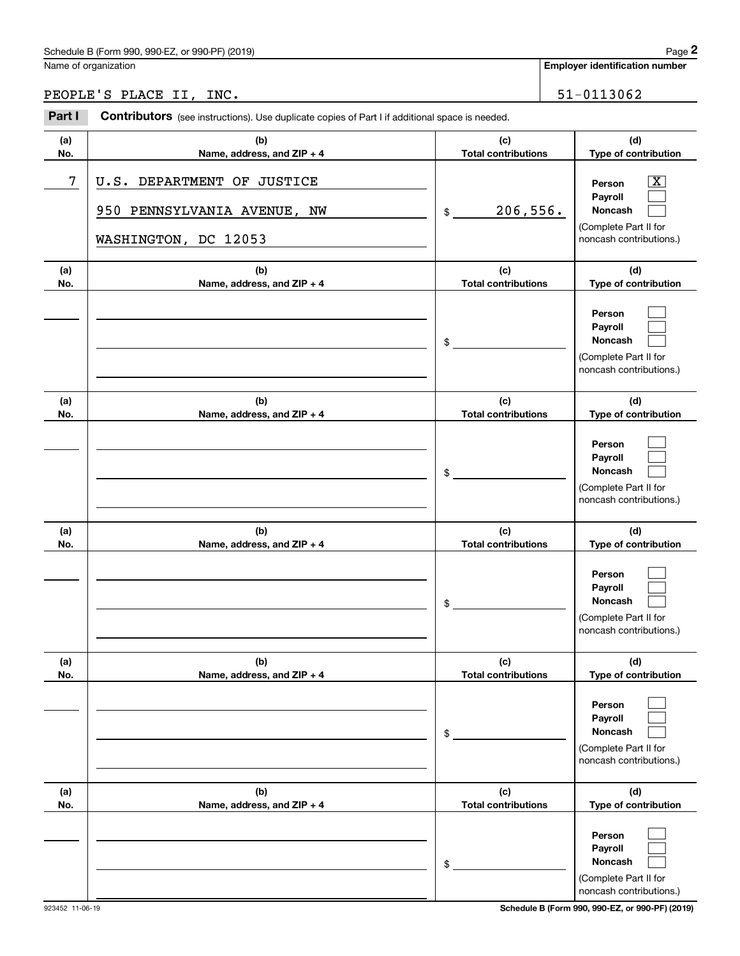|            | Schedule B (Form 990, 990-EZ, or 990-PF) (2019)                                                |                                   | Page 2                                                                                                      |
|------------|------------------------------------------------------------------------------------------------|-----------------------------------|-------------------------------------------------------------------------------------------------------------|
|            | Name of organization                                                                           |                                   | Employer identification number                                                                              |
|            | PEOPLE'S PLACE II, INC.                                                                        |                                   | 51-0113062                                                                                                  |
| Part I     | Contributors (see instructions). Use duplicate copies of Part I if additional space is needed. |                                   |                                                                                                             |
| (a)<br>No. | (b)<br>Name, address, and ZIP + 4                                                              | (c)<br><b>Total contributions</b> | (d)<br>Type of contribution                                                                                 |
| 7          | DEPARTMENT OF JUSTICE<br>U.S.<br>950 PENNSYLVANIA AVENUE, NW<br>WASHINGTON, DC 12053           | 206,556.<br>\$                    | $\overline{\mathbf{X}}$<br>Person<br>Payroll<br>Noncash<br>(Complete Part II for<br>noncash contributions.) |
| (a)<br>No. | (b)<br>Name, address, and ZIP + 4                                                              | (c)<br><b>Total contributions</b> | (d)<br>Type of contribution                                                                                 |
|            |                                                                                                | \$                                | Person<br>Payroll<br>Noncash<br>(Complete Part II for<br>noncash contributions.)                            |
| (a)<br>No. | (b)<br>Name, address, and ZIP + 4                                                              | (c)<br><b>Total contributions</b> | (d)<br>Type of contribution                                                                                 |
|            |                                                                                                | \$                                | Person<br>Payroll<br>Noncash<br>(Complete Part II for<br>noncash contributions.)                            |
| (a)<br>No. | (b)<br>Name, address, and ZIP + 4                                                              | (c)<br><b>Total contributions</b> | (d)<br>Type of contribution                                                                                 |
|            |                                                                                                | \$                                | Person<br>Payroll<br>Noncash<br>(Complete Part II for<br>noncash contributions.)                            |
| (a)<br>No. | (b)<br>Name, address, and ZIP + 4                                                              | (c)<br><b>Total contributions</b> | (d)<br>Type of contribution                                                                                 |
|            |                                                                                                | \$                                | Person<br>Payroll<br>Noncash<br>(Complete Part II for<br>noncash contributions.)                            |
| (a)<br>No. | (b)<br>Name, address, and ZIP + 4                                                              | (c)<br><b>Total contributions</b> | (d)<br>Type of contribution                                                                                 |
|            |                                                                                                | \$                                | Person<br>Payroll<br>Noncash<br>(Complete Part II for<br>noncash contributions.)                            |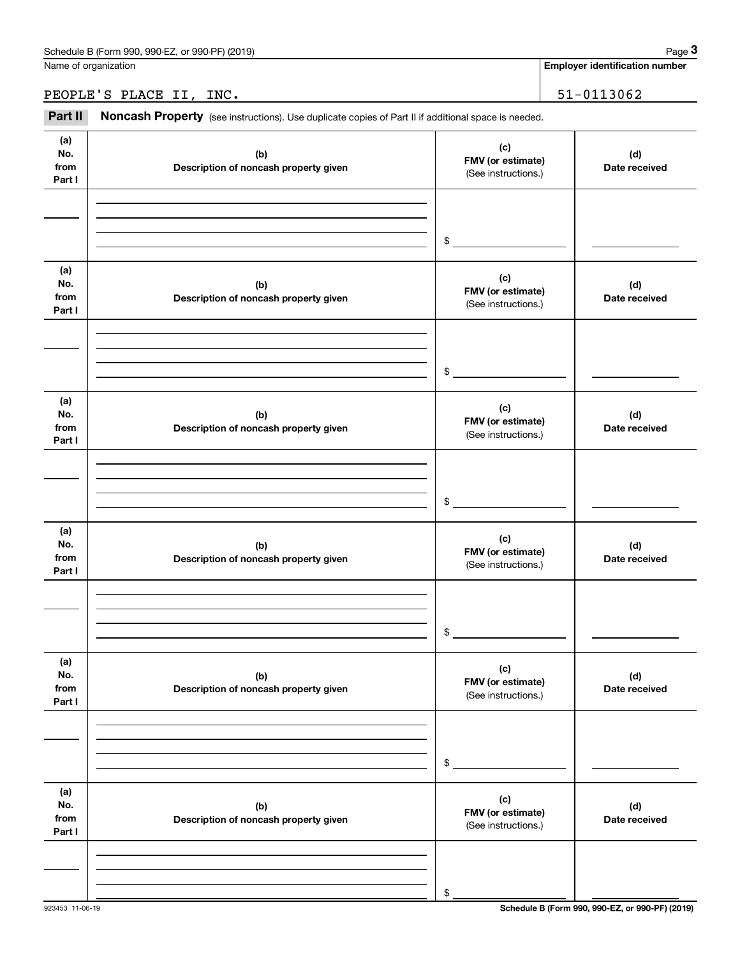**Employer identification number**

### PEOPLE'S PLACE II, INC. 51-0113062

Chedule B (Form 990, 990-EZ, or 990-PF) (2019)<br> **2** Idame of organization<br> **3PART II 3PACE II, INC.**<br> **3Part II Noncash Property** (see instructions). Use duplicate copies of Part II if additional space is needed.

| (a)<br>No.<br>from<br>Part I | (b)<br>Description of noncash property given | (c)<br>FMV (or estimate)<br>(See instructions.) | (d)<br>Date received |
|------------------------------|----------------------------------------------|-------------------------------------------------|----------------------|
|                              |                                              |                                                 |                      |
|                              |                                              |                                                 |                      |
|                              |                                              | $\frac{1}{2}$                                   |                      |
| (a)<br>No.<br>from<br>Part I | (b)<br>Description of noncash property given | (c)<br>FMV (or estimate)<br>(See instructions.) | (d)<br>Date received |
|                              |                                              |                                                 |                      |
|                              |                                              |                                                 |                      |
|                              |                                              | $\frac{1}{2}$                                   |                      |
| (a)<br>No.<br>from<br>Part I | (b)<br>Description of noncash property given | (c)<br>FMV (or estimate)<br>(See instructions.) | (d)<br>Date received |
|                              |                                              |                                                 |                      |
|                              |                                              |                                                 |                      |
|                              |                                              | $\mathfrak s$                                   |                      |
| (a)<br>No.<br>from<br>Part I | (b)<br>Description of noncash property given | (c)<br>FMV (or estimate)<br>(See instructions.) | (d)<br>Date received |
|                              |                                              |                                                 |                      |
|                              |                                              |                                                 |                      |
|                              |                                              | \$                                              |                      |
| (a)<br>No.<br>from<br>Part I | (b)<br>Description of noncash property given | (c)<br>FMV (or estimate)<br>(See instructions.) | (d)<br>Date received |
|                              |                                              |                                                 |                      |
|                              |                                              |                                                 |                      |
|                              |                                              | \$                                              |                      |
| (a)<br>No.<br>from<br>Part I | (b)<br>Description of noncash property given | (c)<br>FMV (or estimate)<br>(See instructions.) | (d)<br>Date received |
|                              |                                              |                                                 |                      |
|                              |                                              |                                                 |                      |
|                              |                                              | \$                                              |                      |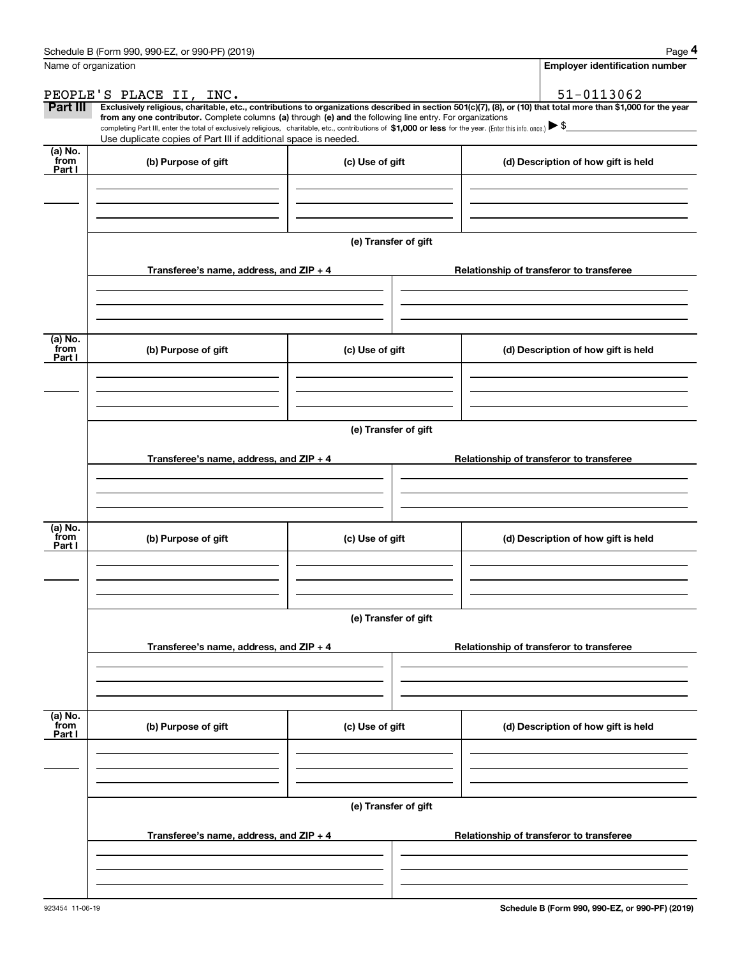|                           | Schedule B (Form 990, 990-EZ, or 990-PF) (2019)                                                                                                                                                                                                                                                 |                      | Page 4                                                                                                                                                         |
|---------------------------|-------------------------------------------------------------------------------------------------------------------------------------------------------------------------------------------------------------------------------------------------------------------------------------------------|----------------------|----------------------------------------------------------------------------------------------------------------------------------------------------------------|
|                           | Name of organization                                                                                                                                                                                                                                                                            |                      | <b>Employer identification number</b>                                                                                                                          |
|                           | PEOPLE'S PLACE II, INC.                                                                                                                                                                                                                                                                         |                      | 51-0113062                                                                                                                                                     |
| Part III                  |                                                                                                                                                                                                                                                                                                 |                      | Exclusively religious, charitable, etc., contributions to organizations described in section 501(c)(7), (8), or (10) that total more than \$1,000 for the year |
|                           | from any one contributor. Complete columns (a) through (e) and the following line entry. For organizations<br>completing Part III, enter the total of exclusively religious, charitable, etc., contributions of \$1,000 or less for the year. (Enter this info. once.) $\blacktriangleright$ \$ |                      |                                                                                                                                                                |
|                           | Use duplicate copies of Part III if additional space is needed.                                                                                                                                                                                                                                 |                      |                                                                                                                                                                |
| (a) No.<br>from<br>Part I | (b) Purpose of gift                                                                                                                                                                                                                                                                             | (c) Use of gift      | (d) Description of how gift is held                                                                                                                            |
|                           |                                                                                                                                                                                                                                                                                                 |                      |                                                                                                                                                                |
|                           |                                                                                                                                                                                                                                                                                                 |                      |                                                                                                                                                                |
|                           |                                                                                                                                                                                                                                                                                                 |                      |                                                                                                                                                                |
|                           |                                                                                                                                                                                                                                                                                                 | (e) Transfer of gift |                                                                                                                                                                |
|                           | Transferee's name, address, and ZIP + 4                                                                                                                                                                                                                                                         |                      | Relationship of transferor to transferee                                                                                                                       |
|                           |                                                                                                                                                                                                                                                                                                 |                      |                                                                                                                                                                |
|                           |                                                                                                                                                                                                                                                                                                 |                      |                                                                                                                                                                |
|                           |                                                                                                                                                                                                                                                                                                 |                      |                                                                                                                                                                |
| (a) No.<br>from<br>Part I | (b) Purpose of gift                                                                                                                                                                                                                                                                             | (c) Use of gift      | (d) Description of how gift is held                                                                                                                            |
|                           |                                                                                                                                                                                                                                                                                                 |                      |                                                                                                                                                                |
|                           |                                                                                                                                                                                                                                                                                                 |                      |                                                                                                                                                                |
|                           |                                                                                                                                                                                                                                                                                                 |                      |                                                                                                                                                                |
|                           |                                                                                                                                                                                                                                                                                                 | (e) Transfer of gift |                                                                                                                                                                |
|                           | Transferee's name, address, and ZIP + 4                                                                                                                                                                                                                                                         |                      | Relationship of transferor to transferee                                                                                                                       |
|                           |                                                                                                                                                                                                                                                                                                 |                      |                                                                                                                                                                |
|                           |                                                                                                                                                                                                                                                                                                 |                      |                                                                                                                                                                |
|                           |                                                                                                                                                                                                                                                                                                 |                      |                                                                                                                                                                |
| (a) No.<br>from           | (b) Purpose of gift                                                                                                                                                                                                                                                                             | (c) Use of gift      | (d) Description of how gift is held                                                                                                                            |
| Part I                    |                                                                                                                                                                                                                                                                                                 |                      |                                                                                                                                                                |
|                           |                                                                                                                                                                                                                                                                                                 |                      |                                                                                                                                                                |
|                           |                                                                                                                                                                                                                                                                                                 |                      |                                                                                                                                                                |
|                           |                                                                                                                                                                                                                                                                                                 | (e) Transfer of gift |                                                                                                                                                                |
|                           |                                                                                                                                                                                                                                                                                                 |                      |                                                                                                                                                                |
|                           | Transferee's name, address, and ZIP + 4                                                                                                                                                                                                                                                         |                      | Relationship of transferor to transferee                                                                                                                       |
|                           |                                                                                                                                                                                                                                                                                                 |                      |                                                                                                                                                                |
|                           |                                                                                                                                                                                                                                                                                                 |                      |                                                                                                                                                                |
|                           |                                                                                                                                                                                                                                                                                                 |                      |                                                                                                                                                                |
| (a) No.<br>from<br>Part I | (b) Purpose of gift                                                                                                                                                                                                                                                                             | (c) Use of gift      | (d) Description of how gift is held                                                                                                                            |
|                           |                                                                                                                                                                                                                                                                                                 |                      |                                                                                                                                                                |
|                           |                                                                                                                                                                                                                                                                                                 |                      |                                                                                                                                                                |
|                           |                                                                                                                                                                                                                                                                                                 |                      |                                                                                                                                                                |
|                           |                                                                                                                                                                                                                                                                                                 | (e) Transfer of gift |                                                                                                                                                                |
|                           | Transferee's name, address, and ZIP + 4                                                                                                                                                                                                                                                         |                      | Relationship of transferor to transferee                                                                                                                       |
|                           |                                                                                                                                                                                                                                                                                                 |                      |                                                                                                                                                                |
|                           |                                                                                                                                                                                                                                                                                                 |                      |                                                                                                                                                                |
|                           |                                                                                                                                                                                                                                                                                                 |                      |                                                                                                                                                                |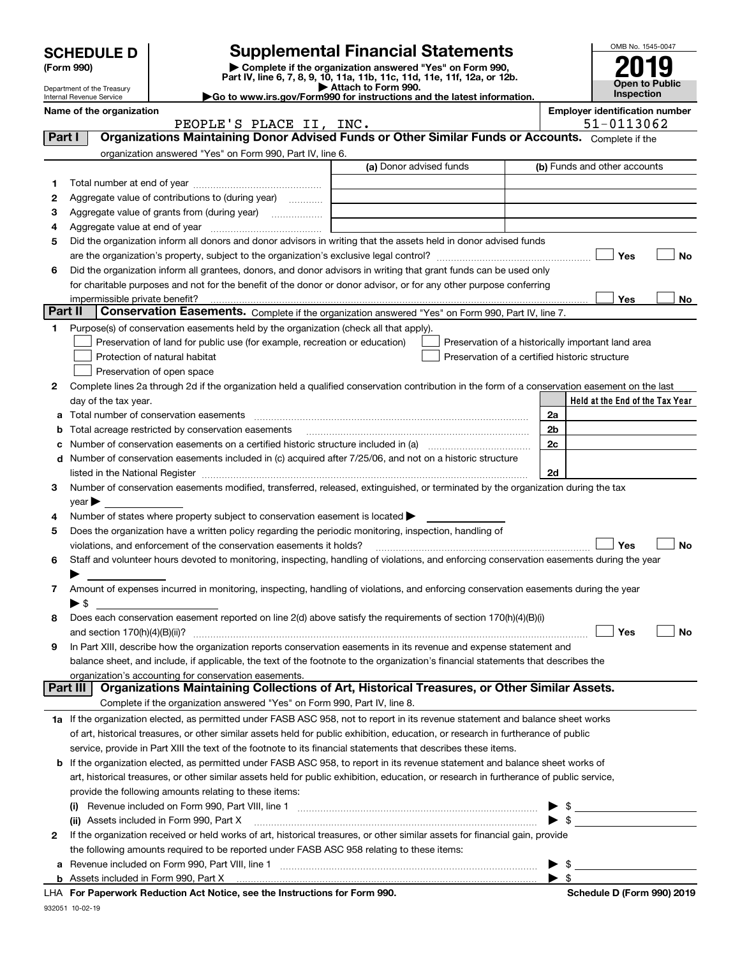|         |                                                        |                                                                                                        |                                                                                                                                                                                                                                                          | OMB No. 1545-0047                                   |
|---------|--------------------------------------------------------|--------------------------------------------------------------------------------------------------------|----------------------------------------------------------------------------------------------------------------------------------------------------------------------------------------------------------------------------------------------------------|-----------------------------------------------------|
|         | <b>SCHEDULE D</b>                                      |                                                                                                        | <b>Supplemental Financial Statements</b>                                                                                                                                                                                                                 |                                                     |
|         | (Form 990)                                             |                                                                                                        | Complete if the organization answered "Yes" on Form 990,<br>Part IV, line 6, 7, 8, 9, 10, 11a, 11b, 11c, 11d, 11e, 11f, 12a, or 12b.                                                                                                                     |                                                     |
|         | Department of the Treasury<br>Internal Revenue Service |                                                                                                        | Attach to Form 990.<br>Go to www.irs.gov/Form990 for instructions and the latest information.                                                                                                                                                            | <b>Open to Public</b><br><b>Inspection</b>          |
|         | Name of the organization                               | PEOPLE'S PLACE II, INC.                                                                                |                                                                                                                                                                                                                                                          | <b>Employer identification number</b><br>51-0113062 |
| Part I  |                                                        |                                                                                                        | Organizations Maintaining Donor Advised Funds or Other Similar Funds or Accounts. Complete if the                                                                                                                                                        |                                                     |
|         |                                                        | organization answered "Yes" on Form 990, Part IV, line 6.                                              |                                                                                                                                                                                                                                                          |                                                     |
|         |                                                        |                                                                                                        | (a) Donor advised funds                                                                                                                                                                                                                                  | (b) Funds and other accounts                        |
| 1       |                                                        |                                                                                                        |                                                                                                                                                                                                                                                          |                                                     |
| 2       |                                                        | Aggregate value of contributions to (during year)                                                      |                                                                                                                                                                                                                                                          |                                                     |
| 3       |                                                        |                                                                                                        |                                                                                                                                                                                                                                                          |                                                     |
| 4       |                                                        |                                                                                                        |                                                                                                                                                                                                                                                          |                                                     |
| 5       |                                                        |                                                                                                        | Did the organization inform all donors and donor advisors in writing that the assets held in donor advised funds                                                                                                                                         |                                                     |
|         |                                                        |                                                                                                        |                                                                                                                                                                                                                                                          | Yes<br>No                                           |
| 6       |                                                        |                                                                                                        | Did the organization inform all grantees, donors, and donor advisors in writing that grant funds can be used only                                                                                                                                        |                                                     |
|         | impermissible private benefit?                         |                                                                                                        | for charitable purposes and not for the benefit of the donor or donor advisor, or for any other purpose conferring                                                                                                                                       | Yes                                                 |
| Part II |                                                        |                                                                                                        | Conservation Easements. Complete if the organization answered "Yes" on Form 990, Part IV, line 7.                                                                                                                                                        | No                                                  |
| 1       |                                                        | Purpose(s) of conservation easements held by the organization (check all that apply).                  |                                                                                                                                                                                                                                                          |                                                     |
|         |                                                        | Preservation of land for public use (for example, recreation or education)                             |                                                                                                                                                                                                                                                          | Preservation of a historically important land area  |
|         |                                                        | Protection of natural habitat                                                                          | Preservation of a certified historic structure                                                                                                                                                                                                           |                                                     |
|         |                                                        | Preservation of open space                                                                             |                                                                                                                                                                                                                                                          |                                                     |
| 2       |                                                        |                                                                                                        | Complete lines 2a through 2d if the organization held a qualified conservation contribution in the form of a conservation easement on the last                                                                                                           |                                                     |
|         | day of the tax year.                                   |                                                                                                        |                                                                                                                                                                                                                                                          | Held at the End of the Tax Year                     |
| а       |                                                        | Total number of conservation easements                                                                 |                                                                                                                                                                                                                                                          | 2a                                                  |
| b       |                                                        | Total acreage restricted by conservation easements                                                     |                                                                                                                                                                                                                                                          | 2 <sub>b</sub>                                      |
| с       |                                                        |                                                                                                        | Number of conservation easements on a certified historic structure included in (a) manufacture of conservation                                                                                                                                           | 2c                                                  |
| d       |                                                        |                                                                                                        | Number of conservation easements included in (c) acquired after 7/25/06, and not on a historic structure                                                                                                                                                 |                                                     |
|         |                                                        |                                                                                                        | listed in the National Register [11, 11] and the National Register [11] and the National Register [11] and the National Register [11] and the National Register [11] and the National Register [11] and the National Register                            | 2d                                                  |
| З       | $\vee$ ear                                             |                                                                                                        | Number of conservation easements modified, transferred, released, extinguished, or terminated by the organization during the tax                                                                                                                         |                                                     |
| 4       |                                                        | Number of states where property subject to conservation easement is located $\blacktriangleright$      |                                                                                                                                                                                                                                                          |                                                     |
| 5       |                                                        | Does the organization have a written policy regarding the periodic monitoring, inspection, handling of |                                                                                                                                                                                                                                                          |                                                     |
|         |                                                        | violations, and enforcement of the conservation easements it holds?                                    |                                                                                                                                                                                                                                                          | Yes<br>No                                           |
| 6       |                                                        |                                                                                                        | Staff and volunteer hours devoted to monitoring, inspecting, handling of violations, and enforcing conservation easements during the year                                                                                                                |                                                     |
|         |                                                        |                                                                                                        |                                                                                                                                                                                                                                                          |                                                     |
| 7       |                                                        |                                                                                                        | Amount of expenses incurred in monitoring, inspecting, handling of violations, and enforcing conservation easements during the year                                                                                                                      |                                                     |
|         | $\blacktriangleright$ \$                               |                                                                                                        |                                                                                                                                                                                                                                                          |                                                     |
| 8       |                                                        |                                                                                                        | Does each conservation easement reported on line 2(d) above satisfy the requirements of section 170(h)(4)(B)(i)                                                                                                                                          |                                                     |
|         |                                                        |                                                                                                        |                                                                                                                                                                                                                                                          | Yes<br>No                                           |
| 9       |                                                        |                                                                                                        | In Part XIII, describe how the organization reports conservation easements in its revenue and expense statement and<br>balance sheet, and include, if applicable, the text of the footnote to the organization's financial statements that describes the |                                                     |
|         |                                                        | organization's accounting for conservation easements.                                                  |                                                                                                                                                                                                                                                          |                                                     |
|         | Part III                                               |                                                                                                        | Organizations Maintaining Collections of Art, Historical Treasures, or Other Similar Assets.                                                                                                                                                             |                                                     |
|         |                                                        | Complete if the organization answered "Yes" on Form 990, Part IV, line 8.                              |                                                                                                                                                                                                                                                          |                                                     |
|         |                                                        |                                                                                                        | 1a If the organization elected, as permitted under FASB ASC 958, not to report in its revenue statement and balance sheet works                                                                                                                          |                                                     |
|         |                                                        |                                                                                                        | of art, historical treasures, or other similar assets held for public exhibition, education, or research in furtherance of public                                                                                                                        |                                                     |
|         |                                                        |                                                                                                        | service, provide in Part XIII the text of the footnote to its financial statements that describes these items.                                                                                                                                           |                                                     |
|         |                                                        |                                                                                                        | <b>b</b> If the organization elected, as permitted under FASB ASC 958, to report in its revenue statement and balance sheet works of                                                                                                                     |                                                     |
|         |                                                        |                                                                                                        | art, historical treasures, or other similar assets held for public exhibition, education, or research in furtherance of public service,                                                                                                                  |                                                     |
|         |                                                        | provide the following amounts relating to these items:                                                 |                                                                                                                                                                                                                                                          |                                                     |
|         |                                                        |                                                                                                        |                                                                                                                                                                                                                                                          |                                                     |
|         |                                                        |                                                                                                        | (ii) Assets included in Form 990, Part X [11] [2000] [2010] Assets included in Form 990, Part X [11] [11] [200                                                                                                                                           | $\blacktriangleright$ s                             |
| 2       |                                                        | the following amounts required to be reported under FASB ASC 958 relating to these items:              | If the organization received or held works of art, historical treasures, or other similar assets for financial gain, provide                                                                                                                             |                                                     |
|         |                                                        |                                                                                                        |                                                                                                                                                                                                                                                          | - \$                                                |
|         |                                                        |                                                                                                        |                                                                                                                                                                                                                                                          | $\blacktriangleright$ s                             |

|  | LHA For Paperwork Reduction Act Notice, see the Instructions for Form 990 |  |  |  |  |  |  |  |
|--|---------------------------------------------------------------------------|--|--|--|--|--|--|--|
|--|---------------------------------------------------------------------------|--|--|--|--|--|--|--|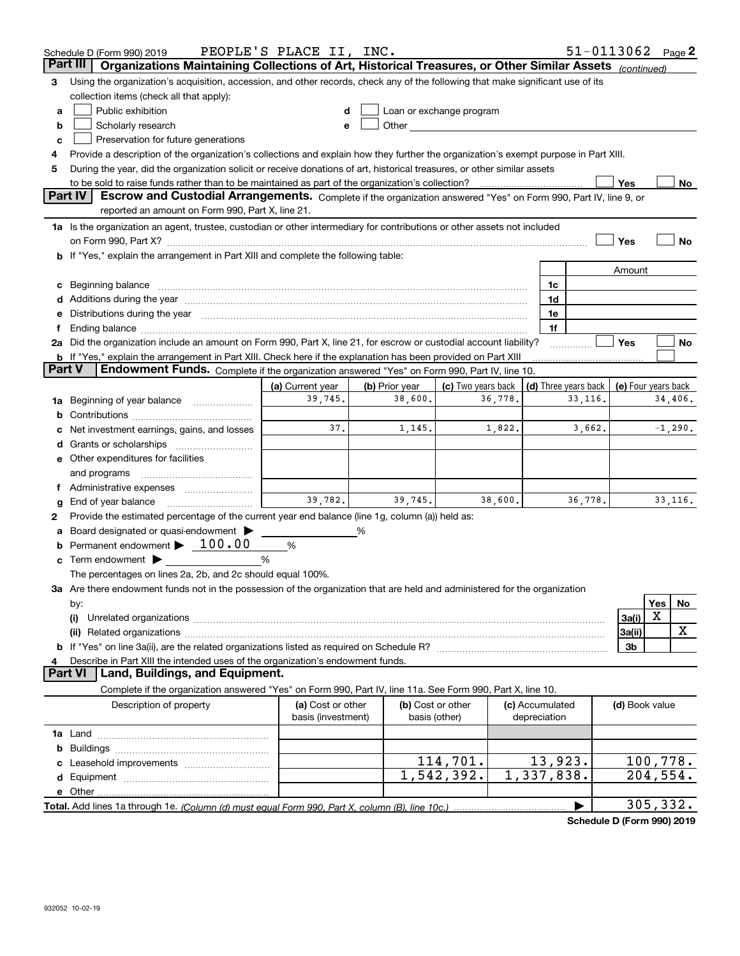| Part III<br>Organizations Maintaining Collections of Art, Historical Treasures, or Other Similar Assets (continued)<br>Using the organization's acquisition, accession, and other records, check any of the following that make significant use of its<br>з<br>collection items (check all that apply):<br>Public exhibition<br>Loan or exchange program<br>a<br>Other and the contract of the contract of the contract of the contract of the contract of the contract of the contract of the contract of the contract of the contract of the contract of the contract of the contract of the<br>Scholarly research<br>b<br>Preservation for future generations<br>c<br>Provide a description of the organization's collections and explain how they further the organization's exempt purpose in Part XIII.<br>During the year, did the organization solicit or receive donations of art, historical treasures, or other similar assets<br>5<br>to be sold to raise funds rather than to be maintained as part of the organization's collection?<br>Yes<br>No<br>Part IV<br>Escrow and Custodial Arrangements. Complete if the organization answered "Yes" on Form 990, Part IV, line 9, or<br>reported an amount on Form 990, Part X, line 21.<br>1a Is the organization an agent, trustee, custodian or other intermediary for contributions or other assets not included<br>Yes<br>No<br>on Form 990, Part X? [11] matter continuum matter contract the contract of the contract of the contract of the<br><b>b</b> If "Yes," explain the arrangement in Part XIII and complete the following table:<br>Amount<br>c Beginning balance entrance and the contract of the balance of the contract of the contract of the contract of the contract of the contract of the contract of the contract of the contract of the contract of the contract o<br>1c<br>1d<br>e Distributions during the year manufactured and contained and contained and contained and contained and contained and contained and contained and contained and contained and contained and contained and contained and conta<br>1e<br>1f<br>2a Did the organization include an amount on Form 990, Part X, line 21, for escrow or custodial account liability?<br>Yes<br>No<br><b>b</b> If "Yes," explain the arrangement in Part XIII. Check here if the explanation has been provided on Part XIII<br><b>Part V</b><br>Endowment Funds. Complete if the organization answered "Yes" on Form 990, Part IV, line 10.<br>(c) Two years back $\vert$ (d) Three years back $\vert$<br>(a) Current year<br>(b) Prior year<br>(e) Four years back<br>39,745.<br>38,600.<br>34,406.<br>36,778.<br>33,116.<br>1a Beginning of year balance<br>37.<br>3,662.<br>$-1,290.$<br>1,145.<br>1,822.<br>c Net investment earnings, gains, and losses<br>e Other expenditures for facilities<br>and programs<br>f Administrative expenses <i>manually community</i><br>39,782.<br>39,745.<br>33,116.<br>38,600.<br>36,778.<br>End of year balance<br>g<br>Provide the estimated percentage of the current year end balance (line 1g, column (a)) held as:<br>2<br>Board designated or quasi-endowment<br>%<br>a<br><b>b</b> Permanent endowment $\blacktriangleright$ 100.00<br>%<br><b>c</b> Term endowment $\blacktriangleright$<br>%<br>The percentages on lines 2a, 2b, and 2c should equal 100%.<br>3a Are there endowment funds not in the possession of the organization that are held and administered for the organization<br><b>Yes</b><br>No<br>by:<br>X<br>3a(i)<br>(i)<br>х<br>3a(ii)<br>3b<br>Describe in Part XIII the intended uses of the organization's endowment funds.<br>4<br>Land, Buildings, and Equipment.<br><b>Part VI</b><br>Complete if the organization answered "Yes" on Form 990, Part IV, line 11a. See Form 990, Part X, line 10.<br>Description of property<br>(a) Cost or other<br>(b) Cost or other<br>(c) Accumulated<br>(d) Book value<br>basis (investment)<br>basis (other)<br>depreciation<br>114,701.<br>13,923.<br>100,778.<br>1,337,838.<br>1,542,392.<br>204,554.<br>305, 332. | Schedule D (Form 990) 2019 | PEOPLE'S PLACE II, INC. |  | $51 - 0113062$ Page 2 |  |  |
|------------------------------------------------------------------------------------------------------------------------------------------------------------------------------------------------------------------------------------------------------------------------------------------------------------------------------------------------------------------------------------------------------------------------------------------------------------------------------------------------------------------------------------------------------------------------------------------------------------------------------------------------------------------------------------------------------------------------------------------------------------------------------------------------------------------------------------------------------------------------------------------------------------------------------------------------------------------------------------------------------------------------------------------------------------------------------------------------------------------------------------------------------------------------------------------------------------------------------------------------------------------------------------------------------------------------------------------------------------------------------------------------------------------------------------------------------------------------------------------------------------------------------------------------------------------------------------------------------------------------------------------------------------------------------------------------------------------------------------------------------------------------------------------------------------------------------------------------------------------------------------------------------------------------------------------------------------------------------------------------------------------------------------------------------------------------------------------------------------------------------------------------------------------------------------------------------------------------------------------------------------------------------------------------------------------------------------------------------------------------------------------------------------------------------------------------------------------------------------------------------------------------------------------------------------------------------------------------------------------------------------------------------------------------------------------------------------------------------------------------------------------------------------------------------------------------------------------------------------------------------------------------------------------------------------------------------------------------------------------------------------------------------------------------------------------------------------------------------------------------------------------------------------------------------------------------------------------------------------------------------------------------------------------------------------------------------------------------------------------------------------------------------------------------------------------------------------------------------------------------------------------------------------------------------------------------------------------------------------------------------------------------------------------------------------------------------------------------------------------------------------------------------------------------------------------------------------------------------------------------------------------------------------------------------------------------------------------------------------------------------------------------------------------------------------------------------------|----------------------------|-------------------------|--|-----------------------|--|--|
|                                                                                                                                                                                                                                                                                                                                                                                                                                                                                                                                                                                                                                                                                                                                                                                                                                                                                                                                                                                                                                                                                                                                                                                                                                                                                                                                                                                                                                                                                                                                                                                                                                                                                                                                                                                                                                                                                                                                                                                                                                                                                                                                                                                                                                                                                                                                                                                                                                                                                                                                                                                                                                                                                                                                                                                                                                                                                                                                                                                                                                                                                                                                                                                                                                                                                                                                                                                                                                                                                                                                                                                                                                                                                                                                                                                                                                                                                                                                                                                                                                                                                    |                            |                         |  |                       |  |  |
|                                                                                                                                                                                                                                                                                                                                                                                                                                                                                                                                                                                                                                                                                                                                                                                                                                                                                                                                                                                                                                                                                                                                                                                                                                                                                                                                                                                                                                                                                                                                                                                                                                                                                                                                                                                                                                                                                                                                                                                                                                                                                                                                                                                                                                                                                                                                                                                                                                                                                                                                                                                                                                                                                                                                                                                                                                                                                                                                                                                                                                                                                                                                                                                                                                                                                                                                                                                                                                                                                                                                                                                                                                                                                                                                                                                                                                                                                                                                                                                                                                                                                    |                            |                         |  |                       |  |  |
|                                                                                                                                                                                                                                                                                                                                                                                                                                                                                                                                                                                                                                                                                                                                                                                                                                                                                                                                                                                                                                                                                                                                                                                                                                                                                                                                                                                                                                                                                                                                                                                                                                                                                                                                                                                                                                                                                                                                                                                                                                                                                                                                                                                                                                                                                                                                                                                                                                                                                                                                                                                                                                                                                                                                                                                                                                                                                                                                                                                                                                                                                                                                                                                                                                                                                                                                                                                                                                                                                                                                                                                                                                                                                                                                                                                                                                                                                                                                                                                                                                                                                    |                            |                         |  |                       |  |  |
|                                                                                                                                                                                                                                                                                                                                                                                                                                                                                                                                                                                                                                                                                                                                                                                                                                                                                                                                                                                                                                                                                                                                                                                                                                                                                                                                                                                                                                                                                                                                                                                                                                                                                                                                                                                                                                                                                                                                                                                                                                                                                                                                                                                                                                                                                                                                                                                                                                                                                                                                                                                                                                                                                                                                                                                                                                                                                                                                                                                                                                                                                                                                                                                                                                                                                                                                                                                                                                                                                                                                                                                                                                                                                                                                                                                                                                                                                                                                                                                                                                                                                    |                            |                         |  |                       |  |  |
|                                                                                                                                                                                                                                                                                                                                                                                                                                                                                                                                                                                                                                                                                                                                                                                                                                                                                                                                                                                                                                                                                                                                                                                                                                                                                                                                                                                                                                                                                                                                                                                                                                                                                                                                                                                                                                                                                                                                                                                                                                                                                                                                                                                                                                                                                                                                                                                                                                                                                                                                                                                                                                                                                                                                                                                                                                                                                                                                                                                                                                                                                                                                                                                                                                                                                                                                                                                                                                                                                                                                                                                                                                                                                                                                                                                                                                                                                                                                                                                                                                                                                    |                            |                         |  |                       |  |  |
|                                                                                                                                                                                                                                                                                                                                                                                                                                                                                                                                                                                                                                                                                                                                                                                                                                                                                                                                                                                                                                                                                                                                                                                                                                                                                                                                                                                                                                                                                                                                                                                                                                                                                                                                                                                                                                                                                                                                                                                                                                                                                                                                                                                                                                                                                                                                                                                                                                                                                                                                                                                                                                                                                                                                                                                                                                                                                                                                                                                                                                                                                                                                                                                                                                                                                                                                                                                                                                                                                                                                                                                                                                                                                                                                                                                                                                                                                                                                                                                                                                                                                    |                            |                         |  |                       |  |  |
|                                                                                                                                                                                                                                                                                                                                                                                                                                                                                                                                                                                                                                                                                                                                                                                                                                                                                                                                                                                                                                                                                                                                                                                                                                                                                                                                                                                                                                                                                                                                                                                                                                                                                                                                                                                                                                                                                                                                                                                                                                                                                                                                                                                                                                                                                                                                                                                                                                                                                                                                                                                                                                                                                                                                                                                                                                                                                                                                                                                                                                                                                                                                                                                                                                                                                                                                                                                                                                                                                                                                                                                                                                                                                                                                                                                                                                                                                                                                                                                                                                                                                    |                            |                         |  |                       |  |  |
|                                                                                                                                                                                                                                                                                                                                                                                                                                                                                                                                                                                                                                                                                                                                                                                                                                                                                                                                                                                                                                                                                                                                                                                                                                                                                                                                                                                                                                                                                                                                                                                                                                                                                                                                                                                                                                                                                                                                                                                                                                                                                                                                                                                                                                                                                                                                                                                                                                                                                                                                                                                                                                                                                                                                                                                                                                                                                                                                                                                                                                                                                                                                                                                                                                                                                                                                                                                                                                                                                                                                                                                                                                                                                                                                                                                                                                                                                                                                                                                                                                                                                    |                            |                         |  |                       |  |  |
|                                                                                                                                                                                                                                                                                                                                                                                                                                                                                                                                                                                                                                                                                                                                                                                                                                                                                                                                                                                                                                                                                                                                                                                                                                                                                                                                                                                                                                                                                                                                                                                                                                                                                                                                                                                                                                                                                                                                                                                                                                                                                                                                                                                                                                                                                                                                                                                                                                                                                                                                                                                                                                                                                                                                                                                                                                                                                                                                                                                                                                                                                                                                                                                                                                                                                                                                                                                                                                                                                                                                                                                                                                                                                                                                                                                                                                                                                                                                                                                                                                                                                    |                            |                         |  |                       |  |  |
|                                                                                                                                                                                                                                                                                                                                                                                                                                                                                                                                                                                                                                                                                                                                                                                                                                                                                                                                                                                                                                                                                                                                                                                                                                                                                                                                                                                                                                                                                                                                                                                                                                                                                                                                                                                                                                                                                                                                                                                                                                                                                                                                                                                                                                                                                                                                                                                                                                                                                                                                                                                                                                                                                                                                                                                                                                                                                                                                                                                                                                                                                                                                                                                                                                                                                                                                                                                                                                                                                                                                                                                                                                                                                                                                                                                                                                                                                                                                                                                                                                                                                    |                            |                         |  |                       |  |  |
|                                                                                                                                                                                                                                                                                                                                                                                                                                                                                                                                                                                                                                                                                                                                                                                                                                                                                                                                                                                                                                                                                                                                                                                                                                                                                                                                                                                                                                                                                                                                                                                                                                                                                                                                                                                                                                                                                                                                                                                                                                                                                                                                                                                                                                                                                                                                                                                                                                                                                                                                                                                                                                                                                                                                                                                                                                                                                                                                                                                                                                                                                                                                                                                                                                                                                                                                                                                                                                                                                                                                                                                                                                                                                                                                                                                                                                                                                                                                                                                                                                                                                    |                            |                         |  |                       |  |  |
|                                                                                                                                                                                                                                                                                                                                                                                                                                                                                                                                                                                                                                                                                                                                                                                                                                                                                                                                                                                                                                                                                                                                                                                                                                                                                                                                                                                                                                                                                                                                                                                                                                                                                                                                                                                                                                                                                                                                                                                                                                                                                                                                                                                                                                                                                                                                                                                                                                                                                                                                                                                                                                                                                                                                                                                                                                                                                                                                                                                                                                                                                                                                                                                                                                                                                                                                                                                                                                                                                                                                                                                                                                                                                                                                                                                                                                                                                                                                                                                                                                                                                    |                            |                         |  |                       |  |  |
|                                                                                                                                                                                                                                                                                                                                                                                                                                                                                                                                                                                                                                                                                                                                                                                                                                                                                                                                                                                                                                                                                                                                                                                                                                                                                                                                                                                                                                                                                                                                                                                                                                                                                                                                                                                                                                                                                                                                                                                                                                                                                                                                                                                                                                                                                                                                                                                                                                                                                                                                                                                                                                                                                                                                                                                                                                                                                                                                                                                                                                                                                                                                                                                                                                                                                                                                                                                                                                                                                                                                                                                                                                                                                                                                                                                                                                                                                                                                                                                                                                                                                    |                            |                         |  |                       |  |  |
|                                                                                                                                                                                                                                                                                                                                                                                                                                                                                                                                                                                                                                                                                                                                                                                                                                                                                                                                                                                                                                                                                                                                                                                                                                                                                                                                                                                                                                                                                                                                                                                                                                                                                                                                                                                                                                                                                                                                                                                                                                                                                                                                                                                                                                                                                                                                                                                                                                                                                                                                                                                                                                                                                                                                                                                                                                                                                                                                                                                                                                                                                                                                                                                                                                                                                                                                                                                                                                                                                                                                                                                                                                                                                                                                                                                                                                                                                                                                                                                                                                                                                    |                            |                         |  |                       |  |  |
|                                                                                                                                                                                                                                                                                                                                                                                                                                                                                                                                                                                                                                                                                                                                                                                                                                                                                                                                                                                                                                                                                                                                                                                                                                                                                                                                                                                                                                                                                                                                                                                                                                                                                                                                                                                                                                                                                                                                                                                                                                                                                                                                                                                                                                                                                                                                                                                                                                                                                                                                                                                                                                                                                                                                                                                                                                                                                                                                                                                                                                                                                                                                                                                                                                                                                                                                                                                                                                                                                                                                                                                                                                                                                                                                                                                                                                                                                                                                                                                                                                                                                    |                            |                         |  |                       |  |  |
|                                                                                                                                                                                                                                                                                                                                                                                                                                                                                                                                                                                                                                                                                                                                                                                                                                                                                                                                                                                                                                                                                                                                                                                                                                                                                                                                                                                                                                                                                                                                                                                                                                                                                                                                                                                                                                                                                                                                                                                                                                                                                                                                                                                                                                                                                                                                                                                                                                                                                                                                                                                                                                                                                                                                                                                                                                                                                                                                                                                                                                                                                                                                                                                                                                                                                                                                                                                                                                                                                                                                                                                                                                                                                                                                                                                                                                                                                                                                                                                                                                                                                    |                            |                         |  |                       |  |  |
|                                                                                                                                                                                                                                                                                                                                                                                                                                                                                                                                                                                                                                                                                                                                                                                                                                                                                                                                                                                                                                                                                                                                                                                                                                                                                                                                                                                                                                                                                                                                                                                                                                                                                                                                                                                                                                                                                                                                                                                                                                                                                                                                                                                                                                                                                                                                                                                                                                                                                                                                                                                                                                                                                                                                                                                                                                                                                                                                                                                                                                                                                                                                                                                                                                                                                                                                                                                                                                                                                                                                                                                                                                                                                                                                                                                                                                                                                                                                                                                                                                                                                    |                            |                         |  |                       |  |  |
|                                                                                                                                                                                                                                                                                                                                                                                                                                                                                                                                                                                                                                                                                                                                                                                                                                                                                                                                                                                                                                                                                                                                                                                                                                                                                                                                                                                                                                                                                                                                                                                                                                                                                                                                                                                                                                                                                                                                                                                                                                                                                                                                                                                                                                                                                                                                                                                                                                                                                                                                                                                                                                                                                                                                                                                                                                                                                                                                                                                                                                                                                                                                                                                                                                                                                                                                                                                                                                                                                                                                                                                                                                                                                                                                                                                                                                                                                                                                                                                                                                                                                    |                            |                         |  |                       |  |  |
|                                                                                                                                                                                                                                                                                                                                                                                                                                                                                                                                                                                                                                                                                                                                                                                                                                                                                                                                                                                                                                                                                                                                                                                                                                                                                                                                                                                                                                                                                                                                                                                                                                                                                                                                                                                                                                                                                                                                                                                                                                                                                                                                                                                                                                                                                                                                                                                                                                                                                                                                                                                                                                                                                                                                                                                                                                                                                                                                                                                                                                                                                                                                                                                                                                                                                                                                                                                                                                                                                                                                                                                                                                                                                                                                                                                                                                                                                                                                                                                                                                                                                    |                            |                         |  |                       |  |  |
|                                                                                                                                                                                                                                                                                                                                                                                                                                                                                                                                                                                                                                                                                                                                                                                                                                                                                                                                                                                                                                                                                                                                                                                                                                                                                                                                                                                                                                                                                                                                                                                                                                                                                                                                                                                                                                                                                                                                                                                                                                                                                                                                                                                                                                                                                                                                                                                                                                                                                                                                                                                                                                                                                                                                                                                                                                                                                                                                                                                                                                                                                                                                                                                                                                                                                                                                                                                                                                                                                                                                                                                                                                                                                                                                                                                                                                                                                                                                                                                                                                                                                    |                            |                         |  |                       |  |  |
|                                                                                                                                                                                                                                                                                                                                                                                                                                                                                                                                                                                                                                                                                                                                                                                                                                                                                                                                                                                                                                                                                                                                                                                                                                                                                                                                                                                                                                                                                                                                                                                                                                                                                                                                                                                                                                                                                                                                                                                                                                                                                                                                                                                                                                                                                                                                                                                                                                                                                                                                                                                                                                                                                                                                                                                                                                                                                                                                                                                                                                                                                                                                                                                                                                                                                                                                                                                                                                                                                                                                                                                                                                                                                                                                                                                                                                                                                                                                                                                                                                                                                    |                            |                         |  |                       |  |  |
|                                                                                                                                                                                                                                                                                                                                                                                                                                                                                                                                                                                                                                                                                                                                                                                                                                                                                                                                                                                                                                                                                                                                                                                                                                                                                                                                                                                                                                                                                                                                                                                                                                                                                                                                                                                                                                                                                                                                                                                                                                                                                                                                                                                                                                                                                                                                                                                                                                                                                                                                                                                                                                                                                                                                                                                                                                                                                                                                                                                                                                                                                                                                                                                                                                                                                                                                                                                                                                                                                                                                                                                                                                                                                                                                                                                                                                                                                                                                                                                                                                                                                    |                            |                         |  |                       |  |  |
|                                                                                                                                                                                                                                                                                                                                                                                                                                                                                                                                                                                                                                                                                                                                                                                                                                                                                                                                                                                                                                                                                                                                                                                                                                                                                                                                                                                                                                                                                                                                                                                                                                                                                                                                                                                                                                                                                                                                                                                                                                                                                                                                                                                                                                                                                                                                                                                                                                                                                                                                                                                                                                                                                                                                                                                                                                                                                                                                                                                                                                                                                                                                                                                                                                                                                                                                                                                                                                                                                                                                                                                                                                                                                                                                                                                                                                                                                                                                                                                                                                                                                    |                            |                         |  |                       |  |  |
|                                                                                                                                                                                                                                                                                                                                                                                                                                                                                                                                                                                                                                                                                                                                                                                                                                                                                                                                                                                                                                                                                                                                                                                                                                                                                                                                                                                                                                                                                                                                                                                                                                                                                                                                                                                                                                                                                                                                                                                                                                                                                                                                                                                                                                                                                                                                                                                                                                                                                                                                                                                                                                                                                                                                                                                                                                                                                                                                                                                                                                                                                                                                                                                                                                                                                                                                                                                                                                                                                                                                                                                                                                                                                                                                                                                                                                                                                                                                                                                                                                                                                    |                            |                         |  |                       |  |  |
|                                                                                                                                                                                                                                                                                                                                                                                                                                                                                                                                                                                                                                                                                                                                                                                                                                                                                                                                                                                                                                                                                                                                                                                                                                                                                                                                                                                                                                                                                                                                                                                                                                                                                                                                                                                                                                                                                                                                                                                                                                                                                                                                                                                                                                                                                                                                                                                                                                                                                                                                                                                                                                                                                                                                                                                                                                                                                                                                                                                                                                                                                                                                                                                                                                                                                                                                                                                                                                                                                                                                                                                                                                                                                                                                                                                                                                                                                                                                                                                                                                                                                    |                            |                         |  |                       |  |  |
|                                                                                                                                                                                                                                                                                                                                                                                                                                                                                                                                                                                                                                                                                                                                                                                                                                                                                                                                                                                                                                                                                                                                                                                                                                                                                                                                                                                                                                                                                                                                                                                                                                                                                                                                                                                                                                                                                                                                                                                                                                                                                                                                                                                                                                                                                                                                                                                                                                                                                                                                                                                                                                                                                                                                                                                                                                                                                                                                                                                                                                                                                                                                                                                                                                                                                                                                                                                                                                                                                                                                                                                                                                                                                                                                                                                                                                                                                                                                                                                                                                                                                    |                            |                         |  |                       |  |  |
|                                                                                                                                                                                                                                                                                                                                                                                                                                                                                                                                                                                                                                                                                                                                                                                                                                                                                                                                                                                                                                                                                                                                                                                                                                                                                                                                                                                                                                                                                                                                                                                                                                                                                                                                                                                                                                                                                                                                                                                                                                                                                                                                                                                                                                                                                                                                                                                                                                                                                                                                                                                                                                                                                                                                                                                                                                                                                                                                                                                                                                                                                                                                                                                                                                                                                                                                                                                                                                                                                                                                                                                                                                                                                                                                                                                                                                                                                                                                                                                                                                                                                    |                            |                         |  |                       |  |  |
|                                                                                                                                                                                                                                                                                                                                                                                                                                                                                                                                                                                                                                                                                                                                                                                                                                                                                                                                                                                                                                                                                                                                                                                                                                                                                                                                                                                                                                                                                                                                                                                                                                                                                                                                                                                                                                                                                                                                                                                                                                                                                                                                                                                                                                                                                                                                                                                                                                                                                                                                                                                                                                                                                                                                                                                                                                                                                                                                                                                                                                                                                                                                                                                                                                                                                                                                                                                                                                                                                                                                                                                                                                                                                                                                                                                                                                                                                                                                                                                                                                                                                    |                            |                         |  |                       |  |  |
|                                                                                                                                                                                                                                                                                                                                                                                                                                                                                                                                                                                                                                                                                                                                                                                                                                                                                                                                                                                                                                                                                                                                                                                                                                                                                                                                                                                                                                                                                                                                                                                                                                                                                                                                                                                                                                                                                                                                                                                                                                                                                                                                                                                                                                                                                                                                                                                                                                                                                                                                                                                                                                                                                                                                                                                                                                                                                                                                                                                                                                                                                                                                                                                                                                                                                                                                                                                                                                                                                                                                                                                                                                                                                                                                                                                                                                                                                                                                                                                                                                                                                    |                            |                         |  |                       |  |  |
|                                                                                                                                                                                                                                                                                                                                                                                                                                                                                                                                                                                                                                                                                                                                                                                                                                                                                                                                                                                                                                                                                                                                                                                                                                                                                                                                                                                                                                                                                                                                                                                                                                                                                                                                                                                                                                                                                                                                                                                                                                                                                                                                                                                                                                                                                                                                                                                                                                                                                                                                                                                                                                                                                                                                                                                                                                                                                                                                                                                                                                                                                                                                                                                                                                                                                                                                                                                                                                                                                                                                                                                                                                                                                                                                                                                                                                                                                                                                                                                                                                                                                    |                            |                         |  |                       |  |  |
|                                                                                                                                                                                                                                                                                                                                                                                                                                                                                                                                                                                                                                                                                                                                                                                                                                                                                                                                                                                                                                                                                                                                                                                                                                                                                                                                                                                                                                                                                                                                                                                                                                                                                                                                                                                                                                                                                                                                                                                                                                                                                                                                                                                                                                                                                                                                                                                                                                                                                                                                                                                                                                                                                                                                                                                                                                                                                                                                                                                                                                                                                                                                                                                                                                                                                                                                                                                                                                                                                                                                                                                                                                                                                                                                                                                                                                                                                                                                                                                                                                                                                    |                            |                         |  |                       |  |  |
|                                                                                                                                                                                                                                                                                                                                                                                                                                                                                                                                                                                                                                                                                                                                                                                                                                                                                                                                                                                                                                                                                                                                                                                                                                                                                                                                                                                                                                                                                                                                                                                                                                                                                                                                                                                                                                                                                                                                                                                                                                                                                                                                                                                                                                                                                                                                                                                                                                                                                                                                                                                                                                                                                                                                                                                                                                                                                                                                                                                                                                                                                                                                                                                                                                                                                                                                                                                                                                                                                                                                                                                                                                                                                                                                                                                                                                                                                                                                                                                                                                                                                    |                            |                         |  |                       |  |  |
|                                                                                                                                                                                                                                                                                                                                                                                                                                                                                                                                                                                                                                                                                                                                                                                                                                                                                                                                                                                                                                                                                                                                                                                                                                                                                                                                                                                                                                                                                                                                                                                                                                                                                                                                                                                                                                                                                                                                                                                                                                                                                                                                                                                                                                                                                                                                                                                                                                                                                                                                                                                                                                                                                                                                                                                                                                                                                                                                                                                                                                                                                                                                                                                                                                                                                                                                                                                                                                                                                                                                                                                                                                                                                                                                                                                                                                                                                                                                                                                                                                                                                    |                            |                         |  |                       |  |  |
|                                                                                                                                                                                                                                                                                                                                                                                                                                                                                                                                                                                                                                                                                                                                                                                                                                                                                                                                                                                                                                                                                                                                                                                                                                                                                                                                                                                                                                                                                                                                                                                                                                                                                                                                                                                                                                                                                                                                                                                                                                                                                                                                                                                                                                                                                                                                                                                                                                                                                                                                                                                                                                                                                                                                                                                                                                                                                                                                                                                                                                                                                                                                                                                                                                                                                                                                                                                                                                                                                                                                                                                                                                                                                                                                                                                                                                                                                                                                                                                                                                                                                    |                            |                         |  |                       |  |  |
|                                                                                                                                                                                                                                                                                                                                                                                                                                                                                                                                                                                                                                                                                                                                                                                                                                                                                                                                                                                                                                                                                                                                                                                                                                                                                                                                                                                                                                                                                                                                                                                                                                                                                                                                                                                                                                                                                                                                                                                                                                                                                                                                                                                                                                                                                                                                                                                                                                                                                                                                                                                                                                                                                                                                                                                                                                                                                                                                                                                                                                                                                                                                                                                                                                                                                                                                                                                                                                                                                                                                                                                                                                                                                                                                                                                                                                                                                                                                                                                                                                                                                    |                            |                         |  |                       |  |  |
|                                                                                                                                                                                                                                                                                                                                                                                                                                                                                                                                                                                                                                                                                                                                                                                                                                                                                                                                                                                                                                                                                                                                                                                                                                                                                                                                                                                                                                                                                                                                                                                                                                                                                                                                                                                                                                                                                                                                                                                                                                                                                                                                                                                                                                                                                                                                                                                                                                                                                                                                                                                                                                                                                                                                                                                                                                                                                                                                                                                                                                                                                                                                                                                                                                                                                                                                                                                                                                                                                                                                                                                                                                                                                                                                                                                                                                                                                                                                                                                                                                                                                    |                            |                         |  |                       |  |  |
|                                                                                                                                                                                                                                                                                                                                                                                                                                                                                                                                                                                                                                                                                                                                                                                                                                                                                                                                                                                                                                                                                                                                                                                                                                                                                                                                                                                                                                                                                                                                                                                                                                                                                                                                                                                                                                                                                                                                                                                                                                                                                                                                                                                                                                                                                                                                                                                                                                                                                                                                                                                                                                                                                                                                                                                                                                                                                                                                                                                                                                                                                                                                                                                                                                                                                                                                                                                                                                                                                                                                                                                                                                                                                                                                                                                                                                                                                                                                                                                                                                                                                    |                            |                         |  |                       |  |  |
|                                                                                                                                                                                                                                                                                                                                                                                                                                                                                                                                                                                                                                                                                                                                                                                                                                                                                                                                                                                                                                                                                                                                                                                                                                                                                                                                                                                                                                                                                                                                                                                                                                                                                                                                                                                                                                                                                                                                                                                                                                                                                                                                                                                                                                                                                                                                                                                                                                                                                                                                                                                                                                                                                                                                                                                                                                                                                                                                                                                                                                                                                                                                                                                                                                                                                                                                                                                                                                                                                                                                                                                                                                                                                                                                                                                                                                                                                                                                                                                                                                                                                    |                            |                         |  |                       |  |  |
|                                                                                                                                                                                                                                                                                                                                                                                                                                                                                                                                                                                                                                                                                                                                                                                                                                                                                                                                                                                                                                                                                                                                                                                                                                                                                                                                                                                                                                                                                                                                                                                                                                                                                                                                                                                                                                                                                                                                                                                                                                                                                                                                                                                                                                                                                                                                                                                                                                                                                                                                                                                                                                                                                                                                                                                                                                                                                                                                                                                                                                                                                                                                                                                                                                                                                                                                                                                                                                                                                                                                                                                                                                                                                                                                                                                                                                                                                                                                                                                                                                                                                    |                            |                         |  |                       |  |  |
|                                                                                                                                                                                                                                                                                                                                                                                                                                                                                                                                                                                                                                                                                                                                                                                                                                                                                                                                                                                                                                                                                                                                                                                                                                                                                                                                                                                                                                                                                                                                                                                                                                                                                                                                                                                                                                                                                                                                                                                                                                                                                                                                                                                                                                                                                                                                                                                                                                                                                                                                                                                                                                                                                                                                                                                                                                                                                                                                                                                                                                                                                                                                                                                                                                                                                                                                                                                                                                                                                                                                                                                                                                                                                                                                                                                                                                                                                                                                                                                                                                                                                    |                            |                         |  |                       |  |  |
|                                                                                                                                                                                                                                                                                                                                                                                                                                                                                                                                                                                                                                                                                                                                                                                                                                                                                                                                                                                                                                                                                                                                                                                                                                                                                                                                                                                                                                                                                                                                                                                                                                                                                                                                                                                                                                                                                                                                                                                                                                                                                                                                                                                                                                                                                                                                                                                                                                                                                                                                                                                                                                                                                                                                                                                                                                                                                                                                                                                                                                                                                                                                                                                                                                                                                                                                                                                                                                                                                                                                                                                                                                                                                                                                                                                                                                                                                                                                                                                                                                                                                    |                            |                         |  |                       |  |  |
|                                                                                                                                                                                                                                                                                                                                                                                                                                                                                                                                                                                                                                                                                                                                                                                                                                                                                                                                                                                                                                                                                                                                                                                                                                                                                                                                                                                                                                                                                                                                                                                                                                                                                                                                                                                                                                                                                                                                                                                                                                                                                                                                                                                                                                                                                                                                                                                                                                                                                                                                                                                                                                                                                                                                                                                                                                                                                                                                                                                                                                                                                                                                                                                                                                                                                                                                                                                                                                                                                                                                                                                                                                                                                                                                                                                                                                                                                                                                                                                                                                                                                    |                            |                         |  |                       |  |  |
|                                                                                                                                                                                                                                                                                                                                                                                                                                                                                                                                                                                                                                                                                                                                                                                                                                                                                                                                                                                                                                                                                                                                                                                                                                                                                                                                                                                                                                                                                                                                                                                                                                                                                                                                                                                                                                                                                                                                                                                                                                                                                                                                                                                                                                                                                                                                                                                                                                                                                                                                                                                                                                                                                                                                                                                                                                                                                                                                                                                                                                                                                                                                                                                                                                                                                                                                                                                                                                                                                                                                                                                                                                                                                                                                                                                                                                                                                                                                                                                                                                                                                    |                            |                         |  |                       |  |  |
|                                                                                                                                                                                                                                                                                                                                                                                                                                                                                                                                                                                                                                                                                                                                                                                                                                                                                                                                                                                                                                                                                                                                                                                                                                                                                                                                                                                                                                                                                                                                                                                                                                                                                                                                                                                                                                                                                                                                                                                                                                                                                                                                                                                                                                                                                                                                                                                                                                                                                                                                                                                                                                                                                                                                                                                                                                                                                                                                                                                                                                                                                                                                                                                                                                                                                                                                                                                                                                                                                                                                                                                                                                                                                                                                                                                                                                                                                                                                                                                                                                                                                    |                            |                         |  |                       |  |  |
|                                                                                                                                                                                                                                                                                                                                                                                                                                                                                                                                                                                                                                                                                                                                                                                                                                                                                                                                                                                                                                                                                                                                                                                                                                                                                                                                                                                                                                                                                                                                                                                                                                                                                                                                                                                                                                                                                                                                                                                                                                                                                                                                                                                                                                                                                                                                                                                                                                                                                                                                                                                                                                                                                                                                                                                                                                                                                                                                                                                                                                                                                                                                                                                                                                                                                                                                                                                                                                                                                                                                                                                                                                                                                                                                                                                                                                                                                                                                                                                                                                                                                    |                            |                         |  |                       |  |  |
|                                                                                                                                                                                                                                                                                                                                                                                                                                                                                                                                                                                                                                                                                                                                                                                                                                                                                                                                                                                                                                                                                                                                                                                                                                                                                                                                                                                                                                                                                                                                                                                                                                                                                                                                                                                                                                                                                                                                                                                                                                                                                                                                                                                                                                                                                                                                                                                                                                                                                                                                                                                                                                                                                                                                                                                                                                                                                                                                                                                                                                                                                                                                                                                                                                                                                                                                                                                                                                                                                                                                                                                                                                                                                                                                                                                                                                                                                                                                                                                                                                                                                    |                            |                         |  |                       |  |  |
|                                                                                                                                                                                                                                                                                                                                                                                                                                                                                                                                                                                                                                                                                                                                                                                                                                                                                                                                                                                                                                                                                                                                                                                                                                                                                                                                                                                                                                                                                                                                                                                                                                                                                                                                                                                                                                                                                                                                                                                                                                                                                                                                                                                                                                                                                                                                                                                                                                                                                                                                                                                                                                                                                                                                                                                                                                                                                                                                                                                                                                                                                                                                                                                                                                                                                                                                                                                                                                                                                                                                                                                                                                                                                                                                                                                                                                                                                                                                                                                                                                                                                    |                            |                         |  |                       |  |  |
|                                                                                                                                                                                                                                                                                                                                                                                                                                                                                                                                                                                                                                                                                                                                                                                                                                                                                                                                                                                                                                                                                                                                                                                                                                                                                                                                                                                                                                                                                                                                                                                                                                                                                                                                                                                                                                                                                                                                                                                                                                                                                                                                                                                                                                                                                                                                                                                                                                                                                                                                                                                                                                                                                                                                                                                                                                                                                                                                                                                                                                                                                                                                                                                                                                                                                                                                                                                                                                                                                                                                                                                                                                                                                                                                                                                                                                                                                                                                                                                                                                                                                    |                            |                         |  |                       |  |  |
|                                                                                                                                                                                                                                                                                                                                                                                                                                                                                                                                                                                                                                                                                                                                                                                                                                                                                                                                                                                                                                                                                                                                                                                                                                                                                                                                                                                                                                                                                                                                                                                                                                                                                                                                                                                                                                                                                                                                                                                                                                                                                                                                                                                                                                                                                                                                                                                                                                                                                                                                                                                                                                                                                                                                                                                                                                                                                                                                                                                                                                                                                                                                                                                                                                                                                                                                                                                                                                                                                                                                                                                                                                                                                                                                                                                                                                                                                                                                                                                                                                                                                    |                            |                         |  |                       |  |  |

**Schedule D (Form 990) 2019**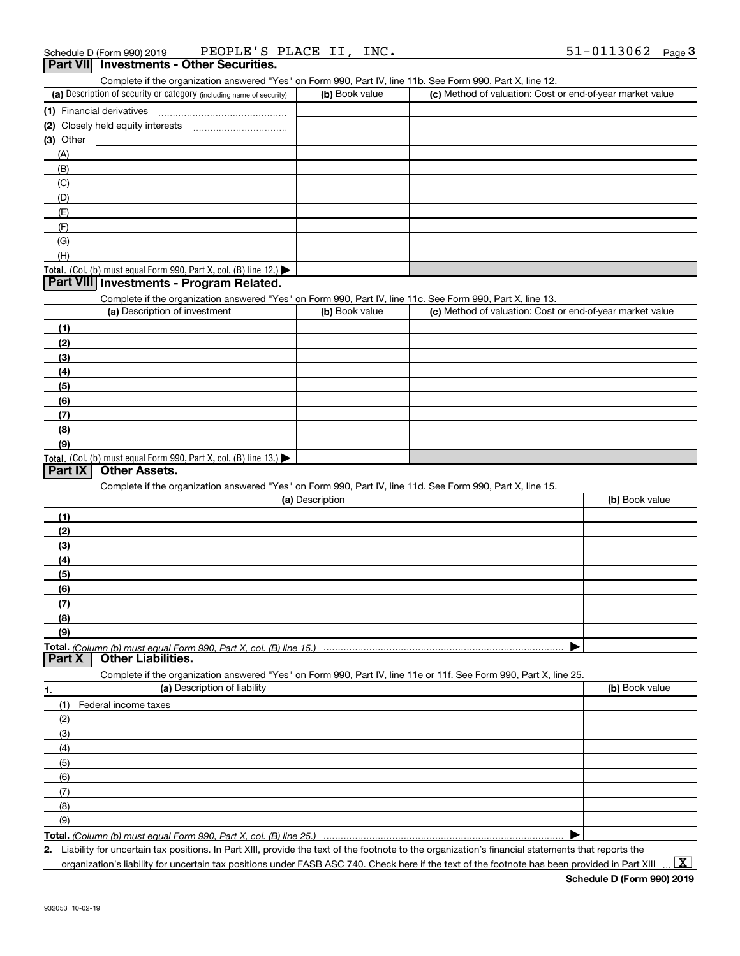Complete if the organization answered "Yes" on Form 990, Part IV, line 11b. See Form 990, Part X, line 12.

| (a) Description of security or category (including name of security)                          | (b) Book value | (c) Method of valuation: Cost or end-of-year market value |
|-----------------------------------------------------------------------------------------------|----------------|-----------------------------------------------------------|
| (1) Financial derivatives                                                                     |                |                                                           |
| (2) Closely held equity interests                                                             |                |                                                           |
| $(3)$ Other                                                                                   |                |                                                           |
| (A)                                                                                           |                |                                                           |
| (B)                                                                                           |                |                                                           |
| (C)                                                                                           |                |                                                           |
| (D)                                                                                           |                |                                                           |
| (E)                                                                                           |                |                                                           |
| (F)                                                                                           |                |                                                           |
| (G)                                                                                           |                |                                                           |
| (H)                                                                                           |                |                                                           |
| <b>Total.</b> (Col. (b) must equal Form 990, Part X, col. (B) line 12.) $\blacktriangleright$ |                |                                                           |

#### **Part VIII Investments - Program Related.**

Complete if the organization answered "Yes" on Form 990, Part IV, line 11c. See Form 990, Part X, line 13.

| (a) Description of investment                                                          | (b) Book value | (c) Method of valuation: Cost or end-of-year market value |
|----------------------------------------------------------------------------------------|----------------|-----------------------------------------------------------|
| (1)                                                                                    |                |                                                           |
| (2)                                                                                    |                |                                                           |
| $\frac{1}{2}$                                                                          |                |                                                           |
| (4)                                                                                    |                |                                                           |
| $\frac{1}{2}$                                                                          |                |                                                           |
| (6)                                                                                    |                |                                                           |
| (7)                                                                                    |                |                                                           |
| (8)                                                                                    |                |                                                           |
| (9)                                                                                    |                |                                                           |
| Total. (Col. (b) must equal Form 990, Part X, col. (B) line 13.) $\blacktriangleright$ |                |                                                           |

#### **Part IX Other Assets.**

Complete if the organization answered "Yes" on Form 990, Part IV, line 11d. See Form 990, Part X, line 15.

| (a) Description                                                                                                   | (b) Book value |
|-------------------------------------------------------------------------------------------------------------------|----------------|
| (1)                                                                                                               |                |
| (2)                                                                                                               |                |
| (3)                                                                                                               |                |
| (4)                                                                                                               |                |
| (5)                                                                                                               |                |
| (6)                                                                                                               |                |
| (7)                                                                                                               |                |
| (8)                                                                                                               |                |
| (9)                                                                                                               |                |
|                                                                                                                   |                |
| Total. (Column (b) must equal Form 990, Part X, col. (B) line 15.)<br>  Part X   Other Liabilities.               |                |
| Complete if the organization answered "Yes" on Form 990, Part IV, line 11e or 11f. See Form 990, Part X, line 25. |                |
| (a) Description of liability<br>1.                                                                                | (b) Book value |
| Federal income taxes<br>(1)                                                                                       |                |
| (2)                                                                                                               |                |
| (3)                                                                                                               |                |

| <b>Total.</b> (Column (b) must equal Form 990 Part X col (B) line 25 ) $\ldots$ $\ldots$ $\ldots$ $\ldots$ $\ldots$ $\ldots$ $\ldots$ $\ldots$ $\ldots$ $\ldots$ $\ldots$ $\ldots$ $\ldots$ $\ldots$ $\ldots$ $\ldots$ $\ldots$ $\ldots$ $\ldots$ $\ldots$ $\ldots$ $\ldots$ $\ldots$ $\ldots$ $\ldots$ $\ldots$ |  |
|------------------------------------------------------------------------------------------------------------------------------------------------------------------------------------------------------------------------------------------------------------------------------------------------------------------|--|

**Total.**  *(Column (b) must equal Form 990, Part X, col. (B) line 25.)*

**2.** Liability for uncertain tax positions. In Part XIII, provide the text of the footnote to the organization's financial statements that reports the

 $\vert$  X  $\vert$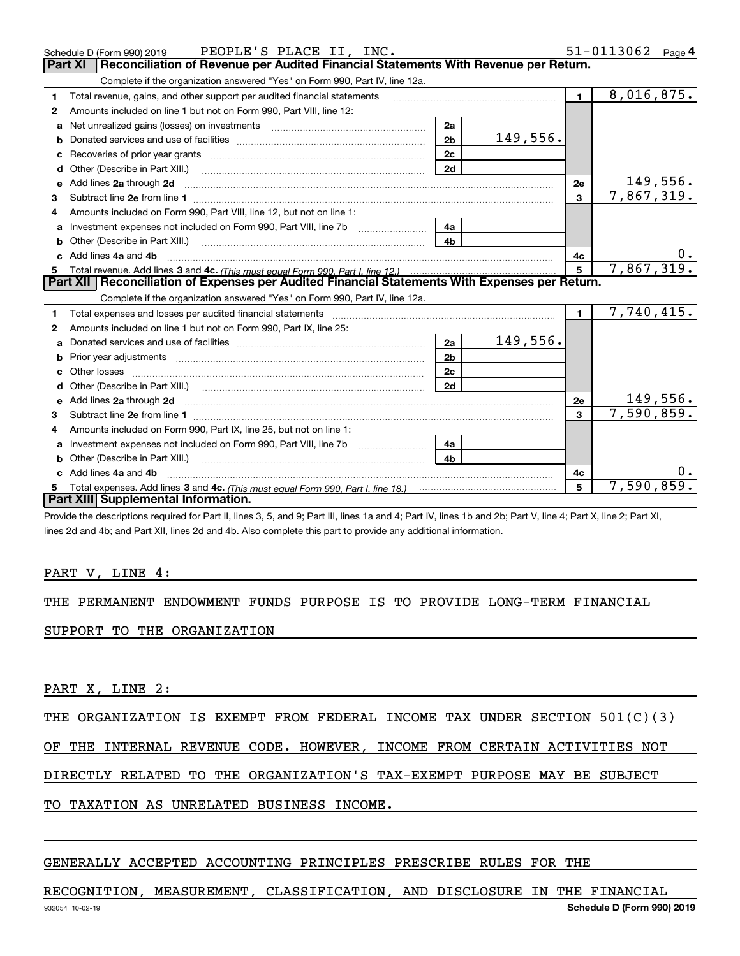|    | Schedule D (Form 990) 2019 PEOPLE'S PLACE II, INC.                                                                                                                                                                                  |                |          |                         | 51-0113062<br>Page 4 |
|----|-------------------------------------------------------------------------------------------------------------------------------------------------------------------------------------------------------------------------------------|----------------|----------|-------------------------|----------------------|
|    | Reconciliation of Revenue per Audited Financial Statements With Revenue per Return.<br>Part XI                                                                                                                                      |                |          |                         |                      |
|    | Complete if the organization answered "Yes" on Form 990, Part IV, line 12a.                                                                                                                                                         |                |          |                         |                      |
| 1  | Total revenue, gains, and other support per audited financial statements                                                                                                                                                            |                |          | $\blacksquare$          | 8,016,875.           |
| 2  | Amounts included on line 1 but not on Form 990, Part VIII, line 12:                                                                                                                                                                 |                |          |                         |                      |
| a  |                                                                                                                                                                                                                                     | 2a             |          |                         |                      |
|    |                                                                                                                                                                                                                                     | 2 <sub>b</sub> | 149,556. |                         |                      |
|    |                                                                                                                                                                                                                                     | 2 <sub>c</sub> |          |                         |                      |
| d  |                                                                                                                                                                                                                                     | 2d             |          |                         |                      |
| е  | Add lines 2a through 2d                                                                                                                                                                                                             |                |          | 2e                      | 149,556.             |
| 3  |                                                                                                                                                                                                                                     |                |          | 3                       | 7,867,319.           |
| 4  | Amounts included on Form 990, Part VIII, line 12, but not on line 1:                                                                                                                                                                |                |          |                         |                      |
|    | Investment expenses not included on Form 990, Part VIII, line 7b [14a]                                                                                                                                                              |                |          |                         |                      |
|    |                                                                                                                                                                                                                                     | 4 <sub>b</sub> |          |                         |                      |
| c. | Add lines 4a and 4b                                                                                                                                                                                                                 |                |          | 4с                      | 0.                   |
|    |                                                                                                                                                                                                                                     |                |          | 5                       | 7,867,319.           |
|    |                                                                                                                                                                                                                                     |                |          |                         |                      |
|    | Part XII   Reconciliation of Expenses per Audited Financial Statements With Expenses per Return.                                                                                                                                    |                |          |                         |                      |
|    | Complete if the organization answered "Yes" on Form 990, Part IV, line 12a.                                                                                                                                                         |                |          |                         |                      |
| 1  | Total expenses and losses per audited financial statements [11] [12] contraction control in the statements [13] [13] and the statements [13] [13] and the statements [13] [13] and the statements [13] [13] and the statements      |                |          | $\blacksquare$          | 7,740,415.           |
| 2  | Amounts included on line 1 but not on Form 990, Part IX, line 25:                                                                                                                                                                   |                |          |                         |                      |
| a  |                                                                                                                                                                                                                                     | 2a             | 149,556. |                         |                      |
| b  |                                                                                                                                                                                                                                     | 2 <sub>b</sub> |          |                         |                      |
| C. |                                                                                                                                                                                                                                     | 2c             |          |                         |                      |
| d  |                                                                                                                                                                                                                                     | 2d             |          |                         |                      |
|    | Add lines 2a through 2d <b>contained a contained a contained a contained a</b> contained a contained a contained a contained a contained a contained a contained a contained a contained a contained a contained a contained a cont |                |          | 2e                      | <u>149,556</u> .     |
| 3  |                                                                                                                                                                                                                                     |                |          | $\overline{\mathbf{3}}$ | 7,590,859.           |
| 4  | Amounts included on Form 990, Part IX, line 25, but not on line 1:                                                                                                                                                                  |                |          |                         |                      |
|    |                                                                                                                                                                                                                                     | 4a             |          |                         |                      |
| b  |                                                                                                                                                                                                                                     | 4 <sub>b</sub> |          |                         |                      |
|    | Add lines 4a and 4b                                                                                                                                                                                                                 |                |          | 4c                      |                      |
|    | Part XIII Supplemental Information.                                                                                                                                                                                                 |                |          | 5                       | 7,590,859.           |

Provide the descriptions required for Part II, lines 3, 5, and 9; Part III, lines 1a and 4; Part IV, lines 1b and 2b; Part V, line 4; Part X, line 2; Part XI, lines 2d and 4b; and Part XII, lines 2d and 4b. Also complete this part to provide any additional information.

#### PART V, LINE 4:

#### THE PERMANENT ENDOWMENT FUNDS PURPOSE IS TO PROVIDE LONG-TERM FINANCIAL

#### SUPPORT TO THE ORGANIZATION

PART X, LINE 2:

#### THE ORGANIZATION IS EXEMPT FROM FEDERAL INCOME TAX UNDER SECTION 501(C)(3)

#### OF THE INTERNAL REVENUE CODE. HOWEVER, INCOME FROM CERTAIN ACTIVITIES NOT

### DIRECTLY RELATED TO THE ORGANIZATION'S TAX-EXEMPT PURPOSE MAY BE SUBJECT

#### TO TAXATION AS UNRELATED BUSINESS INCOME.

#### GENERALLY ACCEPTED ACCOUNTING PRINCIPLES PRESCRIBE RULES FOR THE

#### RECOGNITION, MEASUREMENT, CLASSIFICATION, AND DISCLOSURE IN THE FINANCIAL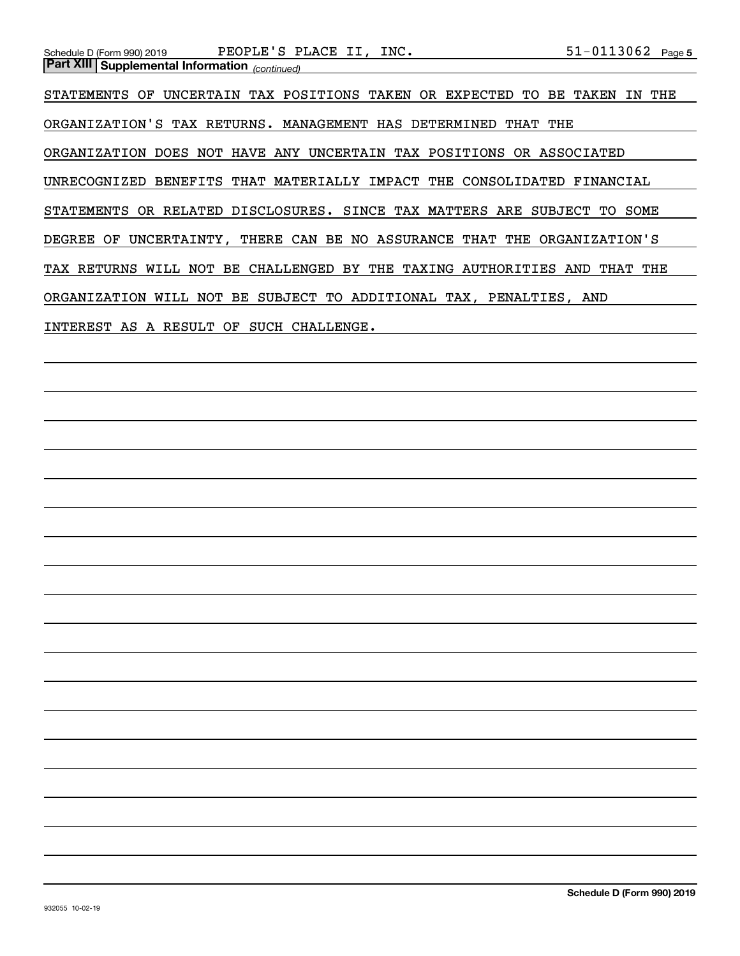| PEOPLE'S PLACE II, INC.<br>Schedule D (Form 990) 2019                           | $51 - 0113062$ Page 5     |
|---------------------------------------------------------------------------------|---------------------------|
| <b>Part XIII Supplemental Information</b> (continued)                           |                           |
|                                                                                 |                           |
| UNCERTAIN TAX POSITIONS TAKEN OR EXPECTED<br>STATEMENTS OF<br>TO.               | BE<br>THE<br>TAKEN<br>IN. |
|                                                                                 |                           |
| ORGANIZATION'S TAX RETURNS. MANAGEMENT HAS DETERMINED<br>THAT                   | THE                       |
|                                                                                 |                           |
| ORGANIZATION DOES NOT HAVE ANY UNCERTAIN TAX POSITIONS OR ASSOCIATED            |                           |
|                                                                                 |                           |
| UNRECOGNIZED BENEFITS THAT MATERIALLY IMPACT THE CONSOLIDATED FINANCIAL         |                           |
|                                                                                 |                           |
| STATEMENTS OR RELATED DISCLOSURES. SINCE TAX MATTERS ARE SUBJECT TO SOME        |                           |
|                                                                                 |                           |
| UNCERTAINTY, THERE CAN BE NO ASSURANCE<br>THAT<br>DEGREE OF                     | THE ORGANIZATION'S        |
|                                                                                 |                           |
| NOT BE CHALLENGED BY<br>THE TAXING<br>AUTHORITIES<br><b>TAX RETURNS</b><br>WILL | AND<br>THAT THE           |
|                                                                                 |                           |
| ORGANIZATION WILL NOT BE SUBJECT TO ADDITIONAL TAX, PENALTIES, AND              |                           |
|                                                                                 |                           |
| INTEREST AS A RESULT<br>OF<br>SUCH CHALLENGE.                                   |                           |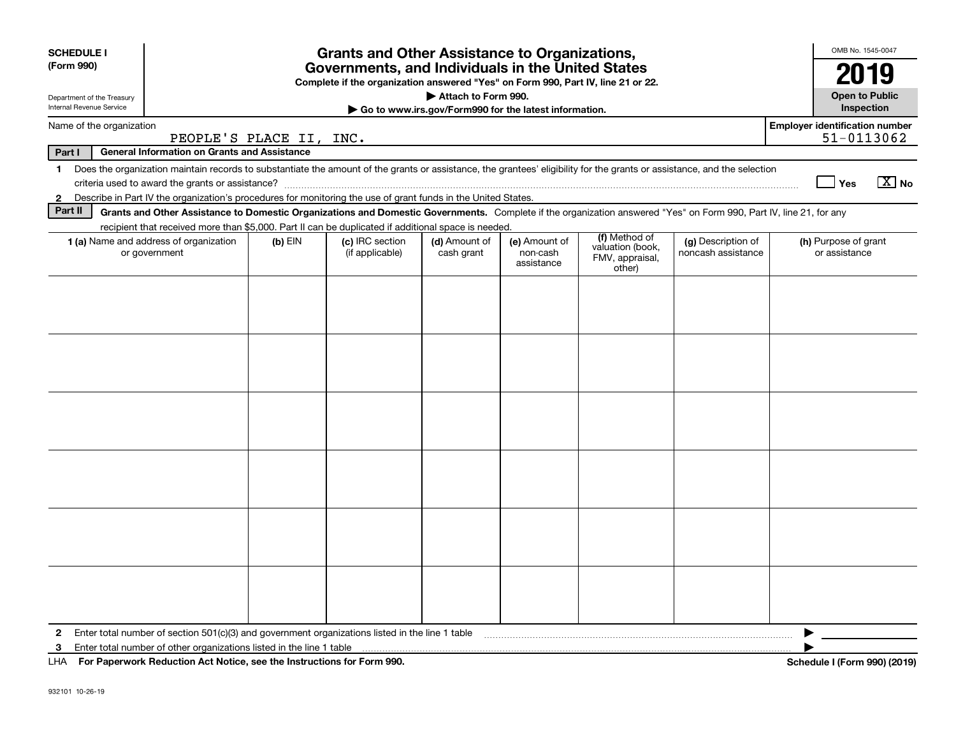| <b>SCHEDULE I</b>          |                                                                                                                                                                                                                                                                           |                         | <b>Grants and Other Assistance to Organizations,</b>                                                                                  |                                                       |                                         |                                                                |                                          | OMB No. 1545-0047                                   |
|----------------------------|---------------------------------------------------------------------------------------------------------------------------------------------------------------------------------------------------------------------------------------------------------------------------|-------------------------|---------------------------------------------------------------------------------------------------------------------------------------|-------------------------------------------------------|-----------------------------------------|----------------------------------------------------------------|------------------------------------------|-----------------------------------------------------|
| (Form 990)                 |                                                                                                                                                                                                                                                                           |                         | Governments, and Individuals in the United States<br>Complete if the organization answered "Yes" on Form 990, Part IV, line 21 or 22. |                                                       |                                         |                                                                |                                          | 2019                                                |
| Department of the Treasury |                                                                                                                                                                                                                                                                           |                         |                                                                                                                                       | Attach to Form 990.                                   |                                         |                                                                |                                          | <b>Open to Public</b>                               |
| Internal Revenue Service   |                                                                                                                                                                                                                                                                           |                         |                                                                                                                                       | Go to www.irs.gov/Form990 for the latest information. |                                         |                                                                |                                          | Inspection                                          |
| Name of the organization   |                                                                                                                                                                                                                                                                           | PEOPLE'S PLACE II, INC. |                                                                                                                                       |                                                       |                                         |                                                                |                                          | <b>Employer identification number</b><br>51-0113062 |
| Part I                     | General Information on Grants and Assistance                                                                                                                                                                                                                              |                         |                                                                                                                                       |                                                       |                                         |                                                                |                                          |                                                     |
| 1.                         | Does the organization maintain records to substantiate the amount of the grants or assistance, the grantees' eligibility for the grants or assistance, and the selection                                                                                                  |                         |                                                                                                                                       |                                                       |                                         |                                                                |                                          |                                                     |
|                            |                                                                                                                                                                                                                                                                           |                         |                                                                                                                                       |                                                       |                                         |                                                                |                                          | $\boxed{\text{X}}$ No<br>Yes                        |
| $\mathbf{2}$<br>Part II    | Describe in Part IV the organization's procedures for monitoring the use of grant funds in the United States.                                                                                                                                                             |                         |                                                                                                                                       |                                                       |                                         |                                                                |                                          |                                                     |
|                            | Grants and Other Assistance to Domestic Organizations and Domestic Governments. Complete if the organization answered "Yes" on Form 990, Part IV, line 21, for any<br>recipient that received more than \$5,000. Part II can be duplicated if additional space is needed. |                         |                                                                                                                                       |                                                       |                                         |                                                                |                                          |                                                     |
|                            | 1 (a) Name and address of organization<br>or government                                                                                                                                                                                                                   | (b) EIN                 | (c) IRC section<br>(if applicable)                                                                                                    | (d) Amount of<br>cash grant                           | (e) Amount of<br>non-cash<br>assistance | (f) Method of<br>valuation (book,<br>FMV, appraisal,<br>other) | (g) Description of<br>noncash assistance | (h) Purpose of grant<br>or assistance               |
|                            |                                                                                                                                                                                                                                                                           |                         |                                                                                                                                       |                                                       |                                         |                                                                |                                          |                                                     |
|                            |                                                                                                                                                                                                                                                                           |                         |                                                                                                                                       |                                                       |                                         |                                                                |                                          |                                                     |
|                            |                                                                                                                                                                                                                                                                           |                         |                                                                                                                                       |                                                       |                                         |                                                                |                                          |                                                     |
|                            |                                                                                                                                                                                                                                                                           |                         |                                                                                                                                       |                                                       |                                         |                                                                |                                          |                                                     |
|                            |                                                                                                                                                                                                                                                                           |                         |                                                                                                                                       |                                                       |                                         |                                                                |                                          |                                                     |
|                            |                                                                                                                                                                                                                                                                           |                         |                                                                                                                                       |                                                       |                                         |                                                                |                                          |                                                     |
|                            |                                                                                                                                                                                                                                                                           |                         |                                                                                                                                       |                                                       |                                         |                                                                |                                          |                                                     |
|                            |                                                                                                                                                                                                                                                                           |                         |                                                                                                                                       |                                                       |                                         |                                                                |                                          |                                                     |
|                            |                                                                                                                                                                                                                                                                           |                         |                                                                                                                                       |                                                       |                                         |                                                                |                                          |                                                     |
|                            |                                                                                                                                                                                                                                                                           |                         |                                                                                                                                       |                                                       |                                         |                                                                |                                          |                                                     |
|                            |                                                                                                                                                                                                                                                                           |                         |                                                                                                                                       |                                                       |                                         |                                                                |                                          |                                                     |
|                            |                                                                                                                                                                                                                                                                           |                         |                                                                                                                                       |                                                       |                                         |                                                                |                                          |                                                     |
|                            |                                                                                                                                                                                                                                                                           |                         |                                                                                                                                       |                                                       |                                         |                                                                |                                          |                                                     |
|                            |                                                                                                                                                                                                                                                                           |                         |                                                                                                                                       |                                                       |                                         |                                                                |                                          |                                                     |
|                            |                                                                                                                                                                                                                                                                           |                         |                                                                                                                                       |                                                       |                                         |                                                                |                                          |                                                     |
|                            |                                                                                                                                                                                                                                                                           |                         |                                                                                                                                       |                                                       |                                         |                                                                |                                          |                                                     |
|                            |                                                                                                                                                                                                                                                                           |                         |                                                                                                                                       |                                                       |                                         |                                                                |                                          |                                                     |
|                            |                                                                                                                                                                                                                                                                           |                         |                                                                                                                                       |                                                       |                                         |                                                                |                                          |                                                     |
|                            |                                                                                                                                                                                                                                                                           |                         |                                                                                                                                       |                                                       |                                         |                                                                |                                          |                                                     |
|                            |                                                                                                                                                                                                                                                                           |                         |                                                                                                                                       |                                                       |                                         |                                                                |                                          |                                                     |
| $\mathbf{2}$               | Enter total number of section $501(c)(3)$ and government organizations listed in the line 1 table                                                                                                                                                                         |                         |                                                                                                                                       |                                                       |                                         |                                                                |                                          |                                                     |
| 3                          | Enter total number of other organizations listed in the line 1 table                                                                                                                                                                                                      |                         |                                                                                                                                       |                                                       |                                         |                                                                |                                          |                                                     |
|                            | LHA For Paperwork Reduction Act Notice, see the Instructions for Form 990.                                                                                                                                                                                                |                         |                                                                                                                                       |                                                       |                                         |                                                                |                                          | Schedule I (Form 990) (2019)                        |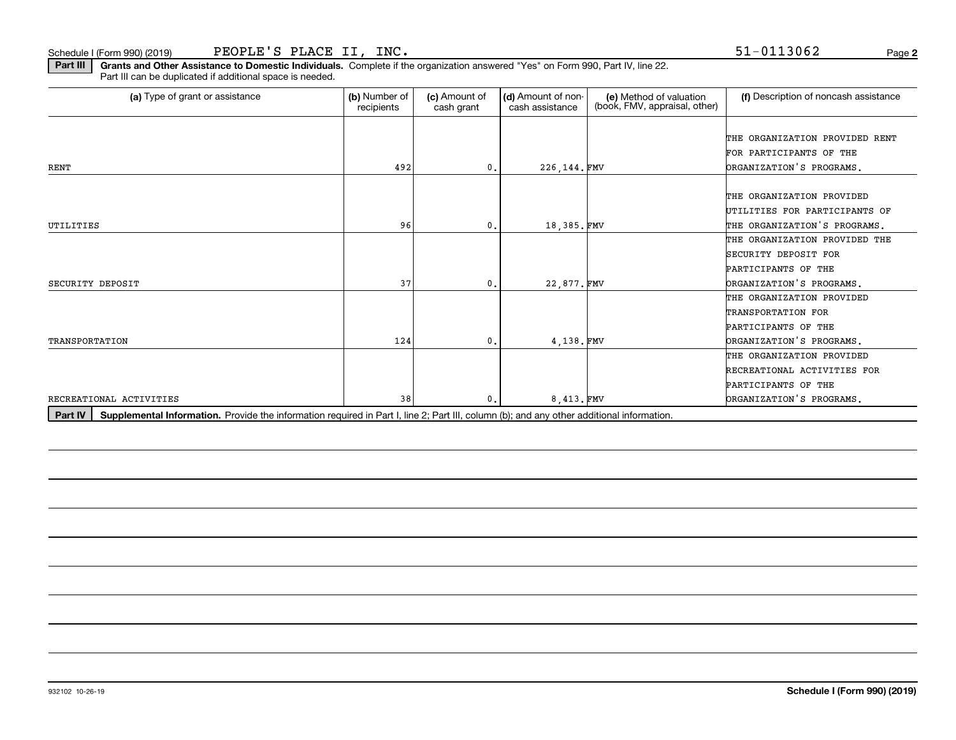Schedule I (Form 990) (2019) Page PEOPLE'S PLACE II, INC. 51-0113062

**Part III | Grants and Other Assistance to Domestic Individuals. Complete if the organization answered "Yes" on Form 990, Part IV, line 22.** Part III can be duplicated if additional space is needed.

| (a) Type of grant or assistance | (b) Number of<br>recipients | (c) Amount of<br>cash grant | (d) Amount of non-<br>cash assistance | (e) Method of valuation<br>(book, FMV, appraisal, other) | (f) Description of noncash assistance |
|---------------------------------|-----------------------------|-----------------------------|---------------------------------------|----------------------------------------------------------|---------------------------------------|
|                                 |                             |                             |                                       |                                                          |                                       |
|                                 |                             |                             |                                       |                                                          | THE ORGANIZATION PROVIDED RENT        |
|                                 |                             |                             |                                       |                                                          | FOR PARTICIPANTS OF THE               |
| RENT                            | 492                         | 0.                          | 226, 144. FMV                         |                                                          | ORGANIZATION'S PROGRAMS.              |
|                                 |                             |                             |                                       |                                                          |                                       |
|                                 |                             |                             |                                       |                                                          | THE ORGANIZATION PROVIDED             |
|                                 |                             |                             |                                       |                                                          | UTILITIES FOR PARTICIPANTS OF         |
| UTILITIES                       | 96                          | 0.                          | 18,385.FMV                            |                                                          | THE ORGANIZATION'S PROGRAMS.          |
|                                 |                             |                             |                                       |                                                          | THE ORGANIZATION PROVIDED THE         |
|                                 |                             |                             |                                       |                                                          | SECURITY DEPOSIT FOR                  |
|                                 |                             |                             |                                       |                                                          | PARTICIPANTS OF THE                   |
| SECURITY DEPOSIT                | 37                          | 0.                          | 22,877.FMV                            |                                                          | DRGANIZATION'S PROGRAMS.              |
|                                 |                             |                             |                                       |                                                          | THE ORGANIZATION PROVIDED             |
|                                 |                             |                             |                                       |                                                          | TRANSPORTATION FOR                    |
|                                 |                             |                             |                                       |                                                          | PARTICIPANTS OF THE                   |
| <b>TRANSPORTATION</b>           | 124                         | 0.                          | 4,138.FMV                             |                                                          | DRGANIZATION'S PROGRAMS.              |
|                                 |                             |                             |                                       |                                                          | THE ORGANIZATION PROVIDED             |
|                                 |                             |                             |                                       |                                                          | RECREATIONAL ACTIVITIES FOR           |
|                                 |                             |                             |                                       |                                                          | PARTICIPANTS OF THE                   |
| RECREATIONAL ACTIVITIES         | 38                          | 0.                          | 8,413.FMV                             |                                                          | DRGANIZATION'S PROGRAMS.              |

Part IV | Supplemental Information. Provide the information required in Part I, line 2; Part III, column (b); and any other additional information.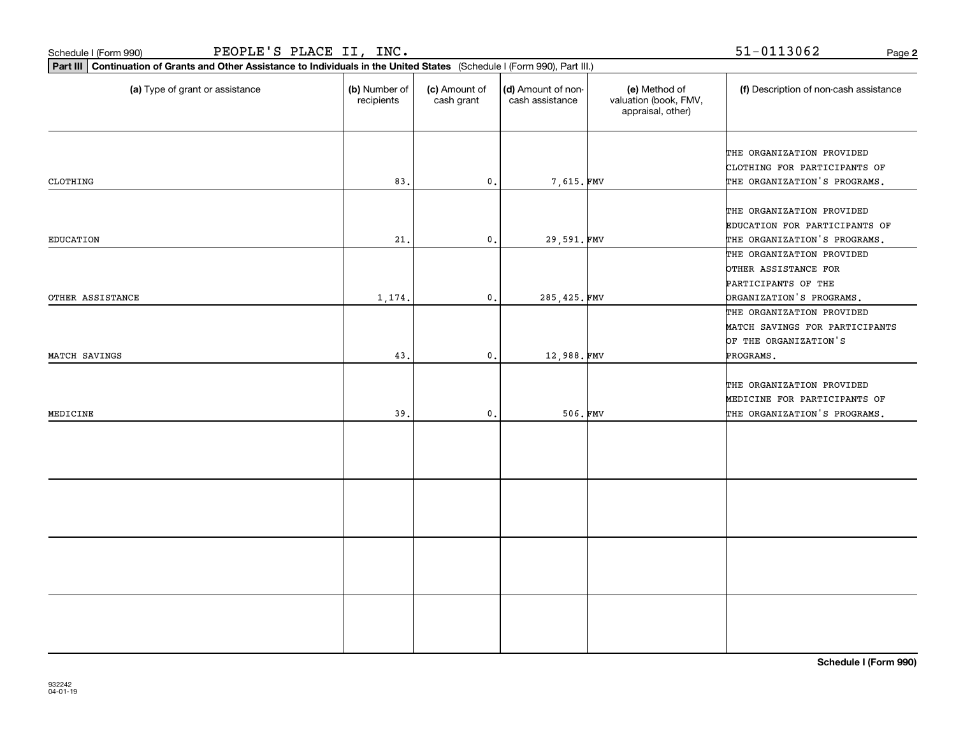| PEOPLE'S PLACE II, INC.<br>Schedule I (Form 990)                                                                            |                             |                             |                                       |                                                             | 51-0113062<br>Page 2                                                                                 |
|-----------------------------------------------------------------------------------------------------------------------------|-----------------------------|-----------------------------|---------------------------------------|-------------------------------------------------------------|------------------------------------------------------------------------------------------------------|
| Part III Continuation of Grants and Other Assistance to Individuals in the United States (Schedule I (Form 990), Part III.) |                             |                             |                                       |                                                             |                                                                                                      |
| (a) Type of grant or assistance                                                                                             | (b) Number of<br>recipients | (c) Amount of<br>cash grant | (d) Amount of non-<br>cash assistance | (e) Method of<br>valuation (book, FMV,<br>appraisal, other) | (f) Description of non-cash assistance                                                               |
| CLOTHING                                                                                                                    | 83.                         | $\mathfrak o$ .             | 7,615.FMV                             |                                                             | THE ORGANIZATION PROVIDED<br>CLOTHING FOR PARTICIPANTS OF<br>THE ORGANIZATION'S PROGRAMS.            |
| <b>EDUCATION</b>                                                                                                            | 21.                         | $\mathfrak o$ .             | 29,591.FMV                            |                                                             | THE ORGANIZATION PROVIDED<br>EDUCATION FOR PARTICIPANTS OF<br>THE ORGANIZATION'S PROGRAMS.           |
| OTHER ASSISTANCE                                                                                                            | 1,174.                      | $\mathfrak o$ .             | 285,425.FMV                           |                                                             | THE ORGANIZATION PROVIDED<br>OTHER ASSISTANCE FOR<br>PARTICIPANTS OF THE<br>DRGANIZATION'S PROGRAMS. |
| MATCH SAVINGS                                                                                                               | 43                          | $\mathbf{0}$ .              | 12,988.FMV                            |                                                             | THE ORGANIZATION PROVIDED<br>MATCH SAVINGS FOR PARTICIPANTS<br>OF THE ORGANIZATION'S<br>PROGRAMS.    |
| MEDICINE                                                                                                                    | 39                          | 0.                          | 506.FMV                               |                                                             | THE ORGANIZATION PROVIDED<br>MEDICINE FOR PARTICIPANTS OF<br>THE ORGANIZATION'S PROGRAMS.            |
|                                                                                                                             |                             |                             |                                       |                                                             |                                                                                                      |
|                                                                                                                             |                             |                             |                                       |                                                             |                                                                                                      |
|                                                                                                                             |                             |                             |                                       |                                                             |                                                                                                      |
|                                                                                                                             |                             |                             |                                       |                                                             |                                                                                                      |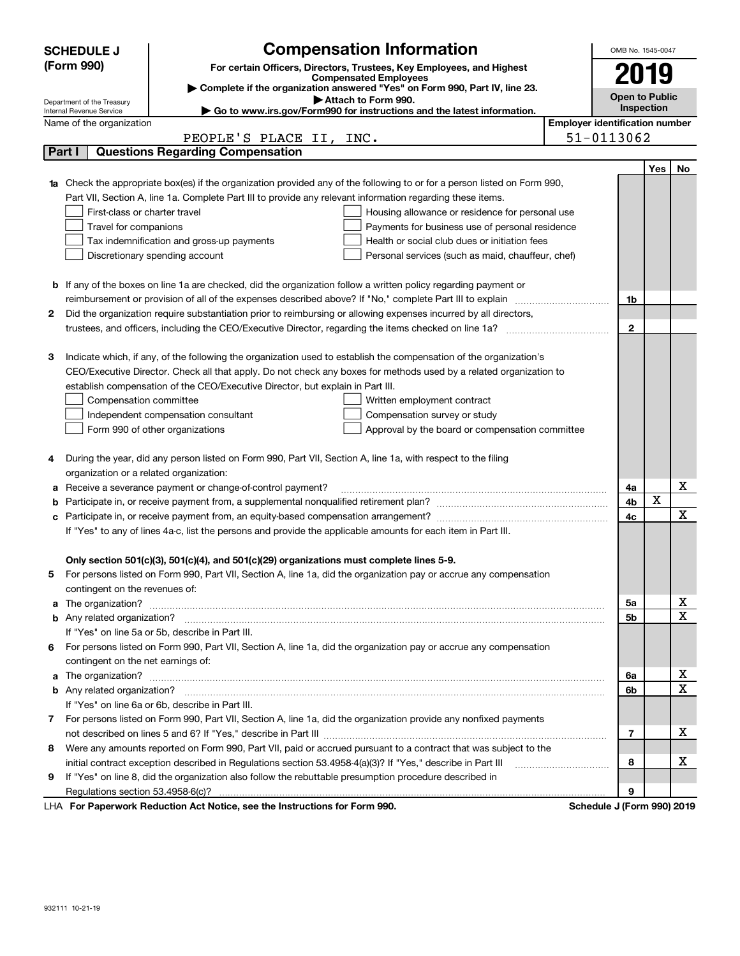|                                                                                                                        | <b>SCHEDULE J</b>                                      | <b>Compensation Information</b>                                                                                                                                                                                                      |                                       | OMB No. 1545-0047           |                   |             |
|------------------------------------------------------------------------------------------------------------------------|--------------------------------------------------------|--------------------------------------------------------------------------------------------------------------------------------------------------------------------------------------------------------------------------------------|---------------------------------------|-----------------------------|-------------------|-------------|
|                                                                                                                        | (Form 990)                                             | For certain Officers, Directors, Trustees, Key Employees, and Highest                                                                                                                                                                |                                       |                             |                   |             |
|                                                                                                                        |                                                        | <b>Compensated Employees</b>                                                                                                                                                                                                         |                                       | 2019                        |                   |             |
|                                                                                                                        |                                                        | Complete if the organization answered "Yes" on Form 990, Part IV, line 23.<br>Attach to Form 990.                                                                                                                                    |                                       | <b>Open to Public</b>       |                   |             |
|                                                                                                                        | Department of the Treasury<br>Internal Revenue Service | $\blacktriangleright$ Go to www.irs.gov/Form990 for instructions and the latest information.                                                                                                                                         |                                       |                             | <b>Inspection</b> |             |
|                                                                                                                        | Name of the organization                               |                                                                                                                                                                                                                                      | <b>Employer identification number</b> |                             |                   |             |
|                                                                                                                        |                                                        | PEOPLE'S PLACE II, INC.                                                                                                                                                                                                              |                                       | 51-0113062                  |                   |             |
|                                                                                                                        | Part I                                                 | <b>Questions Regarding Compensation</b>                                                                                                                                                                                              |                                       |                             |                   |             |
|                                                                                                                        |                                                        |                                                                                                                                                                                                                                      |                                       |                             | Yes               | No          |
| 1a                                                                                                                     |                                                        | Check the appropriate box(es) if the organization provided any of the following to or for a person listed on Form 990,                                                                                                               |                                       |                             |                   |             |
|                                                                                                                        |                                                        | Part VII, Section A, line 1a. Complete Part III to provide any relevant information regarding these items.                                                                                                                           |                                       |                             |                   |             |
|                                                                                                                        | First-class or charter travel                          | Housing allowance or residence for personal use                                                                                                                                                                                      |                                       |                             |                   |             |
|                                                                                                                        | Travel for companions                                  | Payments for business use of personal residence                                                                                                                                                                                      |                                       |                             |                   |             |
|                                                                                                                        |                                                        | Health or social club dues or initiation fees<br>Tax indemnification and gross-up payments                                                                                                                                           |                                       |                             |                   |             |
|                                                                                                                        |                                                        | Discretionary spending account<br>Personal services (such as maid, chauffeur, chef)                                                                                                                                                  |                                       |                             |                   |             |
|                                                                                                                        |                                                        |                                                                                                                                                                                                                                      |                                       |                             |                   |             |
| <b>b</b> If any of the boxes on line 1a are checked, did the organization follow a written policy regarding payment or |                                                        |                                                                                                                                                                                                                                      |                                       |                             |                   |             |
|                                                                                                                        |                                                        |                                                                                                                                                                                                                                      |                                       | 1b                          |                   |             |
| 2                                                                                                                      |                                                        | Did the organization require substantiation prior to reimbursing or allowing expenses incurred by all directors,                                                                                                                     |                                       |                             |                   |             |
|                                                                                                                        |                                                        |                                                                                                                                                                                                                                      |                                       | $\mathbf{2}$                |                   |             |
|                                                                                                                        |                                                        |                                                                                                                                                                                                                                      |                                       |                             |                   |             |
| з                                                                                                                      |                                                        | Indicate which, if any, of the following the organization used to establish the compensation of the organization's                                                                                                                   |                                       |                             |                   |             |
|                                                                                                                        |                                                        | CEO/Executive Director. Check all that apply. Do not check any boxes for methods used by a related organization to                                                                                                                   |                                       |                             |                   |             |
|                                                                                                                        |                                                        | establish compensation of the CEO/Executive Director, but explain in Part III.                                                                                                                                                       |                                       |                             |                   |             |
|                                                                                                                        | Compensation committee                                 | Written employment contract                                                                                                                                                                                                          |                                       |                             |                   |             |
|                                                                                                                        |                                                        | Compensation survey or study<br>Independent compensation consultant                                                                                                                                                                  |                                       |                             |                   |             |
|                                                                                                                        |                                                        | Form 990 of other organizations<br>Approval by the board or compensation committee                                                                                                                                                   |                                       |                             |                   |             |
|                                                                                                                        |                                                        |                                                                                                                                                                                                                                      |                                       |                             |                   |             |
| 4                                                                                                                      |                                                        | During the year, did any person listed on Form 990, Part VII, Section A, line 1a, with respect to the filing                                                                                                                         |                                       |                             |                   |             |
|                                                                                                                        | organization or a related organization:                |                                                                                                                                                                                                                                      |                                       |                             |                   |             |
| а                                                                                                                      |                                                        | Receive a severance payment or change-of-control payment?                                                                                                                                                                            |                                       | 4a                          |                   | X           |
| b                                                                                                                      |                                                        |                                                                                                                                                                                                                                      |                                       | 4b                          | X                 |             |
|                                                                                                                        |                                                        |                                                                                                                                                                                                                                      |                                       | 4с                          |                   | $\mathbf X$ |
|                                                                                                                        |                                                        | If "Yes" to any of lines 4a-c, list the persons and provide the applicable amounts for each item in Part III.                                                                                                                        |                                       |                             |                   |             |
|                                                                                                                        |                                                        |                                                                                                                                                                                                                                      |                                       |                             |                   |             |
|                                                                                                                        |                                                        | Only section 501(c)(3), 501(c)(4), and 501(c)(29) organizations must complete lines 5-9.                                                                                                                                             |                                       |                             |                   |             |
|                                                                                                                        |                                                        | For persons listed on Form 990, Part VII, Section A, line 1a, did the organization pay or accrue any compensation                                                                                                                    |                                       |                             |                   |             |
|                                                                                                                        | contingent on the revenues of:                         |                                                                                                                                                                                                                                      |                                       |                             |                   |             |
| a                                                                                                                      |                                                        | The organization? <b>With the contract of the contract of the contract of the contract of the contract of the contract of the contract of the contract of the contract of the contract of the contract of the contract of the co</b> |                                       | 5a                          |                   | х           |
|                                                                                                                        |                                                        |                                                                                                                                                                                                                                      |                                       | 5b                          |                   | $\mathbf x$ |
|                                                                                                                        |                                                        | If "Yes" on line 5a or 5b, describe in Part III.                                                                                                                                                                                     |                                       |                             |                   |             |
| 6                                                                                                                      |                                                        | For persons listed on Form 990, Part VII, Section A, line 1a, did the organization pay or accrue any compensation                                                                                                                    |                                       |                             |                   |             |
|                                                                                                                        | contingent on the net earnings of:                     |                                                                                                                                                                                                                                      |                                       |                             |                   |             |
| a                                                                                                                      |                                                        | The organization? <b>With the organization</b> ? <b>With the organization with the organization? With the organization?</b>                                                                                                          |                                       | 6a                          |                   | х           |
|                                                                                                                        |                                                        |                                                                                                                                                                                                                                      |                                       | 6b                          |                   | $\mathbf X$ |
|                                                                                                                        |                                                        | If "Yes" on line 6a or 6b, describe in Part III.                                                                                                                                                                                     |                                       |                             |                   |             |
| 7                                                                                                                      |                                                        | For persons listed on Form 990, Part VII, Section A, line 1a, did the organization provide any nonfixed payments                                                                                                                     |                                       |                             |                   |             |
|                                                                                                                        |                                                        |                                                                                                                                                                                                                                      |                                       |                             |                   |             |
| 8                                                                                                                      |                                                        | Were any amounts reported on Form 990, Part VII, paid or accrued pursuant to a contract that was subject to the                                                                                                                      |                                       |                             |                   |             |
|                                                                                                                        |                                                        | initial contract exception described in Regulations section 53.4958-4(a)(3)? If "Yes," describe in Part III                                                                                                                          |                                       | 8                           |                   | х           |
| 9                                                                                                                      |                                                        | If "Yes" on line 8, did the organization also follow the rebuttable presumption procedure described in                                                                                                                               |                                       |                             |                   |             |
|                                                                                                                        |                                                        |                                                                                                                                                                                                                                      |                                       | 9                           |                   |             |
|                                                                                                                        |                                                        | converte Deduction Act Nation, and the Instructions for Form 000                                                                                                                                                                     |                                       | Cabadula, LIFauna 0001,0040 |                   |             |

LHA For Paperwork Reduction Act Notice, see the Instructions for Form 990. Schedule J (Form 990) 2019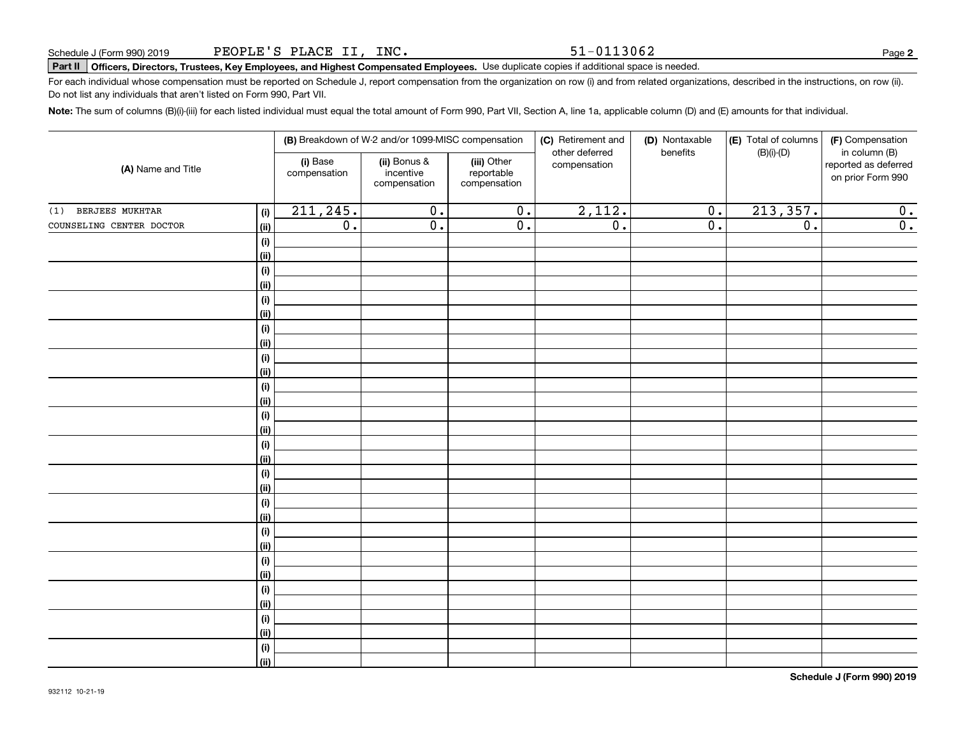51-0113062

**2**

# **Part II Officers, Directors, Trustees, Key Employees, and Highest Compensated Employees.**  Schedule J (Form 990) 2019 Page Use duplicate copies if additional space is needed.

For each individual whose compensation must be reported on Schedule J, report compensation from the organization on row (i) and from related organizations, described in the instructions, on row (ii). Do not list any individuals that aren't listed on Form 990, Part VII.

**Note:**  The sum of columns (B)(i)-(iii) for each listed individual must equal the total amount of Form 990, Part VII, Section A, line 1a, applicable column (D) and (E) amounts for that individual.

|                               |                              |                          | (B) Breakdown of W-2 and/or 1099-MISC compensation |                                           | (C) Retirement and<br>other deferred | (D) Nontaxable<br>benefits | (E) Total of columns<br>$(B)(i)$ - $(D)$ | (F) Compensation<br>in column (B)         |  |
|-------------------------------|------------------------------|--------------------------|----------------------------------------------------|-------------------------------------------|--------------------------------------|----------------------------|------------------------------------------|-------------------------------------------|--|
| (A) Name and Title            |                              | (i) Base<br>compensation | (ii) Bonus &<br>incentive<br>compensation          | (iii) Other<br>reportable<br>compensation | compensation                         |                            |                                          | reported as deferred<br>on prior Form 990 |  |
| <b>BERJEES MUKHTAR</b><br>(1) | (i)                          | 211, 245.                | $\overline{0}$ .                                   | $\overline{0}$ .                          | 2,112.                               | $\overline{0}$ .           | 213, 357.                                | 0.                                        |  |
| COUNSELING CENTER DOCTOR      | (ii)                         | $\overline{0}$ .         | $\overline{0}$ .                                   | $\overline{0}$ .                          | $\overline{0}$ .                     | $\overline{0}$ .           | $\overline{0}$ .                         | $\overline{\mathfrak{0}}$ .               |  |
|                               | (i)                          |                          |                                                    |                                           |                                      |                            |                                          |                                           |  |
|                               | (ii)                         |                          |                                                    |                                           |                                      |                            |                                          |                                           |  |
|                               | $\qquad \qquad \textbf{(i)}$ |                          |                                                    |                                           |                                      |                            |                                          |                                           |  |
|                               | (ii)                         |                          |                                                    |                                           |                                      |                            |                                          |                                           |  |
|                               | $\qquad \qquad \textbf{(i)}$ |                          |                                                    |                                           |                                      |                            |                                          |                                           |  |
|                               | (ii)                         |                          |                                                    |                                           |                                      |                            |                                          |                                           |  |
|                               | (i)                          |                          |                                                    |                                           |                                      |                            |                                          |                                           |  |
|                               | (ii)                         |                          |                                                    |                                           |                                      |                            |                                          |                                           |  |
|                               | (i)                          |                          |                                                    |                                           |                                      |                            |                                          |                                           |  |
|                               | (ii)                         |                          |                                                    |                                           |                                      |                            |                                          |                                           |  |
|                               | (i)<br>(ii)                  |                          |                                                    |                                           |                                      |                            |                                          |                                           |  |
|                               | (i)                          |                          |                                                    |                                           |                                      |                            |                                          |                                           |  |
|                               | (ii)                         |                          |                                                    |                                           |                                      |                            |                                          |                                           |  |
|                               | (i)                          |                          |                                                    |                                           |                                      |                            |                                          |                                           |  |
|                               | (ii)                         |                          |                                                    |                                           |                                      |                            |                                          |                                           |  |
|                               | $\qquad \qquad \textbf{(i)}$ |                          |                                                    |                                           |                                      |                            |                                          |                                           |  |
|                               | (ii)                         |                          |                                                    |                                           |                                      |                            |                                          |                                           |  |
|                               | (i)                          |                          |                                                    |                                           |                                      |                            |                                          |                                           |  |
|                               | (ii)                         |                          |                                                    |                                           |                                      |                            |                                          |                                           |  |
|                               | (i)                          |                          |                                                    |                                           |                                      |                            |                                          |                                           |  |
|                               | (ii)                         |                          |                                                    |                                           |                                      |                            |                                          |                                           |  |
|                               | (i)                          |                          |                                                    |                                           |                                      |                            |                                          |                                           |  |
|                               | (ii)                         |                          |                                                    |                                           |                                      |                            |                                          |                                           |  |
|                               | (i)                          |                          |                                                    |                                           |                                      |                            |                                          |                                           |  |
|                               | (ii)                         |                          |                                                    |                                           |                                      |                            |                                          |                                           |  |
|                               | (i)                          |                          |                                                    |                                           |                                      |                            |                                          |                                           |  |
|                               | (ii)                         |                          |                                                    |                                           |                                      |                            |                                          |                                           |  |
|                               | $(\sf{i})$                   |                          |                                                    |                                           |                                      |                            |                                          |                                           |  |
|                               | (ii)                         |                          |                                                    |                                           |                                      |                            |                                          |                                           |  |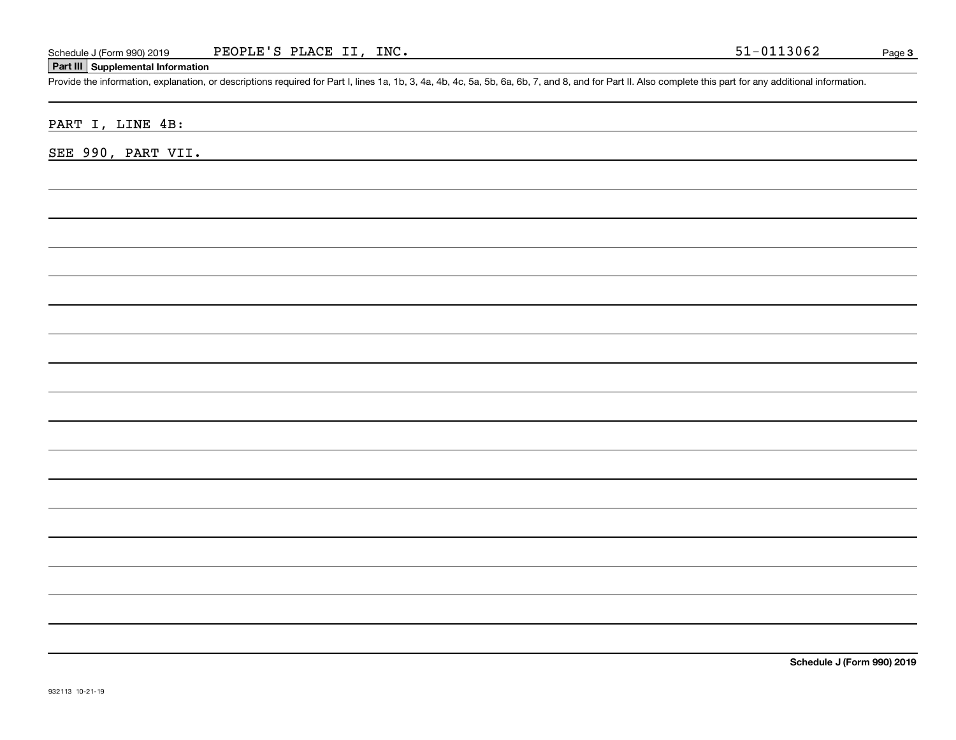#### **Part III Supplemental Information**

Schedule J (Form 990) 2019 PEOPLE'S PLACE II, INC.<br>Part III Supplemental Information<br>Provide the information, explanation, or descriptions required for Part I, lines 1a, 1b, 3, 4a, 4b, 4c, 5a, 5b, 6a, 6b, 7, and 8, and for

PART I, LINE 4B:

SEE 990, PART VII.

**Schedule J (Form 990) 2019**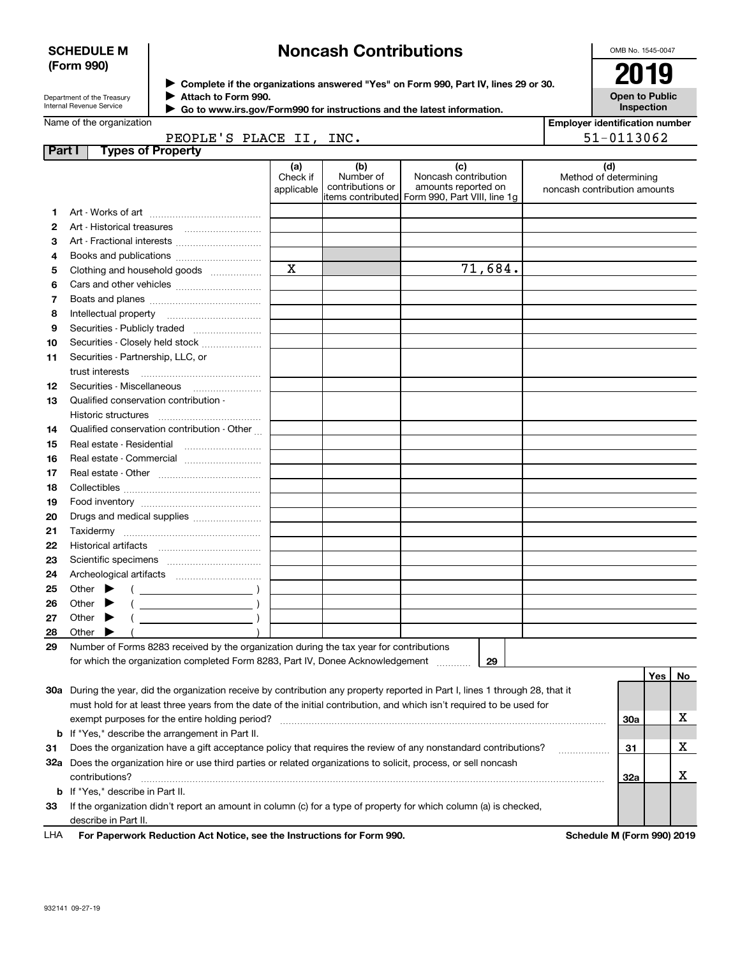#### **SCHEDULE M (Form 990)**

## **Noncash Contributions**

OMB No. 1545-0047

| Department of the Treasurv |
|----------------------------|
| Internal Revenue Service   |

**Complete if the organizations answered "Yes" on Form 990, Part IV, lines 29 or 30.** <sup>J</sup>**2019 Attach to Form 990.** J

**Open to Public Inspection**

| Go to www.irs.gov/Form990 for instructions and the latest information. |  |
|------------------------------------------------------------------------|--|
|------------------------------------------------------------------------|--|

|          | Name of the organization                                                                                                       |                               |                                      |                                                                                                      | <b>Employer identification number</b>                        |     |     |    |
|----------|--------------------------------------------------------------------------------------------------------------------------------|-------------------------------|--------------------------------------|------------------------------------------------------------------------------------------------------|--------------------------------------------------------------|-----|-----|----|
|          | PEOPLE'S PLACE II, INC.                                                                                                        |                               |                                      |                                                                                                      | 51-0113062                                                   |     |     |    |
| Part I   | <b>Types of Property</b>                                                                                                       |                               |                                      |                                                                                                      |                                                              |     |     |    |
|          |                                                                                                                                | (a)<br>Check if<br>applicable | (b)<br>Number of<br>contributions or | (c)<br>Noncash contribution<br>amounts reported on<br>items contributed Form 990, Part VIII, line 1g | (d)<br>Method of determining<br>noncash contribution amounts |     |     |    |
| 1.       |                                                                                                                                |                               |                                      |                                                                                                      |                                                              |     |     |    |
| 2        |                                                                                                                                |                               |                                      |                                                                                                      |                                                              |     |     |    |
| З        | Art - Fractional interests                                                                                                     |                               |                                      |                                                                                                      |                                                              |     |     |    |
| 4        |                                                                                                                                |                               |                                      |                                                                                                      |                                                              |     |     |    |
| 5        | Clothing and household goods                                                                                                   | $\mathbf X$                   |                                      | 71,684.                                                                                              |                                                              |     |     |    |
| 6        |                                                                                                                                |                               |                                      |                                                                                                      |                                                              |     |     |    |
| 7        |                                                                                                                                |                               |                                      |                                                                                                      |                                                              |     |     |    |
| 8        |                                                                                                                                |                               |                                      |                                                                                                      |                                                              |     |     |    |
| 9        | Securities - Publicly traded                                                                                                   |                               |                                      |                                                                                                      |                                                              |     |     |    |
| 10       | Securities - Closely held stock                                                                                                |                               |                                      |                                                                                                      |                                                              |     |     |    |
| 11       | Securities - Partnership, LLC, or                                                                                              |                               |                                      |                                                                                                      |                                                              |     |     |    |
|          | trust interests                                                                                                                |                               |                                      |                                                                                                      |                                                              |     |     |    |
| 12       |                                                                                                                                |                               |                                      |                                                                                                      |                                                              |     |     |    |
| 13       | Qualified conservation contribution -                                                                                          |                               |                                      |                                                                                                      |                                                              |     |     |    |
|          | Historic structures                                                                                                            |                               |                                      |                                                                                                      |                                                              |     |     |    |
| 14       | Qualified conservation contribution - Other                                                                                    |                               |                                      |                                                                                                      |                                                              |     |     |    |
| 15       | Real estate - Residential                                                                                                      |                               |                                      |                                                                                                      |                                                              |     |     |    |
| 16       | Real estate - Commercial                                                                                                       |                               |                                      |                                                                                                      |                                                              |     |     |    |
| 17       |                                                                                                                                |                               |                                      |                                                                                                      |                                                              |     |     |    |
| 18       |                                                                                                                                |                               |                                      |                                                                                                      |                                                              |     |     |    |
| 19       |                                                                                                                                |                               |                                      |                                                                                                      |                                                              |     |     |    |
| 20       | Drugs and medical supplies                                                                                                     |                               |                                      |                                                                                                      |                                                              |     |     |    |
| 21       |                                                                                                                                |                               |                                      |                                                                                                      |                                                              |     |     |    |
| 22       |                                                                                                                                |                               |                                      |                                                                                                      |                                                              |     |     |    |
| 23       |                                                                                                                                |                               |                                      |                                                                                                      |                                                              |     |     |    |
| 24       |                                                                                                                                |                               |                                      |                                                                                                      |                                                              |     |     |    |
| 25       | Other $\blacktriangleright$<br>$\left($ $\right)$                                                                              |                               |                                      |                                                                                                      |                                                              |     |     |    |
| 26<br>27 | Other<br>Other $\blacktriangleright$                                                                                           |                               |                                      |                                                                                                      |                                                              |     |     |    |
| 28       | $\overline{\phantom{a}}$ )<br>Other                                                                                            |                               |                                      |                                                                                                      |                                                              |     |     |    |
| 29       | Number of Forms 8283 received by the organization during the tax year for contributions                                        |                               |                                      |                                                                                                      |                                                              |     |     |    |
|          | for which the organization completed Form 8283, Part IV, Donee Acknowledgement                                                 |                               |                                      | 29                                                                                                   |                                                              |     |     |    |
|          |                                                                                                                                |                               |                                      |                                                                                                      |                                                              |     | Yes | No |
|          | 30a During the year, did the organization receive by contribution any property reported in Part I, lines 1 through 28, that it |                               |                                      |                                                                                                      |                                                              |     |     |    |
|          | must hold for at least three years from the date of the initial contribution, and which isn't required to be used for          |                               |                                      |                                                                                                      |                                                              |     |     |    |
|          | exempt purposes for the entire holding period?                                                                                 |                               |                                      |                                                                                                      |                                                              | 30a |     | х  |
|          | <b>b</b> If "Yes," describe the arrangement in Part II.                                                                        |                               |                                      |                                                                                                      |                                                              |     |     |    |
| 31       | Does the organization have a gift acceptance policy that requires the review of any nonstandard contributions?                 |                               |                                      |                                                                                                      | .                                                            | 31  |     | х  |
|          | 32a Does the organization hire or use third parties or related organizations to solicit, process, or sell noncash              |                               |                                      |                                                                                                      |                                                              |     |     |    |
|          | contributions?                                                                                                                 |                               |                                      |                                                                                                      |                                                              | 32a |     | х  |
|          | <b>b</b> If "Yes," describe in Part II.                                                                                        |                               |                                      |                                                                                                      |                                                              |     |     |    |
| 33       | If the organization didn't report an amount in column (c) for a type of property for which column (a) is checked,              |                               |                                      |                                                                                                      |                                                              |     |     |    |
|          | describe in Part II.                                                                                                           |                               |                                      |                                                                                                      |                                                              |     |     |    |

**For Paperwork Reduction Act Notice, see the Instructions for Form 990. Schedule M (Form 990) 2019** LHA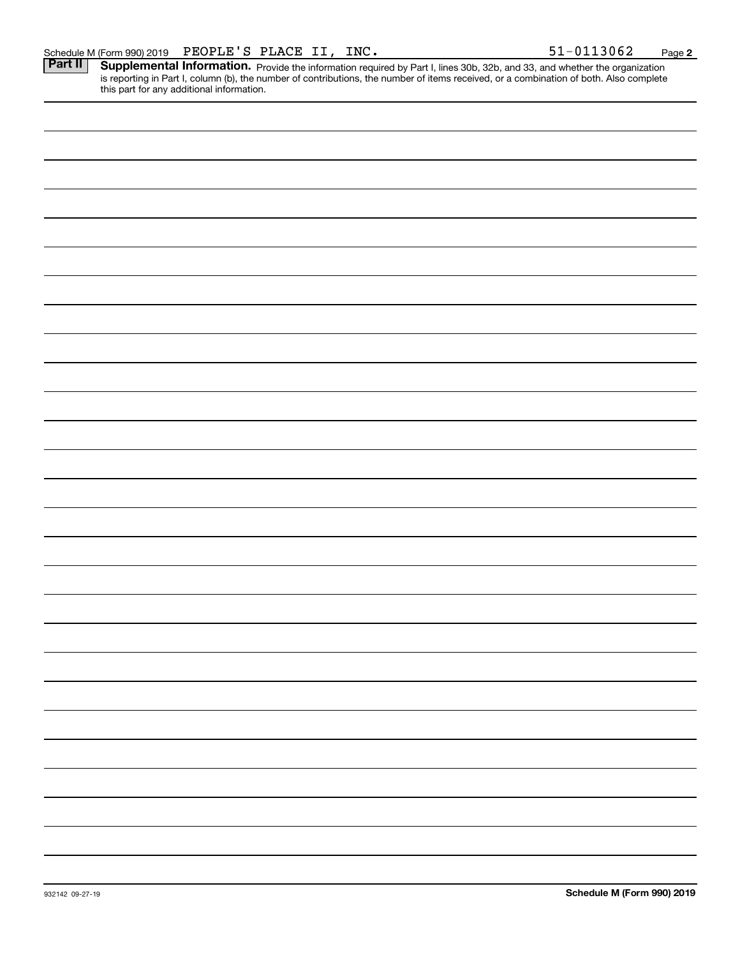**2**

Part II | Supplemental Information. Provide the information required by Part I, lines 30b, 32b, and 33, and whether the organization is reporting in Part I, column (b), the number of contributions, the number of items received, or a combination of both. Also complete this part for any additional information.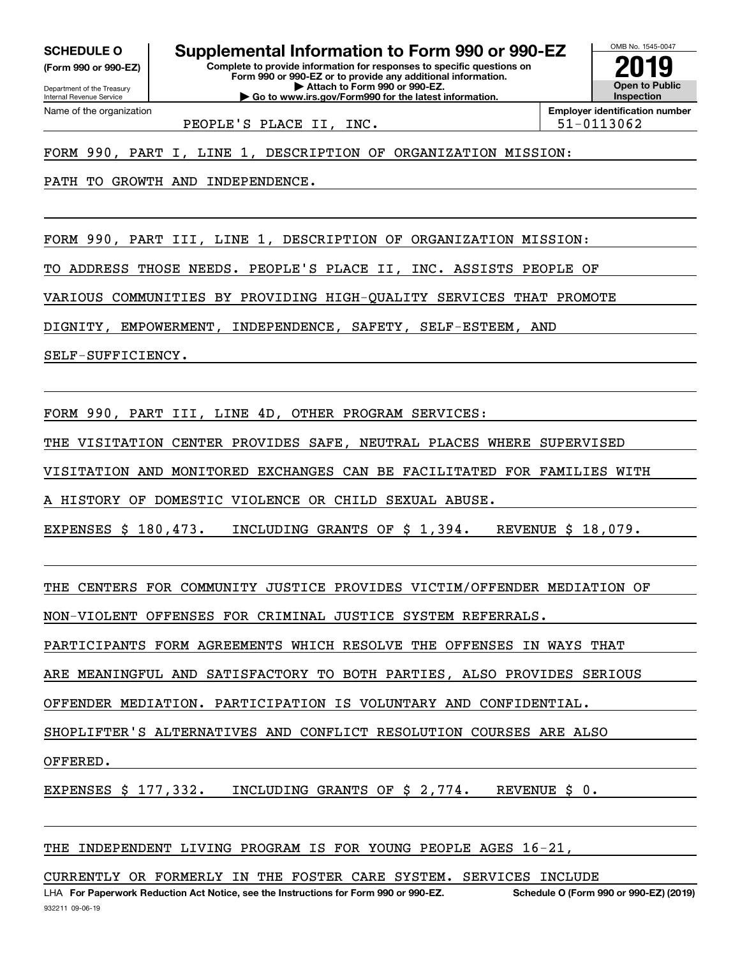Internal Revenue Service

Department of the Treasury **(Form 990 or 990-EZ)**

Name of the organization

**Complete to provide information for responses to specific questions on SCHEDULE O Supplemental Information to Form 990 or 990-EZ**

**Form 990 or 990-EZ or to provide any additional information. | Attach to Form 990 or 990-EZ. | Go to www.irs.gov/Form990 for the latest information.**

**Open to Public InspectionEmployer identification number 2019**

OMB No. 1545-0047

PEOPLE'S PLACE II, INC. | 51-0113062

FORM 990, PART I, LINE 1, DESCRIPTION OF ORGANIZATION MISSION:

PATH TO GROWTH AND INDEPENDENCE.

FORM 990, PART III, LINE 1, DESCRIPTION OF ORGANIZATION MISSION:

TO ADDRESS THOSE NEEDS. PEOPLE'S PLACE II, INC. ASSISTS PEOPLE OF

VARIOUS COMMUNITIES BY PROVIDING HIGH-QUALITY SERVICES THAT PROMOTE

DIGNITY, EMPOWERMENT, INDEPENDENCE, SAFETY, SELF-ESTEEM, AND

SELF-SUFFICIENCY.

FORM 990, PART III, LINE 4D, OTHER PROGRAM SERVICES:

THE VISITATION CENTER PROVIDES SAFE, NEUTRAL PLACES WHERE SUPERVISED

VISITATION AND MONITORED EXCHANGES CAN BE FACILITATED FOR FAMILIES WITH

A HISTORY OF DOMESTIC VIOLENCE OR CHILD SEXUAL ABUSE.

EXPENSES \$ 180,473. INCLUDING GRANTS OF \$ 1,394. REVENUE \$ 18,079.

THE CENTERS FOR COMMUNITY JUSTICE PROVIDES VICTIM/OFFENDER MEDIATION OF

NON-VIOLENT OFFENSES FOR CRIMINAL JUSTICE SYSTEM REFERRALS.

PARTICIPANTS FORM AGREEMENTS WHICH RESOLVE THE OFFENSES IN WAYS THAT

ARE MEANINGFUL AND SATISFACTORY TO BOTH PARTIES, ALSO PROVIDES SERIOUS

OFFENDER MEDIATION. PARTICIPATION IS VOLUNTARY AND CONFIDENTIAL.

SHOPLIFTER'S ALTERNATIVES AND CONFLICT RESOLUTION COURSES ARE ALSO

OFFERED.

EXPENSES \$ 177,332. INCLUDING GRANTS OF \$ 2,774. REVENUE \$ 0.

### THE INDEPENDENT LIVING PROGRAM IS FOR YOUNG PEOPLE AGES 16-21,

CURRENTLY OR FORMERLY IN THE FOSTER CARE SYSTEM. SERVICES INCLUDE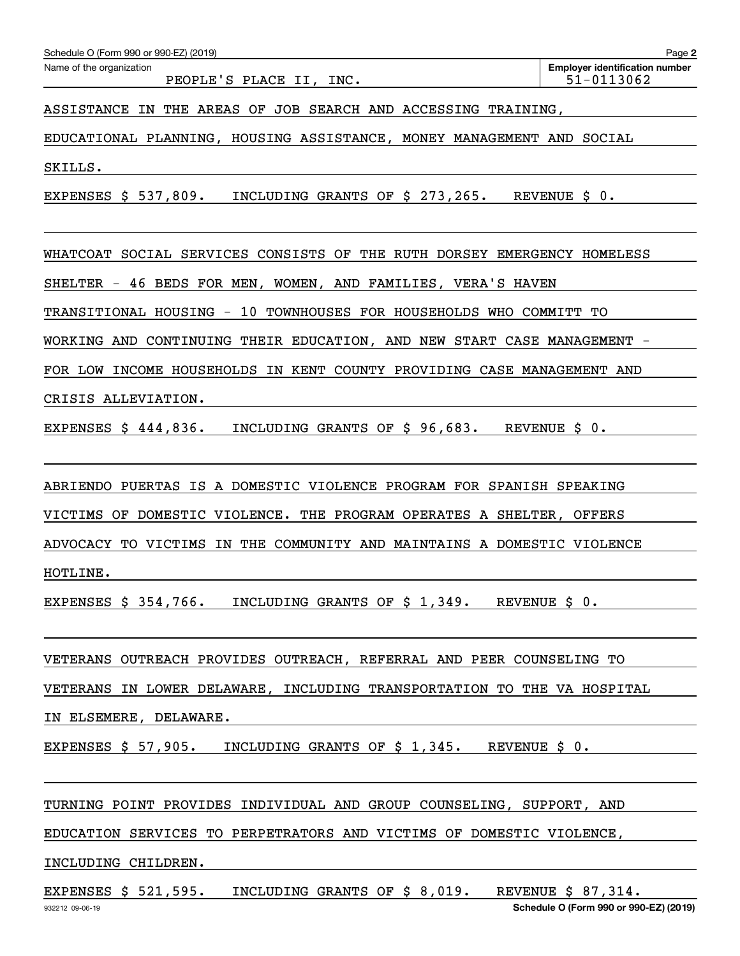| Schedule O (Form 990 or 990-EZ) (2019)                                                                                                                                                                                         | Page 2                                              |
|--------------------------------------------------------------------------------------------------------------------------------------------------------------------------------------------------------------------------------|-----------------------------------------------------|
| Name of the organization<br>PEOPLE'S PLACE II, INC.                                                                                                                                                                            | <b>Employer identification number</b><br>51-0113062 |
| IN THE AREAS OF JOB SEARCH AND ACCESSING TRAINING,<br><b>ASSISTANCE</b>                                                                                                                                                        |                                                     |
| EDUCATIONAL PLANNING, HOUSING ASSISTANCE, MONEY MANAGEMENT AND SOCIAL                                                                                                                                                          |                                                     |
| SKILLS.                                                                                                                                                                                                                        |                                                     |
| EXPENSES \$ 537,809.<br>INCLUDING GRANTS OF \$ 273,265.                                                                                                                                                                        | REVENUE \$ 0.                                       |
| WHATCOAT SOCIAL SERVICES CONSISTS OF<br>THE RUTH DORSEY EMERGENCY HOMELESS                                                                                                                                                     |                                                     |
| SHELTER - 46 BEDS FOR MEN, WOMEN, AND FAMILIES, VERA'S HAVEN                                                                                                                                                                   |                                                     |
| TRANSITIONAL HOUSING - 10 TOWNHOUSES FOR HOUSEHOLDS WHO COMMITT TO                                                                                                                                                             |                                                     |
| WORKING AND CONTINUING THEIR EDUCATION, AND NEW START CASE MANAGEMENT                                                                                                                                                          |                                                     |
| FOR LOW INCOME HOUSEHOLDS IN KENT COUNTY PROVIDING CASE MANAGEMENT AND                                                                                                                                                         |                                                     |
| CRISIS ALLEVIATION.                                                                                                                                                                                                            |                                                     |
| EXPENSES $$444,836.$<br>INCLUDING GRANTS OF \$ 96,683.                                                                                                                                                                         | REVENUE \$ 0.                                       |
| ABRIENDO PUERTAS IS A DOMESTIC VIOLENCE PROGRAM FOR SPANISH SPEAKING                                                                                                                                                           |                                                     |
| DOMESTIC VIOLENCE. THE PROGRAM OPERATES A SHELTER,<br>VICTIMS OF                                                                                                                                                               | OFFERS                                              |
| IN THE COMMUNITY AND MAINTAINS A DOMESTIC VIOLENCE<br>ADVOCACY TO VICTIMS                                                                                                                                                      |                                                     |
| HOTLINE.                                                                                                                                                                                                                       |                                                     |
| EXPENSES $\sharp$ 354,766. INCLUDING GRANTS OF $\sharp$ 1,349. REVENUE $\sharp$ 0.                                                                                                                                             |                                                     |
| VETERANS OUTREACH PROVIDES OUTREACH, REFERRAL AND PEER COUNSELING TO                                                                                                                                                           |                                                     |
| VETERANS IN LOWER DELAWARE, INCLUDING TRANSPORTATION TO THE VA HOSPITAL                                                                                                                                                        |                                                     |
| IN ELSEMERE, DELAWARE.                                                                                                                                                                                                         |                                                     |
| EXPENSES \$ 57,905. INCLUDING GRANTS OF \$ 1,345. REVENUE \$ 0.                                                                                                                                                                |                                                     |
| TURNING POINT PROVIDES INDIVIDUAL AND GROUP COUNSELING, SUPPORT, AND                                                                                                                                                           |                                                     |
| EDUCATION SERVICES TO PERPETRATORS AND VICTIMS OF DOMESTIC VIOLENCE,                                                                                                                                                           |                                                     |
| INCLUDING CHILDREN. THE CONSTRUCTION OF THE CONSTRUCTION OF THE CONSTRUCTION OF THE CONSTRUCTION OF THE CONSTRUCTION OF THE CONSTRUCTION OF THE CONSTRUCTION OF THE CONSTRUCTION OF THE CONSTRUCTION OF THE CONSTRUCTION OF TH |                                                     |
| EXPENSES \$ 521,595. INCLUDING GRANTS OF \$ 8,019. REVENUE \$ 87,314.                                                                                                                                                          |                                                     |

**Schedule O (Form 990 or 990-EZ) (2019)**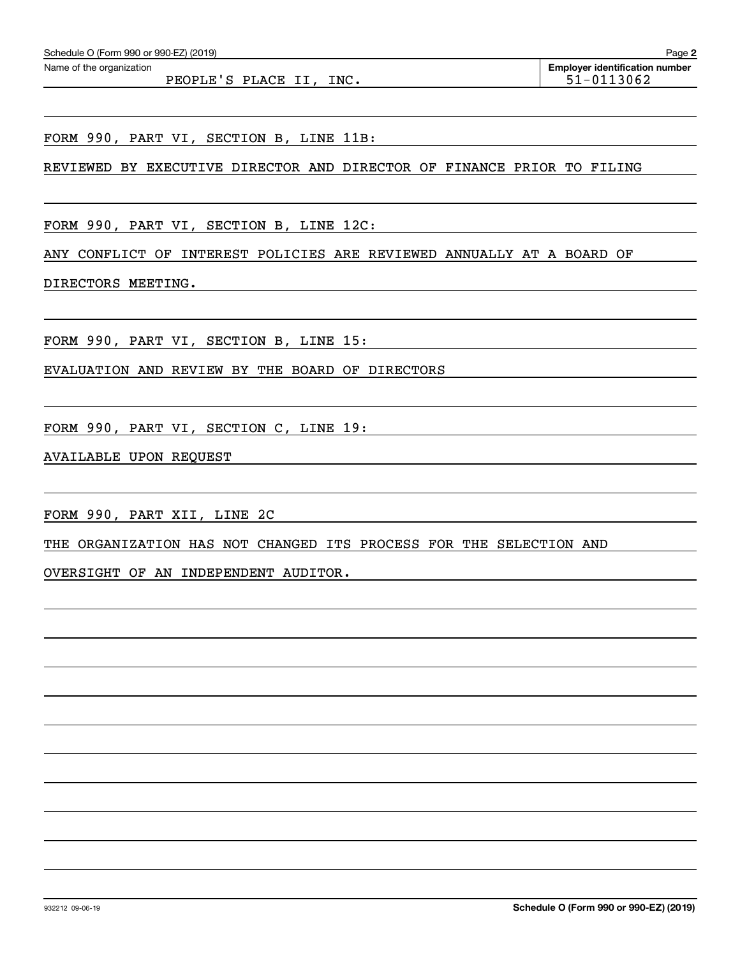PEOPLE'S PLACE II, INC.  $51-0113062$ 

FORM 990, PART VI, SECTION B, LINE 11B:

REVIEWED BY EXECUTIVE DIRECTOR AND DIRECTOR OF FINANCE PRIOR TO FILING

FORM 990, PART VI, SECTION B, LINE 12C:

ANY CONFLICT OF INTEREST POLICIES ARE REVIEWED ANNUALLY AT A BOARD OF

DIRECTORS MEETING.

FORM 990, PART VI, SECTION B, LINE 15:

EVALUATION AND REVIEW BY THE BOARD OF DIRECTORS

FORM 990, PART VI, SECTION C, LINE 19:

AVAILABLE UPON REQUEST

FORM 990, PART XII, LINE 2C

THE ORGANIZATION HAS NOT CHANGED ITS PROCESS FOR THE SELECTION AND

OVERSIGHT OF AN INDEPENDENT AUDITOR.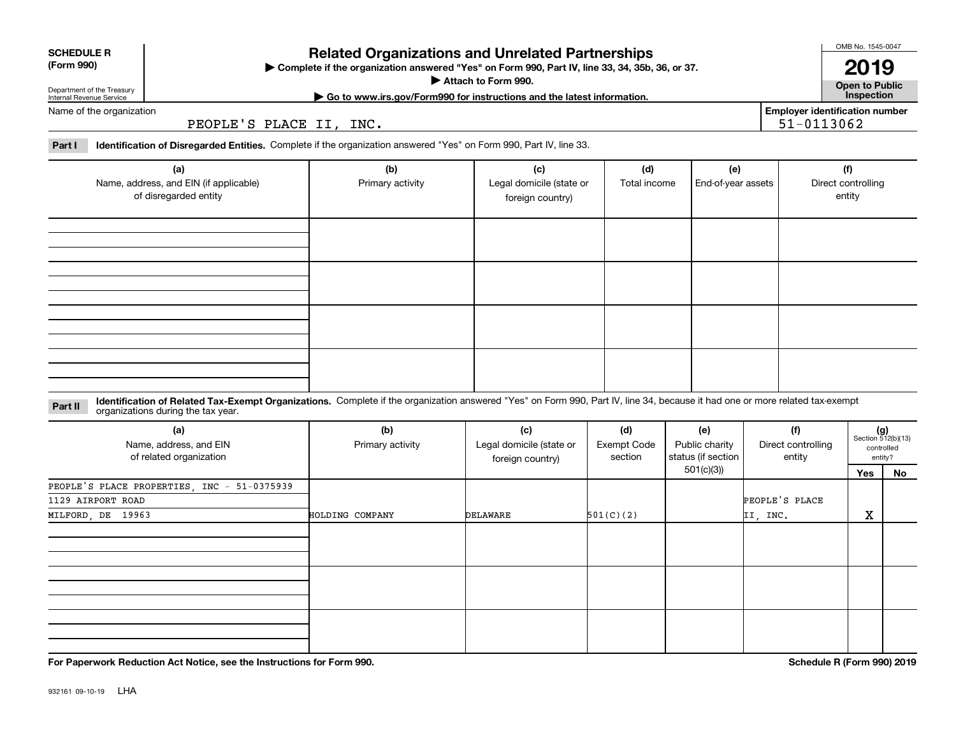| <b>SCHEDULE R</b><br>(Form 990)                        | $\blacktriangleright$ Comple |
|--------------------------------------------------------|------------------------------|
| Department of the Treasury<br>Internal Revenue Service |                              |

## **Related Organizations and Unrelated Partnerships**

**Complete if the organization answered "Yes" on Form 990, Part IV, line 33, 34, 35b, 36, or 37.**

**Attach to Form 990.**  |

**Open to Public 2019**

**Employer identification number**

51-0113062

OMB No. 1545-0047

 $\blacksquare$ Name of the organization **| Go to www.irs.gov/Form990 for instructions and the latest information. Inspection**

PEOPLE'S PLACE II, INC.

**Part I Identification of Disregarded Entities.**  Complete if the organization answered "Yes" on Form 990, Part IV, line 33.

| (a)<br>Name, address, and EIN (if applicable)<br>of disregarded entity | (b)<br>Primary activity | (c)<br>Legal domicile (state or<br>foreign country) | (d)<br>Total income | (e)<br>End-of-year assets | (f)<br>Direct controlling<br>entity |
|------------------------------------------------------------------------|-------------------------|-----------------------------------------------------|---------------------|---------------------------|-------------------------------------|
|                                                                        |                         |                                                     |                     |                           |                                     |
|                                                                        |                         |                                                     |                     |                           |                                     |
|                                                                        |                         |                                                     |                     |                           |                                     |
|                                                                        |                         |                                                     |                     |                           |                                     |

**Identification of Related Tax-Exempt Organizations.** Complete if the organization answered "Yes" on Form 990, Part IV, line 34, because it had one or more related tax-exempt **Part II** organizations during the tax year.

| (a)<br>Name, address, and EIN<br>of related organization | (b)<br>Primary activity | (c)<br>Legal domicile (state or<br>foreign country) | (d)<br>Exempt Code<br>section | (e)<br>Public charity<br>status (if section | (f)<br>Direct controlling<br>entity |     | $(g)$<br>Section 512(b)(13)<br>controlled<br>entity? |
|----------------------------------------------------------|-------------------------|-----------------------------------------------------|-------------------------------|---------------------------------------------|-------------------------------------|-----|------------------------------------------------------|
|                                                          |                         |                                                     |                               | 501(c)(3)                                   |                                     | Yes | No                                                   |
| PEOPLE'S PLACE PROPERTIES, INC - 51-0375939              |                         |                                                     |                               |                                             |                                     |     |                                                      |
| 1129 AIRPORT ROAD                                        |                         |                                                     |                               |                                             | PEOPLE'S PLACE                      |     |                                                      |
| MILFORD, DE 19963                                        | HOLDING COMPANY         | DELAWARE                                            | 501(C)(2)                     |                                             | II, INC.                            | X   |                                                      |
|                                                          |                         |                                                     |                               |                                             |                                     |     |                                                      |
|                                                          |                         |                                                     |                               |                                             |                                     |     |                                                      |
|                                                          |                         |                                                     |                               |                                             |                                     |     |                                                      |

**For Paperwork Reduction Act Notice, see the Instructions for Form 990. Schedule R (Form 990) 2019**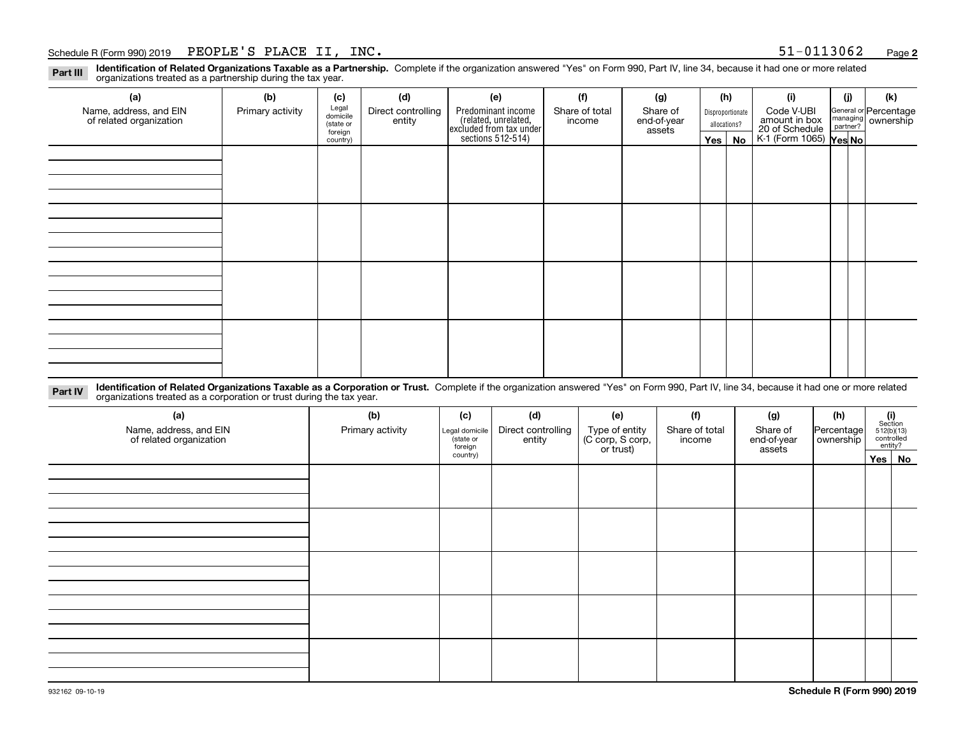#### Schedule R (Form 990) 2019 Page PEOPLE'S PLACE II, INC. 51-0113062

**2**

**Identification of Related Organizations Taxable as a Partnership.** Complete if the organization answered "Yes" on Form 990, Part IV, line 34, because it had one or more related **Part III** organizations treated as a partnership during the tax year.

| (a)                                               | (b)              | (c)                  | (d)                          | (e)                                                                  | (f)                      | (g)                     | (h)              |               | (i)                                                       | (j) | (k)                                                       |
|---------------------------------------------------|------------------|----------------------|------------------------------|----------------------------------------------------------------------|--------------------------|-------------------------|------------------|---------------|-----------------------------------------------------------|-----|-----------------------------------------------------------|
| Name, address, and EIN<br>of related organization | Primary activity | Legal<br>domicile    | Direct controlling<br>entity | Predominant income                                                   | Share of total<br>income | Share of<br>end-of-year | Disproportionate |               | Code V-UBI                                                |     | General or Percentage<br>managing<br>partner?<br>partner? |
|                                                   |                  | (state or<br>foreign |                              |                                                                      | allocations?<br>assets   |                         |                  |               |                                                           |     |                                                           |
|                                                   |                  | country)             |                              | (related, unrelated,<br>excluded from tax under<br>sections 512-514) |                          |                         |                  | $Yes \mid No$ | amount in box<br>20 of Schedule<br>K-1 (Form 1065) Yes No |     |                                                           |
|                                                   |                  |                      |                              |                                                                      |                          |                         |                  |               |                                                           |     |                                                           |
|                                                   |                  |                      |                              |                                                                      |                          |                         |                  |               |                                                           |     |                                                           |
|                                                   |                  |                      |                              |                                                                      |                          |                         |                  |               |                                                           |     |                                                           |
|                                                   |                  |                      |                              |                                                                      |                          |                         |                  |               |                                                           |     |                                                           |
|                                                   |                  |                      |                              |                                                                      |                          |                         |                  |               |                                                           |     |                                                           |
|                                                   |                  |                      |                              |                                                                      |                          |                         |                  |               |                                                           |     |                                                           |
|                                                   |                  |                      |                              |                                                                      |                          |                         |                  |               |                                                           |     |                                                           |
|                                                   |                  |                      |                              |                                                                      |                          |                         |                  |               |                                                           |     |                                                           |
|                                                   |                  |                      |                              |                                                                      |                          |                         |                  |               |                                                           |     |                                                           |
|                                                   |                  |                      |                              |                                                                      |                          |                         |                  |               |                                                           |     |                                                           |
|                                                   |                  |                      |                              |                                                                      |                          |                         |                  |               |                                                           |     |                                                           |
|                                                   |                  |                      |                              |                                                                      |                          |                         |                  |               |                                                           |     |                                                           |
|                                                   |                  |                      |                              |                                                                      |                          |                         |                  |               |                                                           |     |                                                           |
|                                                   |                  |                      |                              |                                                                      |                          |                         |                  |               |                                                           |     |                                                           |
|                                                   |                  |                      |                              |                                                                      |                          |                         |                  |               |                                                           |     |                                                           |
|                                                   |                  |                      |                              |                                                                      |                          |                         |                  |               |                                                           |     |                                                           |
|                                                   |                  |                      |                              |                                                                      |                          |                         |                  |               |                                                           |     |                                                           |

**Identification of Related Organizations Taxable as a Corporation or Trust.** Complete if the organization answered "Yes" on Form 990, Part IV, line 34, because it had one or more related **Part IV** organizations treated as a corporation or trust during the tax year.

| (a)<br>Name, address, and EIN<br>of related organization | (b)<br>Primary activity | (c)<br>Legal domicile<br>(state or<br>foreign | (d)<br>Direct controlling<br>entity | (e)<br>Type of entity<br>(C corp, S corp,<br>or trust) | (f)<br>Share of total<br>income | (g)<br>Share of<br>end-of-year<br>assets | (h)<br>Percentage<br>ownership | $\begin{array}{c} \textbf{(i)}\\ \text{Section}\\ 512 \text{(b)} \text{(13)}\\ \text{controlled}\\ \text{entity?} \end{array}$ |
|----------------------------------------------------------|-------------------------|-----------------------------------------------|-------------------------------------|--------------------------------------------------------|---------------------------------|------------------------------------------|--------------------------------|--------------------------------------------------------------------------------------------------------------------------------|
|                                                          |                         | country)                                      |                                     |                                                        |                                 |                                          |                                | Yes No                                                                                                                         |
|                                                          |                         |                                               |                                     |                                                        |                                 |                                          |                                |                                                                                                                                |
|                                                          |                         |                                               |                                     |                                                        |                                 |                                          |                                |                                                                                                                                |
|                                                          |                         |                                               |                                     |                                                        |                                 |                                          |                                |                                                                                                                                |
|                                                          |                         |                                               |                                     |                                                        |                                 |                                          |                                |                                                                                                                                |
|                                                          |                         |                                               |                                     |                                                        |                                 |                                          |                                |                                                                                                                                |
|                                                          |                         |                                               |                                     |                                                        |                                 |                                          |                                |                                                                                                                                |
|                                                          |                         |                                               |                                     |                                                        |                                 |                                          |                                |                                                                                                                                |
|                                                          |                         |                                               |                                     |                                                        |                                 |                                          |                                |                                                                                                                                |
|                                                          |                         |                                               |                                     |                                                        |                                 |                                          |                                |                                                                                                                                |
|                                                          |                         |                                               |                                     |                                                        |                                 |                                          |                                |                                                                                                                                |
|                                                          |                         |                                               |                                     |                                                        |                                 |                                          |                                |                                                                                                                                |
|                                                          |                         |                                               |                                     |                                                        |                                 |                                          |                                |                                                                                                                                |
|                                                          |                         |                                               |                                     |                                                        |                                 |                                          |                                |                                                                                                                                |
|                                                          |                         |                                               |                                     |                                                        |                                 |                                          |                                |                                                                                                                                |
|                                                          |                         |                                               |                                     |                                                        |                                 |                                          |                                |                                                                                                                                |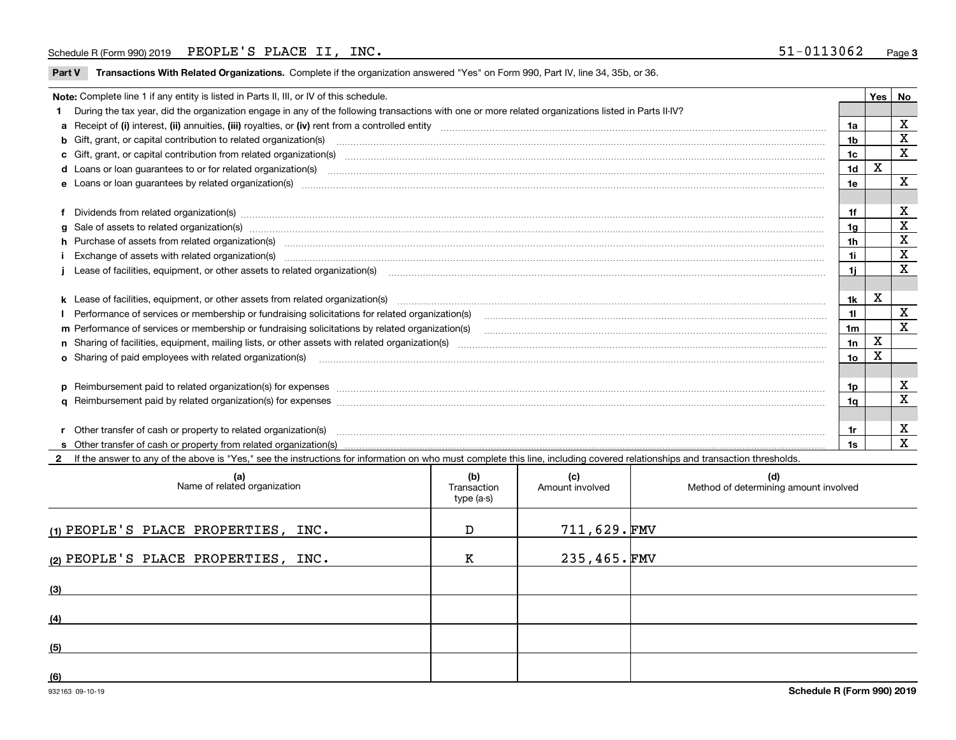#### Schedule R (Form 990) 2019 Page PEOPLE'S PLACE II, INC. 51-0113062

**Part V** T**ransactions With Related Organizations.** Complete if the organization answered "Yes" on Form 990, Part IV, line 34, 35b, or 36.

| Note: Complete line 1 if any entity is listed in Parts II, III, or IV of this schedule.                                                                                                                                        |                 | Yes | l No                    |
|--------------------------------------------------------------------------------------------------------------------------------------------------------------------------------------------------------------------------------|-----------------|-----|-------------------------|
| During the tax year, did the organization engage in any of the following transactions with one or more related organizations listed in Parts II-IV?                                                                            |                 |     |                         |
|                                                                                                                                                                                                                                | 1a              |     | X                       |
| b Gift, grant, or capital contribution to related organization(s) mature and contained and contribution to related organization(s) matures are contained and contribution to related organization(s) matures are contained and | 1b              |     | X                       |
|                                                                                                                                                                                                                                | 1 <sub>c</sub>  |     | $\mathbf x$             |
|                                                                                                                                                                                                                                | 1 <sub>d</sub>  | X   |                         |
|                                                                                                                                                                                                                                | 1e              |     | X                       |
|                                                                                                                                                                                                                                |                 |     |                         |
| Dividends from related organization(s) manufactured and contract and contract and contract and contract and contract and contract and contract and contract and contract and contract and contract and contract and contract a | 1f              |     | х                       |
|                                                                                                                                                                                                                                | 1g              |     | х                       |
| h Purchase of assets from related organization(s) manufactured and content to content the content of assets from related organization(s)                                                                                       | 1h              |     | $\mathbf X$             |
| Exchange of assets with related organization(s) www.assettion.com/www.assettion.com/www.assettion.com/www.assettion.com/www.assettion.com/www.assettion.com/www.assettion.com/www.assettion.com/www.assettion.com/www.assettio | 1i              |     | $\mathbf x$             |
|                                                                                                                                                                                                                                | 1i              |     | X                       |
|                                                                                                                                                                                                                                |                 |     |                         |
|                                                                                                                                                                                                                                | 1k              | X   |                         |
|                                                                                                                                                                                                                                | 11              |     | $\mathbf X$             |
|                                                                                                                                                                                                                                | 1 <sub>m</sub>  |     | X                       |
|                                                                                                                                                                                                                                | 1n              | X   |                         |
| <b>o</b> Sharing of paid employees with related organization(s)                                                                                                                                                                | 10 <sub>o</sub> | x   |                         |
|                                                                                                                                                                                                                                |                 |     |                         |
|                                                                                                                                                                                                                                | 1p              |     | X                       |
|                                                                                                                                                                                                                                | 1q              |     | $\overline{\mathbf{x}}$ |
|                                                                                                                                                                                                                                |                 |     |                         |
| r Other transfer of cash or property to related organization(s)                                                                                                                                                                | 1r              |     | X                       |
|                                                                                                                                                                                                                                | 1s              |     | $\mathbf{x}$            |
| 2 If the answer to any of the above is "Yes," see the instructions for information on who must complete this line, including covered relationships and transaction thresholds.                                                 |                 |     |                         |

| (a)<br>Name of related organization | (b)<br>Transaction<br>type (a-s) | (c)<br>Amount involved | (d)<br>Method of determining amount involved |
|-------------------------------------|----------------------------------|------------------------|----------------------------------------------|
| (1) PEOPLE'S PLACE PROPERTIES, INC. | D                                | 711,629.FMV            |                                              |
| (2) PEOPLE'S PLACE PROPERTIES, INC. | к                                | $235,465.\text{FMV}$   |                                              |
| (3)                                 |                                  |                        |                                              |
| (4)                                 |                                  |                        |                                              |
| (5)                                 |                                  |                        |                                              |
| (6)                                 |                                  |                        |                                              |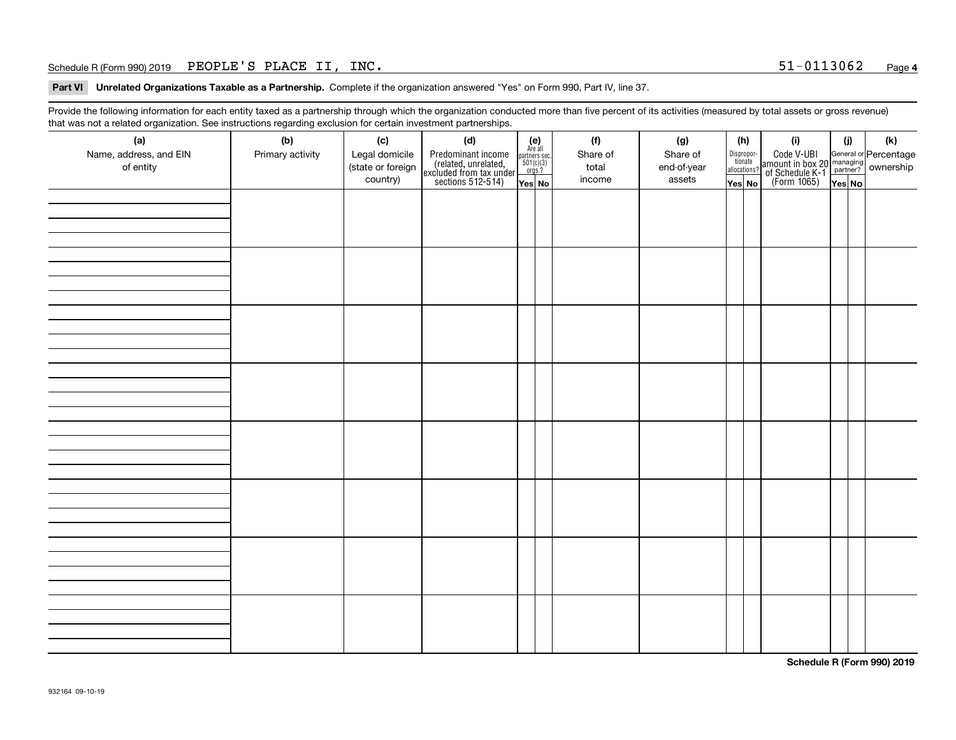#### Schedule R (Form 990) 2019 Page PEOPLE'S PLACE II, INC. 51-0113062

**Part VI Unrelated Organizations Taxable as a Partnership. Complete if the organization answered "Yes" on Form 990, Part IV, line 37.** 

Provide the following information for each entity taxed as a partnership through which the organization conducted more than five percent of its activities (measured by total assets or gross revenue) that was not a related organization. See instructions regarding exclusion for certain investment partnerships.

| $\overline{\phantom{0}}$<br>(a)<br>Name, address, and EIN<br>of entity | ັ<br>ັ<br>(b)<br>Primary activity | (c)<br>Legal domicile<br>(state or foreign<br>country) | (d)<br>Predominant income<br>(related, unrelated,<br>excluded from tax under<br>sections 512-514) | (e)<br>Are all<br>$\begin{array}{c}\n\text{partners} & \text{sec.} \\ 501(c)(3) & \text{orgs.?} \n\end{array}$<br>Yes No | (f)<br>Share of<br>total<br>income | (g)<br>Share of<br>end-of-year<br>assets | Dispropor-<br>tionate<br>allocations?<br>Yes No | (h) | (i)<br>Code V-UBI<br>  amount in box 20 managing<br>  of Schedule K-1 partner? ownership<br>  of Schedule K-1 partner? ownership<br>  Yes No | (i)<br>YesNO | (k) |
|------------------------------------------------------------------------|-----------------------------------|--------------------------------------------------------|---------------------------------------------------------------------------------------------------|--------------------------------------------------------------------------------------------------------------------------|------------------------------------|------------------------------------------|-------------------------------------------------|-----|----------------------------------------------------------------------------------------------------------------------------------------------|--------------|-----|
|                                                                        |                                   |                                                        |                                                                                                   |                                                                                                                          |                                    |                                          |                                                 |     |                                                                                                                                              |              |     |
|                                                                        |                                   |                                                        |                                                                                                   |                                                                                                                          |                                    |                                          |                                                 |     |                                                                                                                                              |              |     |
|                                                                        |                                   |                                                        |                                                                                                   |                                                                                                                          |                                    |                                          |                                                 |     |                                                                                                                                              |              |     |
|                                                                        |                                   |                                                        |                                                                                                   |                                                                                                                          |                                    |                                          |                                                 |     |                                                                                                                                              |              |     |
|                                                                        |                                   |                                                        |                                                                                                   |                                                                                                                          |                                    |                                          |                                                 |     |                                                                                                                                              |              |     |
|                                                                        |                                   |                                                        |                                                                                                   |                                                                                                                          |                                    |                                          |                                                 |     |                                                                                                                                              |              |     |
|                                                                        |                                   |                                                        |                                                                                                   |                                                                                                                          |                                    |                                          |                                                 |     |                                                                                                                                              |              |     |
|                                                                        |                                   |                                                        |                                                                                                   |                                                                                                                          |                                    |                                          |                                                 |     |                                                                                                                                              |              |     |

**Schedule R (Form 990) 2019**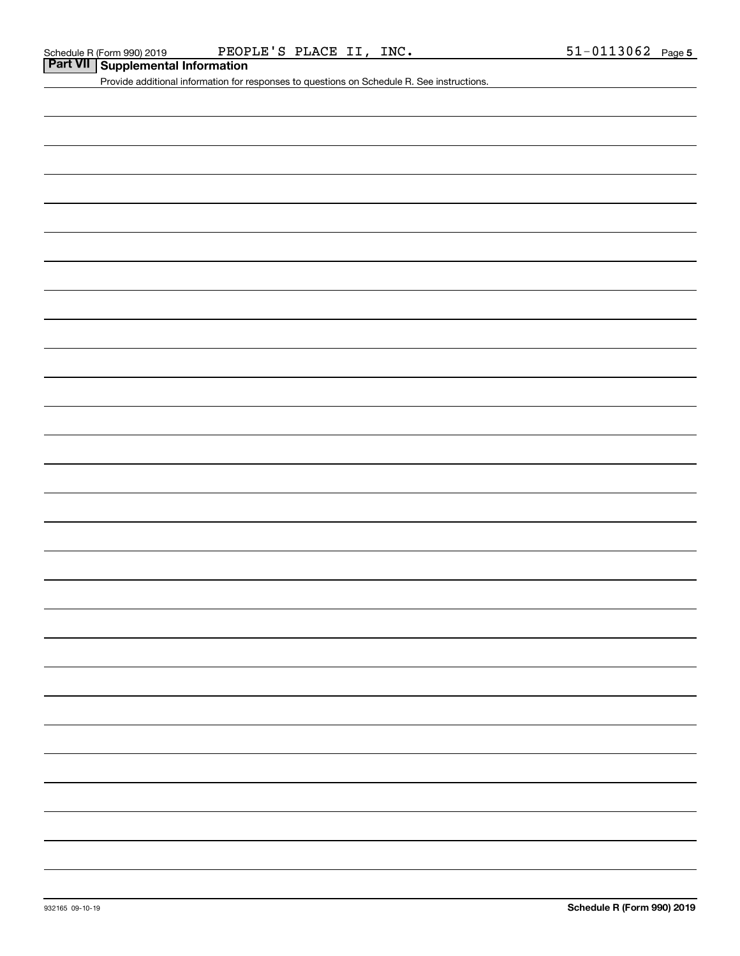## **Part VII Supplemental Information**

Provide additional information for responses to questions on Schedule R. See instructions.